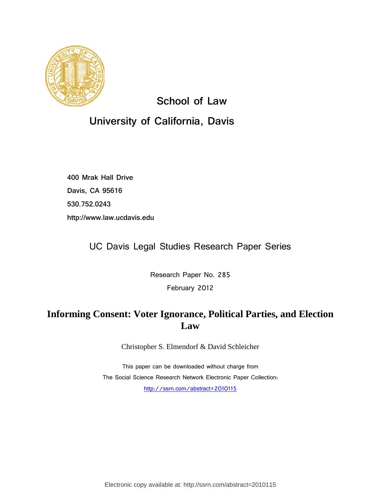

**School of Law**

# **University of California, Davis**

**400 Mrak Hall Drive Davis, CA 95616 530.752.0243 http://www.law.ucdavis.edu**

UC Davis Legal Studies Research Paper Series

Research Paper No. 285 February 2012

# **Informing Consent: Voter Ignorance, Political Parties, and Election Law**

Christopher S. Elmendorf & David Schleicher

This paper can be downloaded without charge from The Social Science Research Network Electronic Paper Collection: <http://ssrn.com/abstract=2010115>

Electronic copy available at: http://ssrn.com/abstract=2010115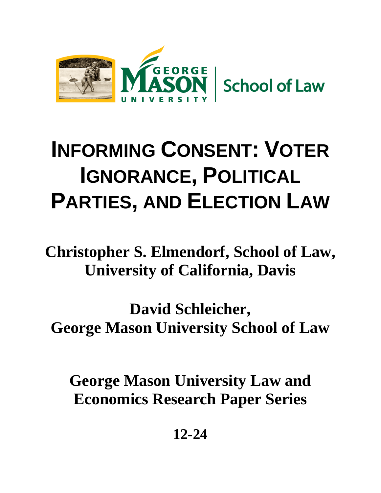

# **INFORMING CONSENT: VOTER IGNORANCE, POLITICAL PARTIES, AND ELECTION LAW**

**Christopher S. Elmendorf, School of Law, University of California, Davis**

**David Schleicher, George Mason University School of Law**

**George Mason University Law and Economics Research Paper Series**

**12-24**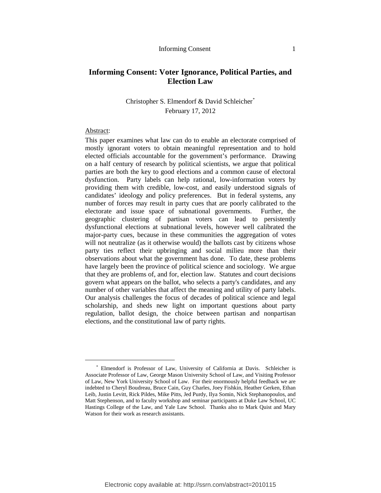# **Informing Consent: Voter Ignorance, Political Parties, and Election Law**

# Christopher S. Elmendorf & David Schleicher[\\*](#page-2-0) February 17, 2012

#### Abstract:

This paper examines what law can do to enable an electorate comprised of mostly ignorant voters to obtain meaningful representation and to hold elected officials accountable for the government's performance. Drawing on a half century of research by political scientists, we argue that political parties are both the key to good elections and a common cause of electoral dysfunction. Party labels can help rational, low-information voters by providing them with credible, low-cost, and easily understood signals of candidates' ideology and policy preferences. But in federal systems, any number of forces may result in party cues that are poorly calibrated to the electorate and issue space of subnational governments. Further, the geographic clustering of partisan voters can lead to persistently dysfunctional elections at subnational levels, however well calibrated the major-party cues, because in these communities the aggregation of votes will not neutralize (as it otherwise would) the ballots cast by citizens whose party ties reflect their upbringing and social milieu more than their observations about what the government has done. To date, these problems have largely been the province of political science and sociology. We argue that they are problems of, and for, election law. Statutes and court decisions govern what appears on the ballot, who selects a party's candidates, and any number of other variables that affect the meaning and utility of party labels. Our analysis challenges the focus of decades of political science and legal scholarship, and sheds new light on important questions about party regulation, ballot design, the choice between partisan and nonpartisan elections, and the constitutional law of party rights.

<span id="page-2-0"></span> <sup>\*</sup> Elmendorf is Professor of Law, University of California at Davis. Schleicher is Associate Professor of Law, George Mason University School of Law, and Visiting Professor of Law, New York University School of Law. For their enormously helpful feedback we are indebted to Cheryl Boudreau, Bruce Cain, Guy Charles, Joey Fishkin, Heather Gerken, Ethan Leib, Justin Levitt, Rick Pildes, Mike Pitts, Jed Purdy, Ilya Somin, Nick Stephanopoulos, and Matt Stephenson, and to faculty workshop and seminar participants at Duke Law School, UC Hastings College of the Law, and Yale Law School. Thanks also to Mark Quist and Mary Watson for their work as research assistants.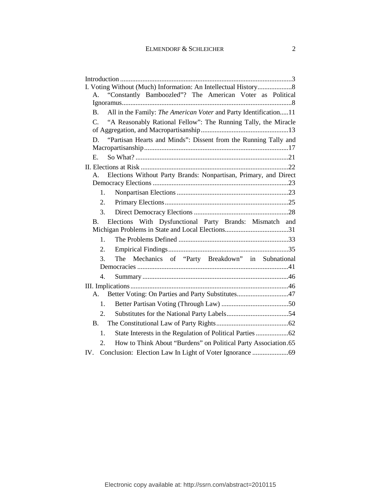| "Constantly Bamboozled"? The American Voter as Political<br>A.                   |
|----------------------------------------------------------------------------------|
|                                                                                  |
| All in the Family: The American Voter and Party Identification11<br><b>B.</b>    |
| "A Reasonably Rational Fellow": The Running Tally, the Miracle<br>$\mathcal{C}$  |
|                                                                                  |
| "Partisan Hearts and Minds": Dissent from the Running Tally and<br>D.            |
|                                                                                  |
| $E_{\rm{m}}$                                                                     |
|                                                                                  |
| Elections Without Party Brands: Nonpartisan, Primary, and Direct<br>$A_{-}$      |
|                                                                                  |
| $1_{-}$                                                                          |
| 2.                                                                               |
| 3.                                                                               |
| Elections With Dysfunctional Party Brands: Mismatch and<br><b>B.</b>             |
| $\mathbf{1}$ .                                                                   |
| $\overline{2}$ .                                                                 |
| 3.<br>The Mechanics of "Party Breakdown" in Subnational                          |
|                                                                                  |
| 4.                                                                               |
|                                                                                  |
| Better Voting: On Parties and Party Substitutes47<br>A.                          |
| 1.                                                                               |
| 2 <sup>1</sup>                                                                   |
| <b>B.</b>                                                                        |
| 1.                                                                               |
|                                                                                  |
|                                                                                  |
| How to Think About "Burdens" on Political Party Association.65<br>2.<br>$IV_{-}$ |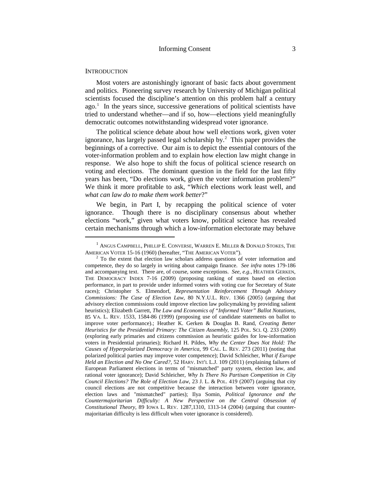#### <span id="page-4-0"></span>**INTRODUCTION**

<span id="page-4-3"></span>Most voters are astonishingly ignorant of basic facts about government and politics. Pioneering survey research by University of Michigan political scientists focused the discipline's attention on this problem half a century ago.<sup>[1](#page-4-1)</sup> In the years since, successive generations of political scientists have tried to understand whether—and if so, how—elections yield meaningfully democratic outcomes notwithstanding widespread voter ignorance.

<span id="page-4-4"></span>The political science debate about how well elections work, given voter ignorance, has largely passed legal scholarship by.<sup>2</sup> This paper provides the beginnings of a corrective. Our aim is to depict the essential contours of the voter-information problem and to explain how election law might change in response. We also hope to shift the focus of political science research on voting and elections. The dominant question in the field for the last fifty years has been, "Do elections work, given the voter information problem?" We think it more profitable to ask, "*Which* elections work least well, and *what can law do to make them work better*?"

We begin, in Part I, by recapping the political science of voter ignorance. Though there is no disciplinary consensus about whether elections "work," given what voters know, political science has revealed certain mechanisms through which a low-information electorate may behave

<span id="page-4-1"></span> $1$  Angus Campbell, Phillip E. Converse, Warren E. Miller & Donald Stokes, The American Voter 15-16 (1960) (hereafter, "The American Voter").

<span id="page-4-2"></span> $2^2$  To the extent that election law scholars address questions of voter information and competence, they do so largely in writing about campaign finance. *See infra* notes [179](#page-48-1)[-186](#page-49-0) and accompanying text. There are, of course, some exceptions. *See, e.g.*, HEATHER GERKEN, THE DEMOCRACY INDEX 7-16 (2009) (proposing ranking of states based on election performance, in part to provide under informed voters with voting cue for Secretary of State races); Christopher S. Elmendorf, *Representation Reinforcement Through Advisory Commissions: The Case of Election Law*, 80 N.Y.U.L. REV. 1366 (2005) (arguing that advisory election commissions could improve election law policymaking by providing salient heuristics); Elizabeth Garrett, *The Law and Economics of "Informed Voter" Ballot Notations*, 85 VA. L. REV. 1533, 1584-86 (1999) (proposing use of candidate statements on ballot to improve voter performance).; Heather K. Gerken & Douglas B. Rand, *Creating Better Heuristics for the Presidential Primary: The Citizen Assembly*, 125 POL. SCI. Q. 233 (2009) (exploring early primaries and citizens commission as heuristic guides for low-information voters in Presidential primaries); Richard H. Pildes, *Why the Center Does Not Hold: The Causes of Hyperpolarized Democracy in America*, 99 CAL. L. REV. 273 (2011) (noting that polarized political parties may improve voter competence); David Schleicher, *What if Europe Held an Election and No One Cared?*, 52 HARV. INT'L L.J. 109 (2011) (explaining failures of European Parliament elections in terms of "mismatched" party system, election law, and rational voter ignorance); David Schleicher, *Why Is There No Partisan Competition in City Council Elections? The Role of Election Law*, 23 J. L. & POL. 419 (2007) (arguing that city council elections are not competitive because the interaction between voter ignorance, election laws and "mismatched" parties); Ilya Somin, *Political Ignorance and the Countermajoritarian Difficulty: A New Perspective on the Central Obsession of Constitutional Theory*, 89 IOWA L. REV. 1287,1310, 1313-14 (2004) (arguing that countermajoritarian difficulty is less difficult when voter ignorance is considered).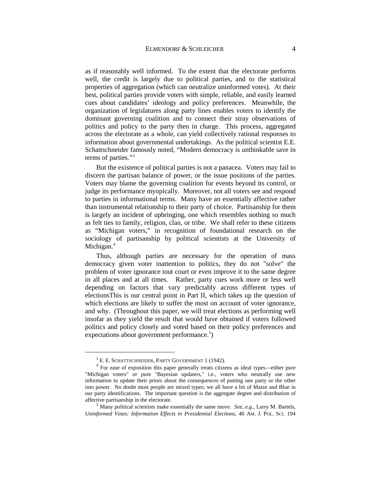as if reasonably well informed. To the extent that the electorate performs well, the credit is largely due to political parties, and to the statistical properties of aggregation (which can neutralize uninformed votes). At their best, political parties provide voters with simple, reliable, and easily learned cues about candidates' ideology and policy preferences. Meanwhile, the organization of legislatures along party lines enables voters to identify the dominant governing coalition and to connect their stray observations of politics and policy to the party then in charge. This process, aggregated across the electorate as a whole, can yield collectively rational responses to information about governmental undertakings. As the political scientist E.E. Schattschneider famously noted, "Modern democracy is unthinkable save in terms of parties."[3](#page-5-0)

<span id="page-5-3"></span>But the existence of political parties is not a panacea. Voters may fail to discern the partisan balance of power, or the issue positions of the parties. Voters may blame the governing coalition for events beyond its control, or judge its performance myopically. Moreover, not all voters see and respond to parties in informational terms. Many have an essentially affective rather than instrumental relationship to their party of choice. Partisanship for them is largely an incident of upbringing, one which resembles nothing so much as felt ties to family, religion, clan, or tribe. We shall refer to these citizens as "Michigan voters," in recognition of foundational research on the sociology of partisanship by political scientists at the University of Michigan.<sup>[4](#page-5-1)</sup>

Thus, although parties are necessary for the operation of mass democracy given voter inattention to politics, they do not "solve" the problem of voter ignorance tout court or even improve it to the same degree in all places and at all times. Rather, party cues work more or less well depending on factors that vary predictably across different types of electionsThis is our central point in Part II, which takes up the question of which elections are likely to suffer the most on account of voter ignorance, and why. (Throughout this paper, we will treat elections as performing well insofar as they yield the result that would have obtained if voters followed politics and policy closely and voted based on their policy preferences and expectations about government performance.<sup>[5](#page-5-2)</sup>)

<span id="page-5-4"></span>

<span id="page-5-1"></span><span id="page-5-0"></span><sup>&</sup>lt;sup>3</sup> E. E. SCHATTSCHNEIDER, PARTY GOVERNMENT 1 (1942).<br><sup>4</sup> For ease of exposition this paper generally treats citizens as ideal types—either pure "Michigan voters" or pure "Bayesian updaters," i.e., voters who neutrally use new information to update their priors about the consequences of putting one party or the other into power. No doubt most people are mixed types; we all have a bit of Maize and Blue in our party identifications. The important question is the aggregate degree and distribution of affective partisanship in the electorate. 5 Many political scientists make essentially the same move. *See*, *e.g.*, Larry M. Bartels,

<span id="page-5-2"></span>*Uninformed Votes: Information Effects in Presidential Elections*, 40 AM. J. POL. SCI. 194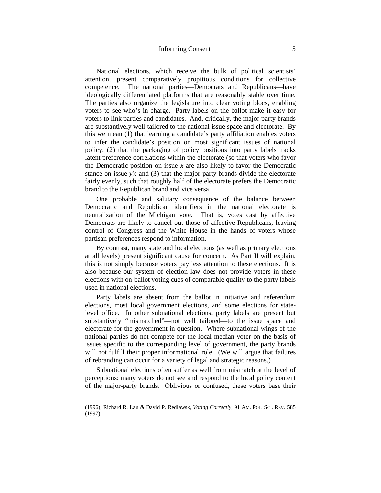#### Informing Consent 5

National elections, which receive the bulk of political scientists' attention, present comparatively propitious conditions for collective competence. The national parties—Democrats and Republicans—have ideologically differentiated platforms that are reasonably stable over time. The parties also organize the legislature into clear voting blocs, enabling voters to see who's in charge. Party labels on the ballot make it easy for voters to link parties and candidates. And, critically, the major-party brands are substantively well-tailored to the national issue space and electorate. By this we mean (1) that learning a candidate's party affiliation enables voters to infer the candidate's position on most significant issues of national policy; (2) that the packaging of policy positions into party labels tracks latent preference correlations within the electorate (so that voters who favor the Democratic position on issue  $x$  are also likely to favor the Democratic stance on issue *y*); and (3) that the major party brands divide the electorate fairly evenly, such that roughly half of the electorate prefers the Democratic brand to the Republican brand and vice versa.

One probable and salutary consequence of the balance between Democratic and Republican identifiers in the national electorate is neutralization of the Michigan vote. That is, votes cast by affective Democrats are likely to cancel out those of affective Republicans, leaving control of Congress and the White House in the hands of voters whose partisan preferences respond to information.

By contrast, many state and local elections (as well as primary elections at all levels) present significant cause for concern. As Part II will explain, this is not simply because voters pay less attention to these elections. It is also because our system of election law does not provide voters in these elections with on-ballot voting cues of comparable quality to the party labels used in national elections.

Party labels are absent from the ballot in initiative and referendum elections, most local government elections, and some elections for statelevel office. In other subnational elections, party labels are present but substantively "mismatched"—not well tailored—to the issue space and electorate for the government in question. Where subnational wings of the national parties do not compete for the local median voter on the basis of issues specific to the corresponding level of government, the party brands will not fulfill their proper informational role. (We will argue that failures of rebranding can occur for a variety of legal and strategic reasons.)

Subnational elections often suffer as well from mismatch at the level of perceptions: many voters do not see and respond to the local policy content of the major-party brands. Oblivious or confused, these voters base their

-

<sup>(1996);</sup> Richard R. Lau & David P. Redlawsk, *Voting Correctly*, 91 AM. POL. SCI. REV. 585 (1997).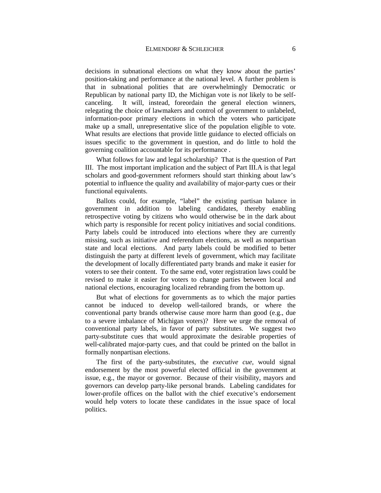decisions in subnational elections on what they know about the parties' position-taking and performance at the national level. A further problem is that in subnational polities that are overwhelmingly Democratic or Republican by national party ID, the Michigan vote is *not* likely to be selfcanceling. It will, instead, foreordain the general election winners, relegating the choice of lawmakers and control of government to unlabeled, information-poor primary elections in which the voters who participate make up a small, unrepresentative slice of the population eligible to vote. What results are elections that provide little guidance to elected officials on issues specific to the government in question, and do little to hold the governing coalition accountable for its performance .

What follows for law and legal scholarship? That is the question of Part III. The most important implication and the subject of Part III.A is that legal scholars and good-government reformers should start thinking about law's potential to influence the quality and availability of major-party cues or their functional equivalents.

Ballots could, for example, "label" the existing partisan balance in government in addition to labeling candidates, thereby enabling retrospective voting by citizens who would otherwise be in the dark about which party is responsible for recent policy initiatives and social conditions. Party labels could be introduced into elections where they are currently missing, such as initiative and referendum elections, as well as nonpartisan state and local elections. And party labels could be modified to better distinguish the party at different levels of government, which may facilitate the development of locally differentiated party brands and make it easier for voters to see their content. To the same end, voter registration laws could be revised to make it easier for voters to change parties between local and national elections, encouraging localized rebranding from the bottom up.

But what of elections for governments as to which the major parties cannot be induced to develop well-tailored brands, or where the conventional party brands otherwise cause more harm than good (e.g., due to a severe imbalance of Michigan voters)? Here we urge the removal of conventional party labels, in favor of party substitutes. We suggest two party-substitute cues that would approximate the desirable properties of well-calibrated major-party cues, and that could be printed on the ballot in formally nonpartisan elections.

The first of the party-substitutes, the *executive cue*, would signal endorsement by the most powerful elected official in the government at issue, e.g., the mayor or governor. Because of their visibility, mayors and governors can develop party-like personal brands. Labeling candidates for lower-profile offices on the ballot with the chief executive's endorsement would help voters to locate these candidates in the issue space of local politics.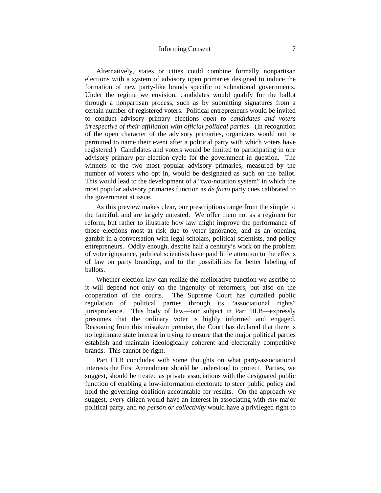# Informing Consent 7

Alternatively, states or cities could combine formally nonpartisan elections with a system of advisory open primaries designed to induce the formation of new party-like brands specific to subnational governments. Under the regime we envision, candidates would qualify for the ballot through a nonpartisan process, such as by submitting signatures from a certain number of registered voters. Political entrepreneurs would be invited to conduct advisory primary elections *open to candidates and voters irrespective of their affiliation with official political parties*. (In recognition of the open character of the advisory primaries, organizers would not be permitted to name their event after a political party with which voters have registered.) Candidates and voters would be limited to participating in one advisory primary per election cycle for the government in question. The winners of the two most popular advisory primaries, measured by the number of voters who opt in, would be designated as such on the ballot. This would lead to the development of a "two-notation system" in which the most popular advisory primaries function as *de facto* party cues calibrated to the government at issue.

As this preview makes clear, our prescriptions range from the simple to the fanciful, and are largely untested. We offer them not as a regimen for reform, but rather to illustrate how law might improve the performance of those elections most at risk due to voter ignorance, and as an opening gambit in a conversation with legal scholars, political scientists, and policy entrepreneurs. Oddly enough, despite half a century's work on the problem of voter ignorance, political scientists have paid little attention to the effects of law on party branding, and to the possibilities for better labeling of ballots.

Whether election law can realize the meliorative function we ascribe to it will depend not only on the ingenuity of reformers, but also on the cooperation of the courts. The Supreme Court has curtailed public regulation of political parties through its "associational rights" jurisprudence. This body of law—our subject in Part III.B—expressly presumes that the ordinary voter is highly informed and engaged. Reasoning from this mistaken premise, the Court has declared that there is no legitimate state interest in trying to ensure that the major political parties establish and maintain ideologically coherent and electorally competitive brands. This cannot be right.

Part III.B concludes with some thoughts on what party-associational interests the First Amendment should be understood to protect. Parties, we suggest, should be treated as private associations with the designated public function of enabling a low-information electorate to steer public policy and hold the governing coalition accountable for results. On the approach we suggest, *every* citizen would have an interest in associating with *any* major political party, and *no person or collectivity* would have a privileged right to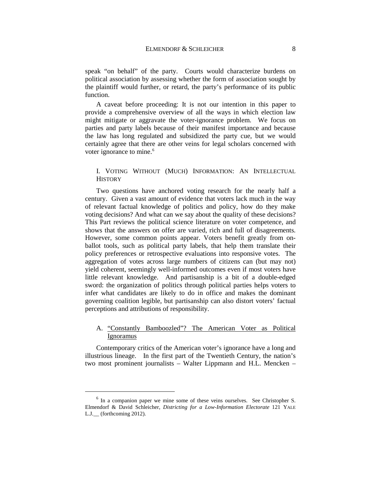speak "on behalf" of the party. Courts would characterize burdens on political association by assessing whether the form of association sought by the plaintiff would further, or retard, the party's performance of its public function.

A caveat before proceeding: It is not our intention in this paper to provide a comprehensive overview of all the ways in which election law might mitigate or aggravate the voter-ignorance problem. We focus on parties and party labels because of their manifest importance and because the law has long regulated and subsidized the party cue, but we would certainly agree that there are other veins for legal scholars concerned with voter ignorance to mine.<sup>[6](#page-9-2)</sup>

# <span id="page-9-3"></span><span id="page-9-0"></span>I. VOTING WITHOUT (MUCH) INFORMATION: AN INTELLECTUAL **HISTORY**

Two questions have anchored voting research for the nearly half a century. Given a vast amount of evidence that voters lack much in the way of relevant factual knowledge of politics and policy, how do they make voting decisions? And what can we say about the quality of these decisions? This Part reviews the political science literature on voter competence, and shows that the answers on offer are varied, rich and full of disagreements. However, some common points appear. Voters benefit greatly from onballot tools, such as political party labels, that help them translate their policy preferences or retrospective evaluations into responsive votes. The aggregation of votes across large numbers of citizens can (but may not) yield coherent, seemingly well-informed outcomes even if most voters have little relevant knowledge. And partisanship is a bit of a double-edged sword: the organization of politics through political parties helps voters to infer what candidates are likely to do in office and makes the dominant governing coalition legible, but partisanship can also distort voters' factual perceptions and attributions of responsibility.

# <span id="page-9-1"></span>A. "Constantly Bamboozled"? The American Voter as Political Ignoramus

Contemporary critics of the American voter's ignorance have a long and illustrious lineage. In the first part of the Twentieth Century, the nation's two most prominent journalists – Walter Lippmann and H.L. Mencken –

<span id="page-9-2"></span> $6$  In a companion paper we mine some of these veins ourselves. See Christopher S. Elmendorf & David Schleicher, *Districting for a Low-Information Electorate* 121 YALE L.J.\_\_ (forthcoming 2012).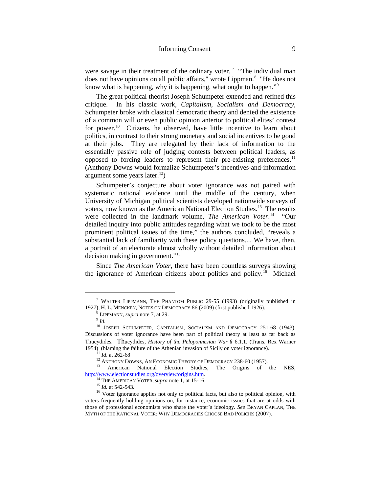<span id="page-10-0"></span>were savage in their treatment of the ordinary voter.<sup>[7](#page-10-1)</sup> "The individual man does not have opinions on all public affairs," wrote Lippman.<sup>[8](#page-10-2)</sup> "He does not know what is happening, why it is happening, what ought to happen."<sup>[9](#page-10-3)</sup>

The great political theorist Joseph Schumpeter extended and refined this critique. In his classic work, *Capitalism, Socialism and Democracy*, Schumpeter broke with classical democratic theory and denied the existence of a common will or even public opinion anterior to political elites' contest for power. [10](#page-10-4) Citizens, he observed, have little incentive to learn about politics, in contrast to their strong monetary and social incentives to be good at their jobs. They are relegated by their lack of information to the essentially passive role of judging contests between political leaders, as opposed to forcing leaders to represent their pre-existing preferences.<sup>[11](#page-10-5)</sup> (Anthony Downs would formalize Schumpeter's incentives-and-information argument some years later.<sup>[12](#page-10-6)</sup>)

<span id="page-10-12"></span><span id="page-10-11"></span>Schumpeter's conjecture about voter ignorance was not paired with systematic national evidence until the middle of the century, when University of Michigan political scientists developed nationwide surveys of voters, now known as the American National Election Studies. [13](#page-10-7) The results were collected in the landmark volume, *The American Voter*. [14](#page-10-8) "Our detailed inquiry into public attitudes regarding what we took to be the most prominent political issues of the time," the authors concluded, "reveals a substantial lack of familiarity with these policy questions.... We have, then, a portrait of an electorate almost wholly without detailed information about decision making in government."[15](#page-10-9)

Since *The American Voter*, there have been countless surveys showing the ignorance of American citizens about politics and policy.<sup>[16](#page-10-10)</sup> Michael

<span id="page-10-1"></span> <sup>7</sup> WALTER LIPPMANN, THE PHANTOM PUBLIC 29-55 (1993) (originally published in 1927); H. L. MENCKEN, NOTES ON DEMOCRACY 86 (2009) (first published 1926). <sup>8</sup> LIPPMANN, *supra* not[e 7,](#page-10-0) at 29.

<span id="page-10-4"></span><span id="page-10-3"></span><span id="page-10-2"></span><sup>&</sup>lt;sup>10</sup> JOSEPH SCHUMPETER, CAPITALISM, SOCIALISM AND DEMOCRACY 251-68 (1943). Discussions of voter ignorance have been part of political theory at least as far back as Thucydides. Thucydides, *History of the Peloponnesian War* § 6.1.1. (Trans. Rex Warner

<span id="page-10-7"></span><span id="page-10-6"></span><span id="page-10-5"></span><sup>&</sup>lt;sup>11</sup> *Id.* at 262-68<br><sup>12</sup> ANTHONY DOWNS, AN ECONOMIC THEORY OF DEMOCRACY 238-60 (1957).<br><sup>13</sup> American National Election Studies, The Origins of the NES,

<span id="page-10-10"></span><span id="page-10-9"></span><span id="page-10-8"></span>http://www.electionstudies.org/overview/origins.htm.<br><sup>14</sup> THE AMERICAN VOTER, *supra* note [1,](#page-4-3) at 15-16.<br><sup>15</sup> *Id.* at 542-543.<br><sup>16</sup> Voter ignorance applies not only to political facts, but also to political opinion, with voters frequently holding opinions on, for instance, economic issues that are at odds with those of professional economists who share the voter's ideology. *See* BRYAN CAPLAN, THE MYTH OF THE RATIONAL VOTER: WHY DEMOCRACIES CHOOSE BAD POLICIES (2007).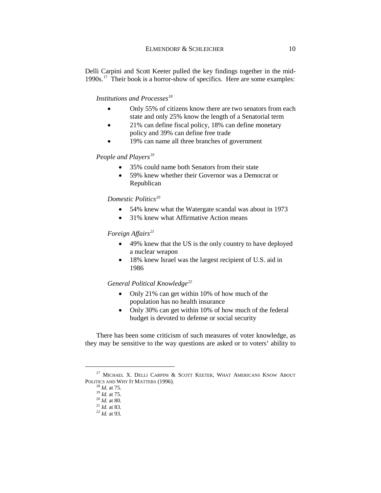Delli Carpini and Scott Keeter pulled the key findings together in the mid-1990s.<sup>17</sup> Their book is a horror-show of specifics. Here are some examples:

#### *Institutions and Processes[18](#page-11-1)*

- Only 55% of citizens know there are two senators from each state and only 25% know the length of a Senatorial term
- 21% can define fiscal policy, 18% can define monetary policy and 39% can define free trade
- 19% can name all three branches of government

# *People and Players<sup>19</sup>*

- 35% could name both Senators from their state
- 59% knew whether their Governor was a Democrat or Republican

# *Domestic Politics[20](#page-11-3)*

- 54% knew what the Watergate scandal was about in 1973
- 31% knew what Affirmative Action means

# *Foreign Affairs*<sup>21</sup>

- 49% knew that the US is the only country to have deployed a nuclear weapon
- 18% knew Israel was the largest recipient of U.S. aid in 1986

#### *General Political Knowledge[22](#page-11-5)*

- Only 21% can get within 10% of how much of the population has no health insurance
- Only 30% can get within 10% of how much of the federal budget is devoted to defense or social security

There has been some criticism of such measures of voter knowledge, as they may be sensitive to the way questions are asked or to voters' ability to

<span id="page-11-5"></span><span id="page-11-4"></span><span id="page-11-3"></span><span id="page-11-2"></span><span id="page-11-1"></span><span id="page-11-0"></span><sup>&</sup>lt;sup>17</sup> MICHAEL X. DELLI CARPINI & SCOTT KEETER, WHAT AMERICANS KNOW ABOUT POLITICS AND WHY IT MATTERS (1996).<br><sup>18</sup> *Id.* at 75.<br><sup>19</sup> *Id.* at 75.<br><sup>20</sup> *Id.* at 80.<br><sup>21</sup> *Id.* at 83.<br><sup>22</sup> *Id.* at 93.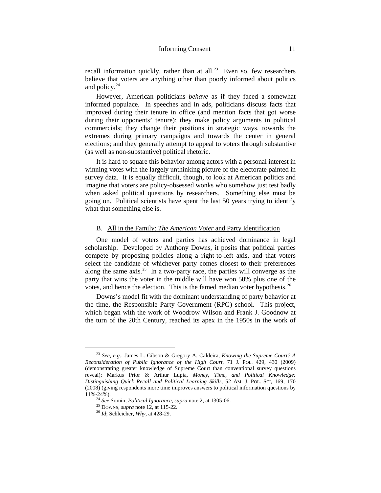recall information quickly, rather than at all.<sup>23</sup> Even so, few researchers believe that voters are anything other than poorly informed about politics and policy. $24$ 

However, American politicians *behave* as if they faced a somewhat informed populace. In speeches and in ads, politicians discuss facts that improved during their tenure in office (and mention facts that got worse during their opponents' tenure); they make policy arguments in political commercials; they change their positions in strategic ways, towards the extremes during primary campaigns and towards the center in general elections; and they generally attempt to appeal to voters through substantive (as well as non-substantive) political rhetoric.

It is hard to square this behavior among actors with a personal interest in winning votes with the largely unthinking picture of the electorate painted in survey data. It is equally difficult, though, to look at American politics and imagine that voters are policy-obsessed wonks who somehow just test badly when asked political questions by researchers. Something else must be going on. Political scientists have spent the last 50 years trying to identify what that something else is.

#### B. All in the Family: *The American Voter* and Party Identification

<span id="page-12-0"></span>One model of voters and parties has achieved dominance in legal scholarship. Developed by Anthony Downs, it posits that political parties compete by proposing policies along a right-to-left axis, and that voters select the candidate of whichever party comes closest to their preferences along the same axis.<sup>[25](#page-12-3)</sup> In a two-party race, the parties will converge as the party that wins the voter in the middle will have won 50% plus one of the votes, and hence the election. This is the famed median voter hypothesis.<sup>26</sup>

Downs's model fit with the dominant understanding of party behavior at the time, the Responsible Party Government (RPG) school. This project, which began with the work of Woodrow Wilson and Frank J. Goodnow at the turn of the 20th Century, reached its apex in the 1950s in the work of

<span id="page-12-1"></span> <sup>23</sup> *See, e.g.*, James L. Gibson & Gregory A. Caldeira, *Knowing the Supreme Court? A Reconsideration of Public Ignorance of the High Court*, 71 J. POL. 429, 430 (2009) (demonstrating greater knowledge of Supreme Court than conventional survey questions reveal); Markus Prior & Arthur Lupia, *Money, Time, and Political Knowledge: Distinguishing Quick Recall and Political Learning Skills*, 52 AM. J. POL. SCI, 169, 170 (2008) (giving respondents more time improves answers to political information questions by 11%-24%).

<span id="page-12-3"></span><span id="page-12-2"></span><sup>24</sup> *See* Somin, *Political Ignorance*, *supra* note [2,](#page-4-4) at 1305-06. <sup>25</sup> DOWNS, *supra* not[e 12](#page-10-11)*,* at 115-22. <sup>26</sup> *Id*; Schleicher, *Why,* at 428-29.

<span id="page-12-4"></span>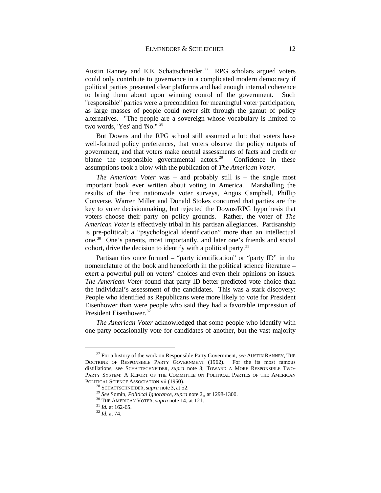Austin Ranney and E.E. Schattschneider.<sup>27</sup> RPG scholars argued voters could only contribute to governance in a complicated modern democracy if political parties presented clear platforms and had enough internal coherence to bring them about upon winning conrol of the government. Such "responsible" parties were a precondition for meaningful voter participation, as large masses of people could never sift through the gamut of policy alternatives. "The people are a sovereign whose vocabulary is limited to two words, 'Yes' and 'No.'"[28](#page-13-1) 

But Downs and the RPG school still assumed a lot: that voters have well-formed policy preferences, that voters observe the policy outputs of government, and that voters make neutral assessments of facts and credit or blame the responsible governmental actors.<sup>29</sup> Confidence in these assumptions took a blow with the publication of *The American Voter.*

*The American Voter* was – and probably still is – the single most important book ever written about voting in America. Marshalling the results of the first nationwide voter surveys, Angus Campbell, Phillip Converse, Warren Miller and Donald Stokes concurred that parties are the key to voter decisionmaking, but rejected the Downs/RPG hypothesis that voters choose their party on policy grounds. Rather, the voter of *The American Voter* is effectively tribal in his partisan allegiances. Partisanship is pre-political; a "psychological identification" more than an intellectual one.[30](#page-13-3) One's parents, most importantly, and later one's friends and social cohort, drive the decision to identify with a political party. $31$ 

Partisan ties once formed – "party identification" or "party ID" in the nomenclature of the book and henceforth in the political science literature – exert a powerful pull on voters' choices and even their opinions on issues. *The American Voter* found that party ID better predicted vote choice than the individual's assessment of the candidates. This was a stark discovery: People who identified as Republicans were more likely to vote for President Eisenhower than were people who said they had a favorable impression of President Eisenhower.[32](#page-13-5)

*The American Voter* acknowledged that some people who identify with one party occasionally vote for candidates of another, but the vast majority

<span id="page-13-2"></span><span id="page-13-1"></span><span id="page-13-0"></span> <sup>27</sup> For a history of the work on Responsible Party Government*, see* AUSTIN RANNEY, THE DOCTRINE OF RESPONSIBLE PARTY GOVERNMENT (1962). For the its most famous distillations, see SCHATTSCHNEIDER, *supra* note [3;](#page-5-3) TOWARD A MORE RESPONSIBLE TWO-PARTY SYSTEM: A REPORT OF THE COMMITTEE ON POLITICAL PARTIES OF THE AMERICAN POLITICAL SCIENCE ASSOCIATION vii (1950).<br><sup>28</sup> SCHATTSCHNEIDER, *supra* note 3, at 52.<br><sup>29</sup> See Somin, *Political Ignorance*, *supra* note [2,,](#page-4-4) at 1298-1300.<br><sup>30</sup> THE AMERICAN VOTER, *supra* note [14](#page-10-12), at 121.<br><sup>31</sup> Id. at 16

<span id="page-13-5"></span><span id="page-13-4"></span><span id="page-13-3"></span>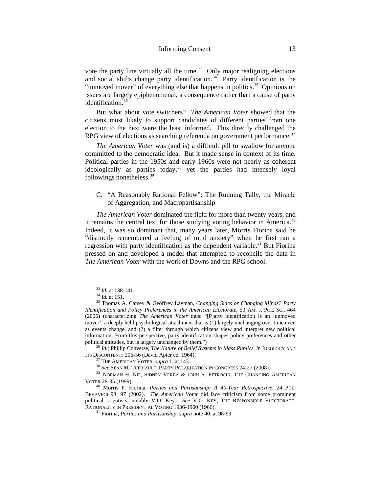<span id="page-14-11"></span>vote the party line virtually all the time.<sup>[33](#page-14-2)</sup> Only major realigning elections and social shifts change party identification.<sup>[34](#page-14-3)</sup> Party identification is the "unmoved mover" of everything else that happens in politics.<sup>[35](#page-14-4)</sup> Opinions on issues are largely epiphenomenal, a consequence rather than a cause of party identification. [36](#page-14-5)

But what about vote switchers? *The American Voter* showed that the citizens most likely to support candidates of different parties from one election to the next were the least informed. This directly challenged the RPG view of elections as searching referenda on government performance.<sup>[37](#page-14-6)</sup>

*The American Voter* was (and is) a difficult pill to swallow for anyone committed to the democratic idea. But it made sense in context of its time. Political parties in the 1950s and early 1960s were not nearly as coherent ideologically as parties today, [38](#page-14-7) yet the parties had intensely loyal followings nonetheless. [39](#page-14-8)

# <span id="page-14-1"></span><span id="page-14-0"></span>C. "A Reasonably Rational Fellow": The Running Tally, the Miracle of Aggregation, and Macropartisanship

*The American Voter* dominated the field for more than twenty years, and it remains the central text for those studying voting behavior in America.<sup>[40](#page-14-9)</sup> Indeed, it was so dominant that, many years later, Morris Fiorina said he "distinctly remembered a feeling of mild anxiety" when he first ran a regression with party identification as the dependent variable.<sup>[41](#page-14-10)</sup> But Fiorina pressed on and developed a model that attempted to reconcile the data in *The American Voter* with the work of Downs and the RPG school.

<span id="page-14-4"></span><span id="page-14-3"></span><span id="page-14-2"></span><sup>33</sup> *Id.* at 138-141. <sup>34</sup> *Id.* at 151. <sup>35</sup> Thomas A. Carsey & Geoffrey Layman, *Changing Sides or Changing Minds? Party Identification and Policy Preferences in the American Electorate*, 50 AM. J. POL. SCI. 464 (2006) (characterizing *The American Voter* thus: "[P]arty identification is an 'unmoved mover': a deeply held psychological attachment that is (1) largely unchanging over time even as events change, and (2) a filter through which citizens view and interpret new political information. From this perspective, party identification shapes policy preferences and other political attitudes, but is largely unchanged by them.")

<span id="page-14-5"></span><sup>&</sup>lt;sup>36</sup> *Id.*; Phillip Converse, *The Nature of Belief Systems in Mass Publics*, *in* IDEOLOGY AND ITS DISCONTENTS 206-56 (David Apter ed. 1964).

<span id="page-14-7"></span><span id="page-14-6"></span><sup>&</sup>lt;sup>37</sup> The American Voter, *supra* [1,](#page-4-3) at 143.<br><sup>38</sup> See Sean M. Theriault, Party Polarization in Congress 24-27 (2008).<br><sup>39</sup> Norman H. Nie, Sidney Verba & John R. Petrocik, The Changing American VOTER 28-35 (1999). <sup>40</sup> Morris P. Fiorina, *Parties and Partisanship: A 40-Year Retrospective*, 24 POL.

<span id="page-14-10"></span><span id="page-14-9"></span><span id="page-14-8"></span>BEHAVIOR 93, 97 (2002). *The American Voter* did face criticism from some prominent political scientists, notably V.O. Key. *See* V.O. KEY, THE RESPONSIBLE ELECTORATE:

<sup>&</sup>lt;sup>41</sup> Fiorina, *Parties and Partisanship*, *supra* not[e 40,](#page-14-1) at 98-99.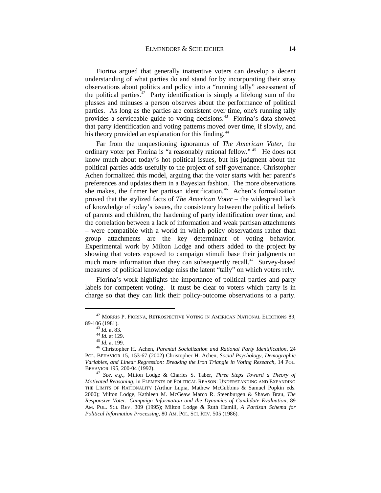<span id="page-15-6"></span>Fiorina argued that generally inattentive voters can develop a decent understanding of what parties do and stand for by incorporating their stray observations about politics and policy into a "running tally" assessment of the political parties.<sup>42</sup> Party identification is simply a lifelong sum of the plusses and minuses a person observes about the performance of political parties. As long as the parties are consistent over time, one's running tally provides a serviceable guide to voting decisions. [43](#page-15-1) Fiorina's data showed that party identification and voting patterns moved over time, if slowly, and his theory provided an explanation for this finding.<sup>[44](#page-15-2)</sup>

Far from the unquestioning ignoramus of *The American Voter*, the ordinary voter per Fiorina is "a reasonably rational fellow."<sup>[45](#page-15-3)</sup> He does not know much about today's hot political issues, but his judgment about the political parties adds usefully to the project of self-governance. Christopher Achen formalized this model, arguing that the voter starts with her parent's preferences and updates them in a Bayesian fashion. The more observations she makes, the firmer her partisan identification.<sup>[46](#page-15-4)</sup> Achen's formalization proved that the stylized facts of *The American Voter* – the widespread lack of knowledge of today's issues, the consistency between the political beliefs of parents and children, the hardening of party identification over time, and the correlation between a lack of information and weak partisan attachments – were compatible with a world in which policy observations rather than group attachments are the key determinant of voting behavior. Experimental work by Milton Lodge and others added to the project by showing that voters exposed to campaign stimuli base their judgments on much more information than they can subsequently recall. $47$  Survey-based measures of political knowledge miss the latent "tally" on which voters rely.

Fiorina's work highlights the importance of political parties and party labels for competent voting. It must be clear to voters which party is in charge so that they can link their policy-outcome observations to a party.

<span id="page-15-0"></span> $^{42}$  MORRIS P. FIORINA, RETROSPECTIVE VOTING IN AMERICAN NATIONAL ELECTIONS 89, 89-106 (1981).

<span id="page-15-4"></span><span id="page-15-3"></span><span id="page-15-2"></span><span id="page-15-1"></span><sup>89-106 (1981).</sup> <sup>43</sup> *Id.* at 83. 44 *Id.* at 129. <sup>45</sup> *Id.* at 199. <sup>46</sup> Christopher H. Achen, *Parental Socialization and Rational Party Identification*, 24 POL. BEHAVIOR 15, 153-67 (2002) Christopher H. Achen, *Social Psychology, Demographic Variables, and Linear Regression: Breaking the Iron Triangle in Voting Research*, 14 POL.

<span id="page-15-5"></span><sup>&</sup>lt;sup>47</sup> See, e.g., Milton Lodge & Charles S. Taber, *Three Steps Toward a Theory of Motivated Reasoning*, in ELEMENTS OF POLITICAL REASON: UNDERSTANDING AND EXPANDING THE LIMITS OF RATIONALITY (Arthur Lupia, Mathew McCubbins & Samuel Popkin eds. 2000); Milton Lodge, Kathleen M. McGeaw Marco R. Steenburgen & Shawn Brau, *The Responsive Voter: Campaign Information and the Dynamics of Candidate Evaluation*, 89 AM. POL. SCI. REV. 309 (1995); Milton Lodge & Ruth Hamill, *A Partisan Schema for Political Information Processing*, 80 AM. POL. SCI. REV. 505 (1986).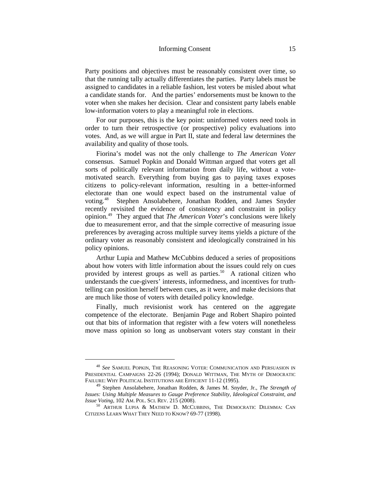Party positions and objectives must be reasonably consistent over time, so that the running tally actually differentiates the parties. Party labels must be assigned to candidates in a reliable fashion, lest voters be misled about what a candidate stands for. And the parties' endorsements must be known to the voter when she makes her decision. Clear and consistent party labels enable low-information voters to play a meaningful role in elections.

For our purposes, this is the key point: uninformed voters need tools in order to turn their retrospective (or prospective) policy evaluations into votes. And, as we will argue in Part II, state and federal law determines the availability and quality of those tools.

Fiorina's model was not the only challenge to *The American Voter* consensus. Samuel Popkin and Donald Wittman argued that voters get all sorts of politically relevant information from daily life, without a votemotivated search. Everything from buying gas to paying taxes exposes citizens to policy-relevant information, resulting in a better-informed electorate than one would expect based on the instrumental value of voting.[48](#page-16-0) Stephen Ansolabehere, Jonathan Rodden, and James Snyder recently revisited the evidence of consistency and constraint in policy opinion.[49](#page-16-1) They argued that *The American Voter*'s conclusions were likely due to measurement error, and that the simple corrective of measuring issue preferences by averaging across multiple survey items yields a picture of the ordinary voter as reasonably consistent and ideologically constrained in his policy opinions.

<span id="page-16-3"></span>Arthur Lupia and Mathew McCubbins deduced a series of propositions about how voters with little information about the issues could rely on cues provided by interest groups as well as parties.<sup>[50](#page-16-2)</sup> A rational citizen who understands the cue-givers' interests, informedness, and incentives for truthtelling can position herself between cues, as it were, and make decisions that are much like those of voters with detailed policy knowledge.

Finally, much revisionist work has centered on the aggregate competence of the electorate. Benjamin Page and Robert Shapiro pointed out that bits of information that register with a few voters will nonetheless move mass opinion so long as unobservant voters stay constant in their

<span id="page-16-0"></span> <sup>48</sup> *See* SAMUEL POPKIN, THE REASONING VOTER: COMMUNICATION AND PERSUASION IN PRESIDENTIAL CAMPAIGNS 22-26 (1994); DONALD WITTMAN, THE MYTH OF DEMOCRATIC FAILURE: WHY POLITICAL INSTITUTIONS ARE EFFICIENT 11-12 (1995).

<span id="page-16-1"></span><sup>49</sup> Stephen Ansolabehere, Jonathan Rodden, & James M. Snyder, Jr., *The Strength of Issues: Using Multiple Measures to Gauge Preference Stability, Ideological Constraint, and* 

<span id="page-16-2"></span><sup>&</sup>lt;sup>50</sup> ARTHUR LUPIA & MATHEW D. MCCUBBINS, THE DEMOCRATIC DILEMMA: CAN CITIZENS LEARN WHAT THEY NEED TO KNOW? 69-77 (1998).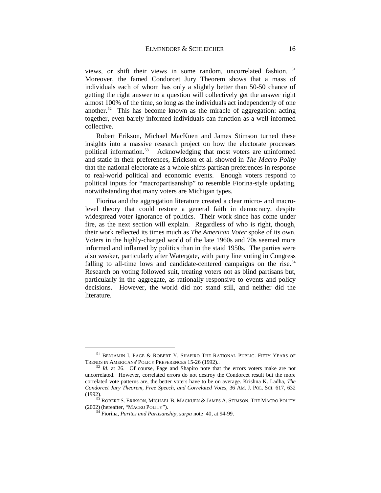views, or shift their views in some random, uncorrelated fashion.<sup>[51](#page-17-0)</sup> Moreover, the famed Condorcet Jury Theorem shows that a mass of individuals each of whom has only a slightly better than 50-50 chance of getting the right answer to a question will collectively get the answer right almost 100% of the time, so long as the individuals act independently of one another.<sup>[52](#page-17-1)</sup> This has become known as the miracle of aggregation: acting together, even barely informed individuals can function as a well-informed collective.

<span id="page-17-4"></span>Robert Erikson, Michael MacKuen and James Stimson turned these insights into a massive research project on how the electorate processes political information.[53](#page-17-2) Acknowledging that most voters are uninformed and static in their preferences, Erickson et al. showed in *The Macro Polity*  that the national electorate as a whole shifts partisan preferences in response to real-world political and economic events. Enough voters respond to political inputs for "macropartisanship" to resemble Fiorina-style updating, notwithstanding that many voters are Michigan types.

Fiorina and the aggregation literature created a clear micro- and macrolevel theory that could restore a general faith in democracy, despite widespread voter ignorance of politics. Their work since has come under fire, as the next section will explain. Regardless of who is right, though, their work reflected its times much as *The American Voter* spoke of its own. Voters in the highly-charged world of the late 1960s and 70s seemed more informed and inflamed by politics than in the staid 1950s. The parties were also weaker, particularly after Watergate, with party line voting in Congress falling to all-time lows and candidate-centered campaigns on the rise.<sup>[54](#page-17-3)</sup> Research on voting followed suit, treating voters not as blind partisans but, particularly in the aggregate, as rationally responsive to events and policy decisions. However, the world did not stand still, and neither did the literature.

<span id="page-17-0"></span> $^{51}$ BENJAMIN I. PAGE & ROBERT Y. SHAPIRO THE RATIONAL PUBLIC: FIFTY YEARS OF TRENDS IN AMERICANS' POLICY PREFERENCES 15-26 (1992)..

<span id="page-17-1"></span> $52$  *Id.* at 26. Of course, Page and Shapiro note that the errors voters make are not uncorrelated. However, correlated errors do not destroy the Condorcet result but the more correlated vote patterns are, the better voters have to be on average. Krishna K. Ladha, *The Condorcet Jury Theorem, Free Speech, and Correlated Votes*, 36 AM. J. POL. SCI. 617, 632 (1992).

<span id="page-17-3"></span><span id="page-17-2"></span><sup>&</sup>lt;sup>53</sup> ROBERT S. ERIKSON, MICHAEL B. MACKUEN & JAMES A. STIMSON, THE MACRO POLITY (2002) (hereafter, "MACRO POLITY").

<sup>&</sup>lt;sup>54</sup> Fiorina, *Parites and Partisanship*, *surpa* note [40,](#page-14-1) at 94-99.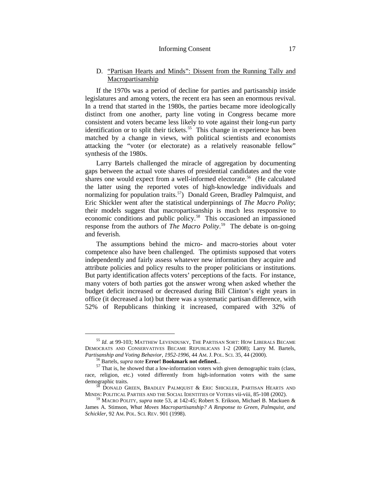#### Informing Consent 17

## <span id="page-18-0"></span>D. "Partisan Hearts and Minds": Dissent from the Running Tally and Macropartisanship

If the 1970s was a period of decline for parties and partisanship inside legislatures and among voters, the recent era has seen an enormous revival. In a trend that started in the 1980s, the parties became more ideologically distinct from one another, party line voting in Congress became more consistent and voters became less likely to vote against their long-run party identification or to split their tickets.<sup>[55](#page-18-1)</sup> This change in experience has been matched by a change in views, with political scientists and economists attacking the "voter (or electorate) as a relatively reasonable fellow" synthesis of the 1980s.

Larry Bartels challenged the miracle of aggregation by documenting gaps between the actual vote shares of presidential candidates and the vote shares one would expect from a well-informed electorate.<sup>[56](#page-18-2)</sup> (He calculated the latter using the reported votes of high-knowledge individuals and normalizing for population traits.<sup>57</sup>) Donald Green, Bradley Palmquist, and Eric Shickler went after the statistical underpinnings of *The Macro Polity*; their models suggest that macropartisanship is much less responsive to economic conditions and public policy. [58](#page-18-4) This occasioned an impassioned response from the authors of *The Macro Polity*. [59](#page-18-5) The debate is on-going and feverish.

The assumptions behind the micro- and macro-stories about voter competence also have been challenged. The optimists supposed that voters independently and fairly assess whatever new information they acquire and attribute policies and policy results to the proper politicians or institutions. But party identification affects voters' perceptions of the facts. For instance, many voters of both parties got the answer wrong when asked whether the budget deficit increased or decreased during Bill Clinton's eight years in office (it decreased a lot) but there was a systematic partisan difference, with 52% of Republicans thinking it increased, compared with 32% of

<span id="page-18-1"></span> <sup>55</sup> *Id.* at 99-103; MATTHEW LEVENDUSKY, THE PARTISAN SORT: HOW LIBERALS BECAME DEMOCRATS AND CONSERVATIVES BECAME REPUBLICANS 1-2 (2008); Larry M. Bartels, *Partisanship and Voting Behavior*, 1952-1996, 44 AM. J. Pol. Sci. 35, 44 (2000).

<span id="page-18-3"></span><span id="page-18-2"></span><sup>&</sup>lt;sup>56</sup> Bartels, *supra* note **Error! Bookmark not defined.**..<br><sup>57</sup> That is, he showed that a low-information voters with given demographic traits (class, race, religion, etc.) voted differently from high-information voters with the same demographic traits.

<span id="page-18-4"></span> $^{58}$  Donald Green, Bradley Palmquist & Eric Shickler, Partisan Hearts and Minds: Political Parties and the Social Identities of Voters vii-viii, 85-108 (2002).

<span id="page-18-5"></span><sup>&</sup>lt;sup>59</sup> MACRO POLITY, *supra* note [53,](#page-17-4) at 142-45; Robert S. Erikson, Michael B. Mackuen & James A. Stimson, *What Moves Macropartisanship? A Response to Green, Palmquist, and Schickler*, 92 AM. POL. SCI. REV. 901 (1998).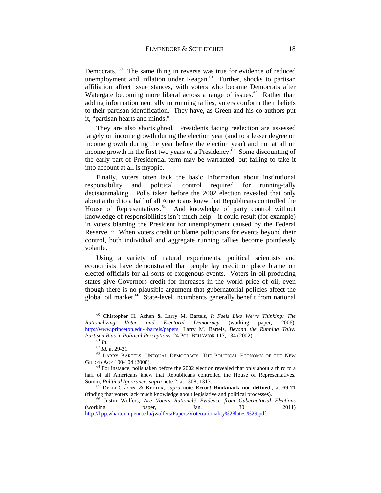Democrats. <sup>60</sup> The same thing in reverse was true for evidence of reduced unemployment and inflation under Reagan.<sup>61</sup> Further, shocks to partisan affiliation affect issue stances, with voters who became Democrats after Watergate becoming more liberal across a range of issues.<sup>[62](#page-19-2)</sup> Rather than adding information neutrally to running tallies, voters conform their beliefs to their partisan identification. They have, as Green and his co-authors put it, "partisan hearts and minds."

<span id="page-19-8"></span>They are also shortsighted. Presidents facing reelection are assessed largely on income growth during the election year (and to a lesser degree on income growth during the year before the election year) and not at all on income growth in the first two years of a Presidency. $63$  Some discounting of the early part of Presidential term may be warranted, but failing to take it into account at all is myopic.

Finally, voters often lack the basic information about institutional responsibility and political control required for running-tally decisionmaking. Polls taken before the 2002 election revealed that only about a third to a half of all Americans knew that Republicans controlled the House of Representatives.<sup>[64](#page-19-4)</sup> And knowledge of party control without knowledge of responsibilities isn't much help—it could result (for example) in voters blaming the President for unemployment caused by the Federal Reserve. <sup>[65](#page-19-5)</sup> When voters credit or blame politicians for events beyond their control, both individual and aggregate running tallies become pointlessly volatile.

Using a variety of natural experiments, political scientists and economists have demonstrated that people lay credit or place blame on elected officials for all sorts of exogenous events. Voters in oil-producing states give Governors credit for increases in the world price of oil, even though there is no plausible argument that gubernatorial policies affect the global oil market.<sup>66</sup> State-level incumbents generally benefit from national

<span id="page-19-7"></span><span id="page-19-0"></span> <sup>60</sup> Chistopher H. Achen & Larry M. Bartels, *It Feels Like We're Thinking: The Rectoral Democracy* (working paper, 2006), [http://www.princeton.edu/~bartels/papers;](http://www.princeton.edu/~bartels/papers) Larry M. Bartels, *Beyond the Running Tally:* 

<span id="page-19-3"></span><span id="page-19-2"></span><span id="page-19-1"></span><sup>&</sup>lt;sup>61</sup> *Id.*<br><sup>62</sup> *Id.* at 29-31.<br><sup>63</sup> LARRY BARTELS, UNEQUAL DEMOCRACY: THE POLITICAL ECONOMY OF THE NEW GILDED AGE 100-104 (2008).

<span id="page-19-4"></span> $64$  For instance, polls taken before the 2002 election revealed that only about a third to a half of all Americans knew that Republicans controlled the House of Representatives. Somin, *Political Ignorance*, *supra* note [2,](#page-4-4) at 1308, 1313. <sup>65</sup> DELLI CARPINI & KEETER, *supra* note **Error! Bookmark not defined.**, at 69-71

<span id="page-19-5"></span>

<span id="page-19-6"></span><sup>(</sup>finding that voters lack much knowledge about legislative and political processes).<br>
<sup>66</sup> Justin Wolfers, *Are Voters Rational? Evidence from Gubernatorial Elections*<br>
(working paper, Jan. 30, 2011) (working paper, Jan. 30, 2011) [http://bpp.wharton.upenn.edu/jwolfers/Papers/Voterrationality%28latest%29.pdf.](http://bpp.wharton.upenn.edu/jwolfers/Papers/Voterrationality%28latest%29.pdf)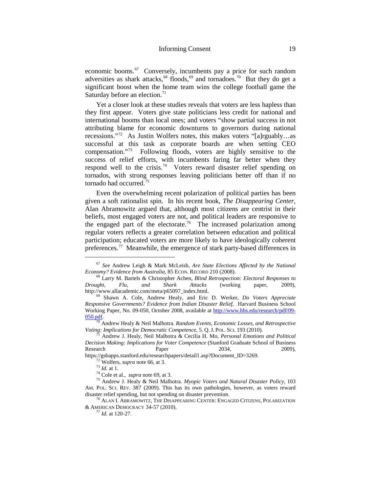<span id="page-20-0"></span>economic booms.<sup>67</sup> Conversely, incumbents pay a price for such random adversities as shark attacks,  $68$  floods,  $69$  and tornadoes.  $70$  But they do get a significant boost when the home team wins the college football game the Saturday before an election.<sup>[71](#page-20-5)</sup>

Yet a closer look at these studies reveals that voters are less hapless than they first appear. Voters give state politicians less credit for national and international booms than local ones; and voters "show partial success in not attributing blame for economic downturns to governors during national recessions."[72](#page-20-6) As Justin Wolfers notes, this makes voters "[a]rguably…as successful at this task as corporate boards are when setting CEO compensation."[73](#page-20-7) Following floods, voters are highly sensitive to the success of relief efforts, with incumbents faring far better when they respond well to the crisis.<sup>[74](#page-20-8)</sup> Voters reward disaster relief spending on tornados, with strong responses leaving politicians better off than if no tornado had occurred<sup>[75](#page-20-9)</sup>

<span id="page-20-12"></span>Even the overwhelming recent polarization of political parties has been given a soft rationalist spin. In his recent book, *The Disappearing Center*, Alan Abramowitz argued that, although most citizens are centrist in their beliefs, most engaged voters are not, and political leaders are responsive to the engaged part of the electorate.<sup>76</sup> The increased polarization among regular voters reflects a greater correlation between education and political participation; educated voters are more likely to have ideologically coherent preferences.<sup>[77](#page-20-11)</sup> Meanwhile, the emergence of stark party-based differences in

<span id="page-20-1"></span> <sup>67</sup> *See* Andrew Leigh & Mark McLeish, *Are State Elections Affected by the National* 

<span id="page-20-2"></span><sup>&</sup>lt;sup>68</sup> Larry M. Bartels & Christopher Achen, *Blind Retrospection: Electoral Responses to Drought, Flu, and Shark Attacks* (working paper, 2009), http://www.allacademic.com/meta/p65097\_index.html. <sup>69</sup> Shawn A. Cole, Andrew Healy, and Eric D. Werker, *Do Voters Appreciate* 

<span id="page-20-3"></span>*Responsive Governments? Evidence from Indian Disaster Relief*, Harvard Business School Working Paper, No. 09-050, October 2008, available a[t http://www.hbs.edu/research/pdf/09-](http://www.hbs.edu/research/pdf/09-050.pdf)

<span id="page-20-4"></span>[<sup>050.</sup>pdf.](http://www.hbs.edu/research/pdf/09-050.pdf) <sup>70</sup> Andrew Healy & Neil Malhotra. *Random Events, Economic Losses, and Retrospective Voting: Implications for Democratic Competence*, 5. Q. J. POL. SCI. 193 (2010).<br><sup>71</sup> Andrew J. Healy, Neil Malhotra & Cecilia H. Mo, *Personal Emotions and Political* 

<span id="page-20-5"></span>*Decision Making: Implications for Voter Competence* (Stanford Graduate School of Business Research **Paper** 2034, 2009),

<span id="page-20-8"></span><span id="page-20-7"></span><span id="page-20-6"></span>https://gsbapps.stanford.edu/researchpapers/detail1.asp?Document\_ID=3269.<br><sup>72</sup> Wolfers, *supra* note [66,](#page-19-7) at 3.<br><sup>73</sup> Id. at 1.<br><sup>74</sup> Cole et al., *supra* note [69,](#page-20-0) at 3.<br><sup>75</sup> Andrew J. Healy & Neil Malhotra. *Myopic Voters an* AM. POL. SCI. REV. 387 (2009). This has its own pathologies, however, as voters reward disaster relief spending, but not spending on disaster prevention.

<span id="page-20-11"></span><span id="page-20-10"></span><span id="page-20-9"></span> $^{76}$  ALAN I. ABRAMOWITZ, THE DISAPPEARING CENTER: ENGAGED CITIZENS, POLARIZATION & AMERICAN DEMOCRACY 34-57 (2010). <sup>77</sup> *Id.* at 120-27.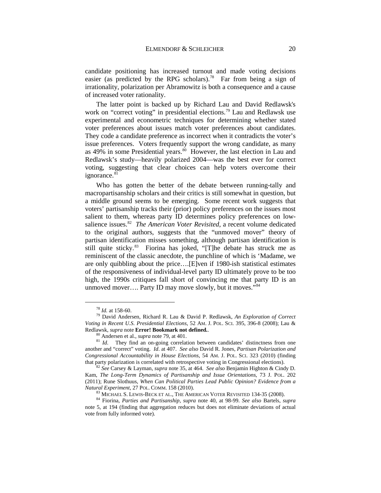candidate positioning has increased turnout and made voting decisions easier (as predicted by the RPG scholars).<sup>[78](#page-21-1)</sup> Far from being a sign of irrationality, polarization per Abramowitz is both a consequence and a cause of increased voter rationality.

<span id="page-21-0"></span>The latter point is backed up by Richard Lau and David Redlawsk's work on "correct voting" in presidential elections.<sup>[79](#page-21-2)</sup> Lau and Redlawsk use experimental and econometric techniques for determining whether stated voter preferences about issues match voter preferences about candidates. They code a candidate preference as incorrect when it contradicts the voter's issue preferences. Voters frequently support the wrong candidate, as many as 49% in some Presidential years.<sup>80</sup> However, the last election in Lau and Redlawsk's study—heavily polarized 2004—was the best ever for correct voting, suggesting that clear choices can help voters overcome their ignorance.<sup>81</sup>

Who has gotten the better of the debate between running-tally and macropartisanship scholars and their critics is still somewhat in question, but a middle ground seems to be emerging. Some recent work suggests that voters' partisanship tracks their (prior) policy preferences on the issues most salient to them, whereas party ID determines policy preferences on lowsalience issues.<sup>82</sup> *The American Voter Revisited*, a recent volume dedicated to the original authors, suggests that the "unmoved mover" theory of partisan identification misses something, although partisan identification is still quite sticky.<sup>83</sup> Fiorina has joked, "[T]he debate has struck me as reminiscent of the classic anecdote, the punchline of which is 'Madame, we are only quibbling about the price….[E]ven if 1980-ish statistical estimates of the responsiveness of individual-level party ID ultimately prove to be too high, the 1990s critiques fall short of convincing me that party ID is an unmoved mover.... Party ID may move slowly, but it moves."<sup>[84](#page-21-7)</sup>

<span id="page-21-2"></span><span id="page-21-1"></span><sup>78</sup> *Id.* at 158-60. <sup>79</sup> David Andersen, Richard R. Lau & David P. Redlawsk, *An Exploration of Correct Voting in Recent U.S. Presidential Elections*, 52 AM. J. POL. SCI. 395, 396-8 (2008); Lau & Redlawsk, *supra* note **Error! Bookmark not defined.**<br><sup>80</sup> Andersen et al., *supra* not[e 79,](#page-21-0) at 401.<br><sup>81</sup> *Id*. They find an on-going correlation between candidates' distinctness from one

<span id="page-21-4"></span><span id="page-21-3"></span>another and "correct" voting. *Id*. at 407. *See also* David R. Jones, *Partisan Polarization and Congressional Accountability in House Elections*, 54 AM. J. POL. SCI. 323 (2010) (finding

<span id="page-21-5"></span><sup>&</sup>lt;sup>2</sup> See Carsey & Layman, *supra* note [35,](#page-14-11) at 464. *See also* Benjamin Highton & Cindy D. Kam, *The Long-Term Dynamics of Partisanship and Issue Orientations*, 73 J. POL. 202 (2011); Rune Slothuus, *When Can Political Parties Lead Public Opinion? Evidence from a*  Natural Experiment, 27 POL. COMM. 158 (2010).<br><sup>83</sup> MICHAEL S. LEWIS-BECK ET AL., THE AMERICAN VOTER REVISITED 134-35 (2008).<br><sup>84</sup> Fiorina, *Parties and Partisanship, supra* note [40,](#page-14-1) at 98-99. *See also* Bartels, *supra* 

<span id="page-21-7"></span><span id="page-21-6"></span>note [5,](#page-5-4) at 194 (finding that aggregation reduces but does not eliminate deviations of actual vote from fully informed vote).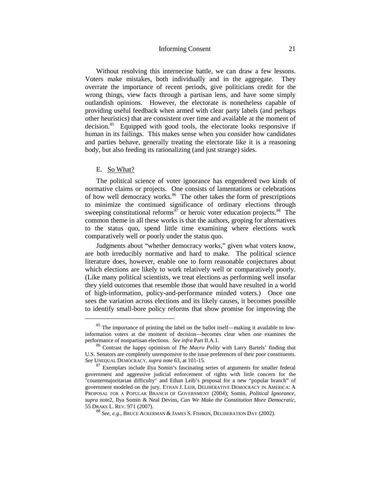#### Informing Consent 21

Without resolving this internecine battle, we can draw a few lessons. Voters make mistakes, both individually and in the aggregate. They overrate the importance of recent periods, give politicians credit for the wrong things, view facts through a partisan lens, and have some simply outlandish opinions. However, the electorate is nonetheless capable of providing useful feedback when armed with clear party labels (and perhaps other heuristics) that are consistent over time and available at the moment of decision. [85](#page-22-1) Equipped with good tools, the electorate looks responsive if human in its failings. This makes sense when you consider how candidates and parties behave, generally treating the electorate like it is a reasoning body, but also feeding its rationalizing (and just strange) sides.

#### <span id="page-22-0"></span>E. So What?

The political science of voter ignorance has engendered two kinds of normative claims or projects. One consists of lamentations or celebrations of how well democracy works.<sup>[86](#page-22-2)</sup> The other takes the form of prescriptions to minimize the continued significance of ordinary elections through sweeping constitutional reforms $\frac{87}{7}$  $\frac{87}{7}$  $\frac{87}{7}$  or heroic voter education projects.<sup>88</sup> The common theme in all these works is that the authors, groping for alternatives to the status quo, spend little time examining where elections work comparatively well or poorly under the status quo.

Judgments about "whether democracy works," given what voters know, are both irreducibly normative and hard to make. The political science literature does, however, enable one to form reasonable conjectures about which elections are likely to work relatively well or comparatively poorly. (Like many political scientists, we treat elections as performing well insofar they yield outcomes that resemble those that would have resulted in a world of high-information, policy-and-performance minded voters.) Once one sees the variation across elections and its likely causes, it becomes possible to identify small-bore policy reforms that show promise for improving the

<span id="page-22-1"></span> $85$  The importance of printing the label on the ballot itself—making it available to lowinformation voters at the moment of decision—becomes clear when one examines the performance of nonpartisan elections. See infra Part II.A.1.

<span id="page-22-2"></span><sup>&</sup>lt;sup>86</sup> Contrast the happy optimism of *The Macro Polity* with Larry Bartels' finding that U.S. Senators are completely unresponsive to the issue preferences of their poor constituents.<br>See UNEOUAL DEMOCRACY, supra note 63, at 101-15.

<span id="page-22-3"></span><sup>&</sup>lt;sup>87</sup> Exemplars include Ilya Somin's fascinating series of arguments for smaller federal government and aggressive judicial enforcement of rights with little concern for the "countermajoritarian difficulty" and Ethan Leib's proposal for a new "popular branch" of government modeled on the jury. ETHAN J. LEIB, DELIBERATIVE DEMOCRACY IN AMERICA: A PROPOSAL FOR A POPULAR BRANCH OF GOVERNMENT (2004); Somin, *Political Ignorance*, *supra* not[e2,](#page-4-4) Ilya Somin & Neal Devins*, Can We Make the Constitution More Democratic*, 55 DRAKE L. REV. 971 (2007). 88 *See*, *e.g*., BRUCE ACKERMAN & JAMES S. FISHKIN, DELIBERATION DAY (2002).

<span id="page-22-4"></span>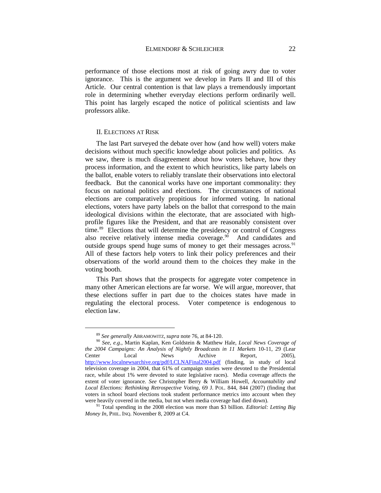performance of those elections most at risk of going awry due to voter ignorance. This is the argument we develop in Parts II and III of this Article. Our central contention is that law plays a tremendously important role in determining whether everyday elections perform ordinarily well. This point has largely escaped the notice of political scientists and law professors alike.

#### II. ELECTIONS AT RISK

<span id="page-23-0"></span>The last Part surveyed the debate over how (and how well) voters make decisions without much specific knowledge about policies and politics. As we saw, there is much disagreement about how voters behave, how they process information, and the extent to which heuristics, like party labels on the ballot, enable voters to reliably translate their observations into electoral feedback. But the canonical works have one important commonality: they focus on national politics and elections. The circumstances of national elections are comparatively propitious for informed voting. In national elections, voters have party labels on the ballot that correspond to the main ideological divisions within the electorate, that are associated with highprofile figures like the President, and that are reasonably consistent over time.<sup>[89](#page-23-1)</sup> Elections that will determine the presidency or control of Congress also receive relatively intense media coverage.<sup>90</sup> And candidates and outside groups spend huge sums of money to get their messages across.<sup>[91](#page-23-3)</sup> All of these factors help voters to link their policy preferences and their observations of the world around them to the choices they make in the voting booth.

This Part shows that the prospects for aggregate voter competence in many other American elections are far worse. We will argue, moreover, that these elections suffer in part due to the choices states have made in regulating the electoral process. Voter competence is endogenous to election law.

<span id="page-23-2"></span><span id="page-23-1"></span><sup>&</sup>lt;sup>89</sup> *See generally* ABRAMOWITZ, *supra* not[e 76,](#page-20-12) at 84-120.<br><sup>90</sup> *See*, *e.g.*, Martin Kaplan, Ken Goldstein & Matthew Hale, *Local News Coverage of the 2004 Campaigns: An Analysis of Nightly Broadcasts in 11 Markets* 10-11, 29 (Lear Center Local News Archive Report, 2005), <http://www.localnewsarchive.org/pdf/LCLNAFinal2004.pdf> (finding, in study of local television coverage in 2004, that 61% of campaign stories were devoted to the Presidential race, while about 1% were devoted to state legislative races). Media coverage affects the extent of voter ignorance. *See* Christopher Berry & William Howell, *Accountability and Local Elections: Rethinking Retrospective Voting*, 69 J. POL. 844, 844 (2007) (finding that voters in school board elections took student performance metrics into account when they

<span id="page-23-3"></span>were heavily covered in the media, but not when media coverage had died down).<br><sup>91</sup> Total spending in the 2008 election was more than \$3 billion. *Editorial: Letting Big Money In*, PHIL. INQ. November 8, 2009 at C4.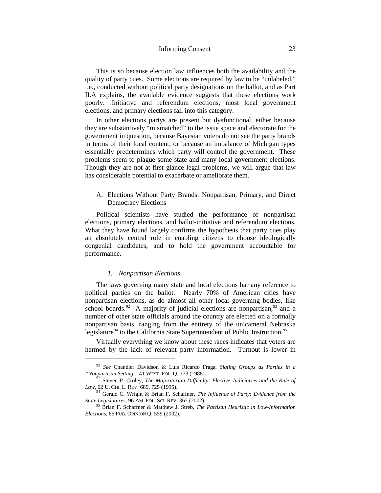This is so because election law influences both the availability and the quality of party cues. Some elections are required by law to be "unlabeled," i.e., conducted without political party designations on the ballot, and as Part II.A explains, the available evidence suggests that these elections work poorly. .Initiative and referendum elections, most local government elections, and primary elections fall into this category.

In other elections partys are present but dysfunctional, either because they are substantively "mismatched" to the issue space and electorate for the government in question, because Bayesian voters do not see the party brands in terms of their local content, or because an imbalance of Michigan types essentially predetermines which party will control the government. These problems seem to plague some state and many local government elections. Though they are not at first glance legal problems, we will argue that law has considerable potential to exacerbate or ameliorate them.

# <span id="page-24-0"></span>A. Elections Without Party Brands: Nonpartisan, Primary, and Direct Democracy Elections

Political scientists have studied the performance of nonpartisan elections, primary elections, and ballot-initiative and referendum elections. What they have found largely confirms the hypothesis that party cues play an absolutely central role in enabling citizens to choose ideologically congenial candidates, and to hold the government accountable for performance.

#### <span id="page-24-6"></span>*1. Nonpartisan Elections*

<span id="page-24-1"></span>The laws governing many state and local elections bar any reference to political parties on the ballot. Nearly 70% of American cities have nonpartisan elections, as do almost all other local governing bodies, like school boards.<sup>[92](#page-24-2)</sup> A majority of judicial elections are nonpartisan,<sup>[93](#page-24-3)</sup> and a number of other state officials around the country are elected on a formally nonpartisan basis, ranging from the entirety of the unicameral Nebraska legislature<sup>[94](#page-24-4)</sup> to the California State Superintendent of Public Instruction.<sup>95</sup>

Virtually everything we know about these races indicates that voters are harmed by the lack of relevant party information. Turnout is lower in

<span id="page-24-2"></span> <sup>92</sup> *See* Chandler Davidson & Luis Ricardo Fraga, *Slating Groups as Parties in a "Nonpartisan Setting*,*"* 41 WEST. POL. Q. 373 (1988).

<span id="page-24-3"></span><sup>&</sup>lt;sup>53</sup> Steven P. Croley, *The Majoritarian Difficulty: Elective Judiciaries and the Rule of Law*, 62 U. CHI. L. REV. 689, 725 (1995).

<span id="page-24-4"></span><sup>&</sup>lt;sup>94</sup> Gerald C. Wright & Brian F. Schaffner, *The Influence of Party: Evidence from the State Legislatures*, 96 AM. POL. SCI. REV. 367 (2002).

<span id="page-24-5"></span><sup>&</sup>lt;sup>95</sup> Brian F. Schaffner & Matthew J. Streb, *The Partisan Heuristic in Low-Information Elections*, 66 PUB. OPINION Q. 559 (2002).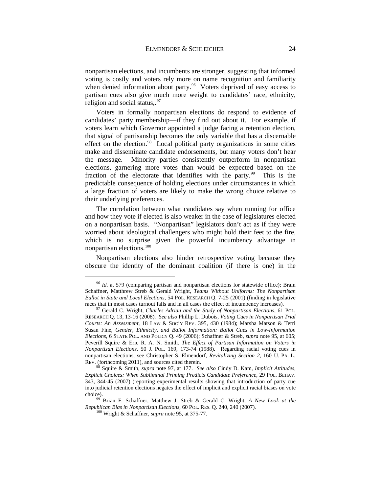nonpartisan elections, and incumbents are stronger, suggesting that informed voting is costly and voters rely more on name recognition and familiarity when denied information about party.<sup>[96](#page-25-1)</sup> Voters deprived of easy access to partisan cues also give much more weight to candidates' race, ethnicity, religion and social status,.<sup>[97](#page-25-2)</sup>

<span id="page-25-0"></span>Voters in formally nonpartisan elections do respond to evidence of candidates' party membership—if they find out about it. For example, if voters learn which Governor appointed a judge facing a retention election, that signal of partisanship becomes the only variable that has a discernable effect on the election.<sup>[98](#page-25-3)</sup> Local political party organizations in some cities make and disseminate candidate endorsements, but many voters don't hear the message. Minority parties consistently outperform in nonpartisan elections, garnering more votes than would be expected based on the fraction of the electorate that identifies with the party.<sup>99</sup> This is the predictable consequence of holding elections under circumstances in which a large fraction of voters are likely to make the wrong choice relative to their underlying preferences.

The correlation between what candidates say when running for office and how they vote if elected is also weaker in the case of legislatures elected on a nonpartisan basis. "Nonpartisan" legislators don't act as if they were worried about ideological challengers who might hold their feet to the fire, which is no surprise given the powerful incumbency advantage in nonpartisan elections.<sup>[100](#page-25-5)</sup>

Nonpartisan elections also hinder retrospective voting because they obscure the identity of the dominant coalition (if there is one) in the

<span id="page-25-1"></span><sup>&</sup>lt;sup>96</sup> *Id.* at 579 (comparing partisan and nonpartisan elections for statewide office); Brain Schaffner, Matthrew Streb & Gerald Wright, *Teams Without Uniforms: The Nonpartisan Ballot in State and Local Elections*, 54 POL. RESEARCH Q. 7-25 (2001) (finding in legislative races that in most cases turnout falls and in all cases the effect of incumbency increases).

<span id="page-25-2"></span><sup>&</sup>lt;sup>97</sup> Gerald C. Wright, *Charles Adrian and the Study of Nonpartisan Elections*, 61 POL. RESEARCH Q. 13, 13-16 (2008). *See also* Phillip L. Dubois, *Voting Cues in Nonpartisan Trial Courts: An Assessment*, 18 LAW & SOC'Y REV. 395, 430 (1984); Marsha Matson & Terri Susan Fine, *Gender, Ethnicity, and Ballot Information: Ballot Cues in Low-Information Elections*, 6 STATE POL. AND POLICY Q. 49 (2006); Schaffner & Streb, *supra* note [95,](#page-24-6) at 605; Peverill Squire & Eric R. A. N. Smith. *The Effect of Partisan Information on Voters in Nonpartisan Elections*. 50 J. POL. 169, 173-74 (1988). Regarding racial voting cues in nonpartisan elections, see Christopher S. Elmendorf, *Revitalizing Section 2*, 160 U. PA. L. REV. (forthcoming 2011), and sources cited therein.

<span id="page-25-3"></span><sup>98</sup> Squire & Smith, *supra* note [97,](#page-25-0) at 177. *See also* Cindy D. Kam, *Implicit Attitudes, Explicit Choices: When Subliminal Priming Predicts Candidate Preference*, 29 POL. BEHAV. 343, 344-45 (2007) (reporting experimental results showing that introduction of party cue into judicial retention elections negates the effect of implicit and explicit racial biases on vote choice). 99 Brian F. Schaffner, Matthew J. Streb & Gerald C. Wright, *A New Look at the* 

<span id="page-25-5"></span><span id="page-25-4"></span>*Republican Bias in Nonpartisan Elections*, 60 POL. RES. Q. 240, 240 (2007). <sup>100</sup> Wright & Schaffner, *supra* note [95,](#page-24-6) at 375-77.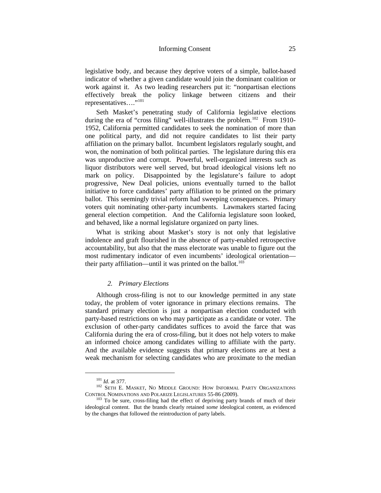legislative body, and because they deprive voters of a simple, ballot-based indicator of whether a given candidate would join the dominant coalition or work against it. As two leading researchers put it: "nonpartisan elections effectively break the policy linkage between citizens and their representatives…."[101](#page-26-1)

<span id="page-26-4"></span>Seth Masket's penetrating study of California legislative elections during the era of "cross filing" well-illustrates the problem.<sup>102</sup> From 1910-1952, California permitted candidates to seek the nomination of more than one political party, and did not require candidates to list their party affiliation on the primary ballot. Incumbent legislators regularly sought, and won, the nomination of both political parties. The legislature during this era was unproductive and corrupt. Powerful, well-organized interests such as liquor distributors were well served, but broad ideological visions left no mark on policy. Disappointed by the legislature's failure to adopt progressive, New Deal policies, unions eventually turned to the ballot initiative to force candidates' party affiliation to be printed on the primary ballot. This seemingly trivial reform had sweeping consequences. Primary voters quit nominating other-party incumbents. Lawmakers started facing general election competition. And the California legislature soon looked, and behaved, like a normal legislature organized on party lines.

What is striking about Masket's story is not only that legislative indolence and graft flourished in the absence of party-enabled retrospective accountability, but also that the mass electorate was unable to figure out the most rudimentary indicator of even incumbents' ideological orientation their party affiliation—until it was printed on the ballot.<sup>103</sup>

#### *2. Primary Elections*

<span id="page-26-0"></span>Although cross-filing is not to our knowledge permitted in any state today, the problem of voter ignorance in primary elections remains. The standard primary election is just a nonpartisan election conducted with party-based restrictions on who may participate as a candidate or voter. The exclusion of other-party candidates suffices to avoid the farce that was California during the era of cross-filing, but it does not help voters to make an informed choice among candidates willing to affiliate with the party. And the available evidence suggests that primary elections are at best a weak mechanism for selecting candidates who are proximate to the median

<span id="page-26-1"></span><sup>101</sup> *Id.* at 377. 102 SETH E. MASKET, NO MIDDLE GROUND: HOW INFORMAL PARTY ORGANIZATIONS

<span id="page-26-3"></span><span id="page-26-2"></span>CONTROL NOMINATIONS AND POLARIZE LEGISLATURES 55-86 (2009).<br><sup>103</sup> To be sure, cross-filing had the effect of depriving party brands of much of their ideological content. But the brands clearly retained *some* ideological content, as evidenced by the changes that followed the reintroduction of party labels.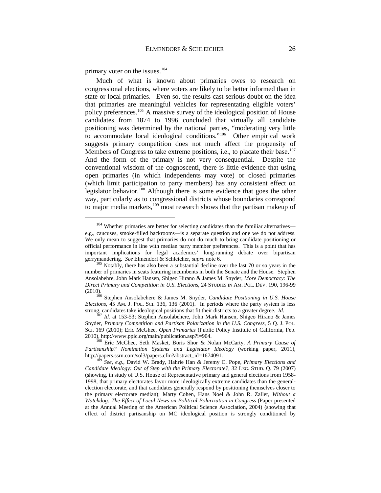primary voter on the issues. $104$ 

Much of what is known about primaries owes to research on congressional elections, where voters are likely to be better informed than in state or local primaries. Even so, the results cast serious doubt on the idea that primaries are meaningful vehicles for representating eligible voters' policy preferences.<sup>105</sup> A massive survey of the ideological position of House candidates from 1874 to 1996 concluded that virtually all candidate positioning was determined by the national parties, "moderating very little to accommodate local ideological conditions."[106](#page-27-2) Other empirical work suggests primary competition does not much affect the propensity of Members of Congress to take extreme positions, i.e., to placate their base.<sup>[107](#page-27-3)</sup> And the form of the primary is not very consequential. Despite the conventional wisdom of the cognoscenti, there is little evidence that using open primaries (in which independents may vote) or closed primaries (which limit participation to party members) has any consistent effect on legislator behavior.<sup>108</sup> Although there is some evidence that goes the other way, particularly as to congressional districts whose boundaries correspond to major media markets,<sup>[109](#page-27-5)</sup> most research shows that the partisan makeup of

<span id="page-27-0"></span><sup>&</sup>lt;sup>104</sup> Whether primaries are better for selecting candidates than the familiar alternatives e.g., caucuses, smoke-filled backrooms—is a separate question and one we do not address. We only mean to suggest that primaries do not do much to bring candidate positioning or official performance in line with median party member preferences. This is a point that has important implications for legal academics' long-running debate over bipartisan gerrymandering. *See* Elmendorf & Schleicher, *supra* not[e 6.](#page-9-3)<br><sup>105</sup> Notably, there has also been a substantial decline over the last 70 or so years in the

<span id="page-27-1"></span>number of primaries in seats featuring incumbents in both the Senate and the House. Stephen Ansolabehre, John Mark Hansen, Shigeo Hirano & James M. Snyder, *More Democracy: The Direct Primary and Competition in U.S. Elections*, 24 STUDIES IN AM. POL. DEV. 190, 196-99

<span id="page-27-2"></span><sup>(2010).</sup> <sup>106</sup> Stephen Ansolabehere & James M. Snyder, *Candidate Positioning in U.S. House Elections*, 45 AM. J. POL. SCI. 136, 136 (2001). In periods where the party system is less strong, candidates take ideological positions that fit their districts to a greater degree. *Id.* <sup>107</sup> *Id.* at 153-53; Stephen Ansolabehere, John Mark Hansen, Shigeo Hirano & James

<span id="page-27-3"></span>Snyder, *Primary Competition and Partisan Polarization in the U.S. Congress*, 5 Q. J. POL. SCI. 169 (2010); Eric McGhee, *Open Primaries* (Public Policy Institute of California, Feb. 2010), http://www.ppic.org/main/publication.asp?i=904. <sup>108</sup> Eric McGhee, Seth Masket, Boris Shor & Nolan McCarty, *A Primary Cause of* 

<span id="page-27-4"></span>*Partisanship? Nomination Systems and Legislator Ideology* (working paper, 2011),

<span id="page-27-5"></span>See, e.g., David W. Brady, Hahrie Han & Jeremy C. Pope, *Primary Elections and Candidate Ideology: Out of Step with the Primary Electorate?*, 32 LEG. STUD. Q. 79 (2007) (showing, in study of U.S. House of Representative primary and general elections from 1958- 1998, that primary electorates favor more ideologically extreme candidates than the generalelection electorate, and that candidates generally respond by positioning themselves closer to the primary electorate median); Marty Cohen, Hans Noel & John R. Zaller, *Without a Watchdog: The Effect of Local News on Political Polarization in Congress* (Paper presented at the Annual Meeting of the American Political Science Association, 2004) (showing that effect of district partisanship on MC ideological position is strongly conditioned by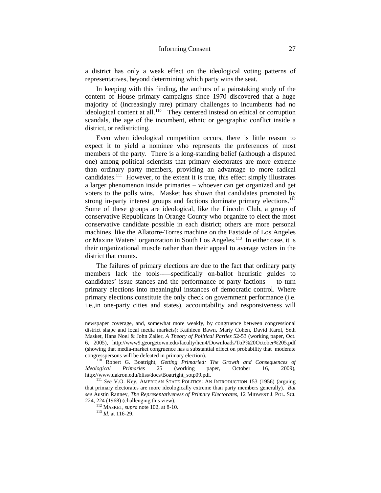a district has only a weak effect on the ideological voting patterns of representatives, beyond determining which party wins the seat.

In keeping with this finding, the authors of a painstaking study of the content of House primary campaigns since 1970 discovered that a huge majority of (increasingly rare) primary challenges to incumbents had no ideological content at all.<sup>[110](#page-28-0)</sup> They centered instead on ethical or corruption scandals, the age of the incumbent, ethnic or geographic conflict inside a district, or redistricting.

Even when ideological competition occurs, there is little reason to expect it to yield a nominee who represents the preferences of most members of the party. There is a long-standing belief (although a disputed one) among political scientists that primary electorates are more extreme than ordinary party members, providing an advantage to more radical candidates.<sup>111</sup> However, to the extent it is true, this effect simply illustrates a larger phenomenon inside primaries – whoever can get organized and get voters to the polls wins. Masket has shown that candidates promoted by strong in-party interest groups and factions dominate primary elections.<sup>112</sup> Some of these groups are ideological, like the Lincoln Club, a group of conservative Republicans in Orange County who organize to elect the most conservative candidate possible in each district; others are more personal machines, like the Allatorre-Torres machine on the Eastside of Los Angeles or Maxine Waters' organization in South Los Angeles.[113](#page-28-3) In either case, it is their organizational muscle rather than their appeal to average voters in the district that counts.

The failures of primary elections are due to the fact that ordinary party members lack the tools--—specifically on-ballot heuristic guides to candidates' issue stances and the performance of party factions--—to turn primary elections into meaningful instances of democratic control. Where primary elections constitute the only check on government performance (i.e. i.e.,in one-party cities and states), accountability and responsiveness will

-

newspaper coverage, and, somewhat more weakly, by congruence between congressional district shape and local media markets); Kathleen Bawn, Marty Cohen, David Karol, Seth Masket, Hans Noel & John Zaller, *A Theory of Political Parties* 52-53 (working paper, Oct. 6, 2005), http://www9.georgetown.edu/faculty/hcn4/Downloads/ToP%20October%205.pdf (showing that media-market congruence has a substantial effect on probability that moderate

<span id="page-28-0"></span><sup>&</sup>lt;sup>110</sup> Robert G. Boatright, *Getting Primaried: The Growth and Consequences of*  $logical$  *Primaries 25 (working paper, October 16, 2009). Ideological Primaries* 25 (working paper, October 16, 2009),

<span id="page-28-3"></span><span id="page-28-2"></span><span id="page-28-1"></span>http://www.uakron.edu/bliss/docs/Boatright\_sotp09.pdf. <sup>111</sup> *See* V.O. Key, AMERICAN STATE POLITICS: AN INTRODUCTION 153 (1956) (arguing that primary electorates are more ideologically extreme than party members generally). *But see* Austin Ranney, *The Representativeness of Primary Electorates*, 12 MIDWEST J. POL. SCI. 224, 224 (1968) (challenging this view). 112 MASKET, *supra* note [102,](#page-26-4) at 8-10. <sup>113</sup> *Id.* at 116-29.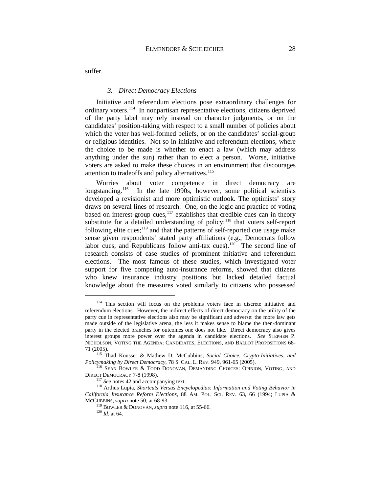suffer.

#### *3. Direct Democracy Elections*

<span id="page-29-0"></span>Initiative and referendum elections pose extraordinary challenges for ordinary voters[.114](#page-29-2) In nonpartisan representative elections, citizens deprived of the party label may rely instead on character judgments, or on the candidates' position-taking with respect to a small number of policies about which the voter has well-formed beliefs, or on the candidates' social-group or religious identities. Not so in initiative and referendum elections, where the choice to be made is whether to enact a law (which may address anything under the sun) rather than to elect a person. Worse, initiative voters are asked to make these choices in an environment that discourages attention to tradeoffs and policy alternatives.<sup>[115](#page-29-3)</sup>

<span id="page-29-10"></span><span id="page-29-9"></span><span id="page-29-1"></span>Worries about voter competence in direct democracy are longstanding.<sup>116</sup> In the late 1990s, however, some political scientists developed a revisionist and more optimistic outlook. The optimists' story draws on several lines of research. One, on the logic and practice of voting based on interest-group cues, $117$  establishes that credible cues can in theory substitute for a detailed understanding of policy; $^{118}$  $^{118}$  $^{118}$  that voters self-report following elite cues;<sup>[119](#page-29-7)</sup> and that the patterns of self-reported cue usage make sense given respondents' stated party affiliations (e.g., Democrats follow labor cues, and Republicans follow anti-tax cues).<sup>[120](#page-29-8)</sup> The second line of research consists of case studies of prominent initiative and referendum elections. The most famous of these studies, which investigated voter support for five competing auto-insurance reforms, showed that citizens who knew insurance industry positions but lacked detailed factual knowledge about the measures voted similarly to citizens who possessed

<span id="page-29-2"></span> $114$  This section will focus on the problems voters face in discrete initiative and referendum elections. However, the indirect effects of direct democracy on the utility of the party cue in representative elections also may be significant and adverse: the more law gets made outside of the legislative arena, the less it makes sense to blame the then-dominant party in the elected branches for outcomes one does not like. Direct democracy also gives interest groups more power over the agenda in candidate elections. *See* STEPHEN P. NICHOLSON, VOTING THE AGENDA: CANDIDATES, ELECTIONS, AND BALLOT PROPOSITIONS 68-

<span id="page-29-3"></span><sup>71 (2005). 115</sup> Thad Kousser & Mathew D. McCubbins, *Social Choice, Crypto-Initiatives, and* 

<sup>&</sup>lt;sup>116</sup> Sean Bowler & Todd Donovan, Demanding Choices: Opinion, Voting, and

<span id="page-29-8"></span><span id="page-29-7"></span><span id="page-29-6"></span><span id="page-29-5"></span><span id="page-29-4"></span>DIRECT DEMOCRACY 7-8 (1998). <sup>117</sup> *See* notes [42](#page-15-6) and accompanying text. <sup>118</sup> Arthus Lupia, *Shortcuts Versus Encyclopedias: Information and Voting Behavior in California Insurance Reform Elections*, 88 AM. POL. SCI. REV. 63, 66 (1994; LUPIA & MCCUBBINS, *supra* not[e 50,](#page-16-3) at 68-93.<br><sup>119</sup> BOWLER & DONOVAN, *supra* note [116,](#page-29-1) at 55-66.<br><sup>120</sup> *Id.* at 64.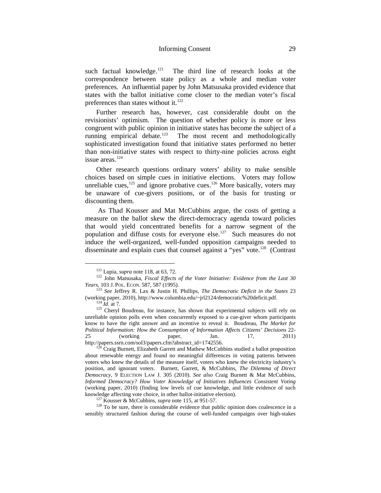such factual knowledge.<sup>[121](#page-30-0)</sup> The third line of research looks at the correspondence between state policy as a whole and median voter preferences. An influential paper by John Matsusaka provided evidence that states with the ballot initiative come closer to the median voter's fiscal preferences than states without it.<sup>122</sup>

Further research has, however, cast considerable doubt on the revisionists' optimism. The question of whether policy is more or less congruent with public opinion in initiative states has become the subject of a running empirical debate.<sup>123</sup> The most recent and methodologically sophisticated investigation found that initiative states performed no better than non-initiative states with respect to thirty-nine policies across eight issue areas.<sup>[124](#page-30-3)</sup>

<span id="page-30-8"></span>Other research questions ordinary voters' ability to make sensible choices based on simple cues in initiative elections. Voters may follow unreliable cues, $^{125}$  $^{125}$  $^{125}$  and ignore probative cues. $^{126}$  $^{126}$  $^{126}$  More basically, voters may be unaware of cue-givers positions, or of the basis for trusting or discounting them.

As Thad Kousser and Mat McCubbins argue, the costs of getting a measure on the ballot skew the direct-democracy agenda toward policies that would yield concentrated benefits for a narrow segment of the population and diffuse costs for everyone else.[127](#page-30-6) Such measures do not induce the well-organized, well-funded opposition campaigns needed to disseminate and explain cues that counsel against a "yes" vote.<sup>128</sup> (Contrast

<span id="page-30-7"></span><span id="page-30-6"></span>knowledge affecting vote choice, in other ballot-initiative election).<br><sup>127</sup> Kousser & McCubbins, *supra* note [115,](#page-29-10) at 951-57.<br><sup>128</sup> To be sure, there is considerable evidence that public opinion does coalescence in a sensibly structured fashion during the course of well-funded campaigns over high-stakes

<span id="page-30-0"></span><sup>&</sup>lt;sup>121</sup> Lupia, *supra* note [118,](#page-29-9) at 63, 72.<br><sup>122</sup> John Matsusaka, *Fiscal Effects of the Voter Initiative: Evidence from the Last 30* 

<span id="page-30-2"></span><span id="page-30-1"></span>*Years*, 103 J. POL. ECON. 587, 587 (1995).<br><sup>123</sup> *See* Jeffrey R. Lax & Justin H. Phillips, *The Democratic Deficit in the States* 23 (working paper, 2010), http://www.columbia.edu/~jrl2124/democratic%20deficit.pdf.

<span id="page-30-4"></span><span id="page-30-3"></span> $(124 \text{ Id. at } 7)$ .<br><sup>125</sup> Cheryl Boudreau, for instance, has shown that experimental subjects will rely on unreliable opinion polls even when concurrently exposed to a cue-giver whom participants know to have the right answer and an incentive to reveal it. Boudreau, *The Market for Political Information: How the Consumption of Information Affects Citizens' Decisions* 22- 25 (working paper, Jan. 17, 2011)<br>http://papers.ssrn.com/sol3/papers.cfm?abstract\_id=1742556.

<span id="page-30-5"></span> $6$  Craig Burnett, Elizabeth Garrett and Mathew McCubbins studied a ballot proposition about renewable energy and found no meaningful differences in voting patterns between voters who knew the details of the measure itself, voters who knew the electricity industry's position, and ignorant voters. Burnett, Garrett, & McCubbins, *The Dilemma of Direct Democracy*, 9 ELECTION LAW J. 305 (2010). *See also* Craig Burnett & Mat McCubbins, *Informed Democracy? How Voter Knowledge of Initiatives Influences Consistent Voting*  (working paper, 2010) (finding low levels of cue knowledge, and little evidence of such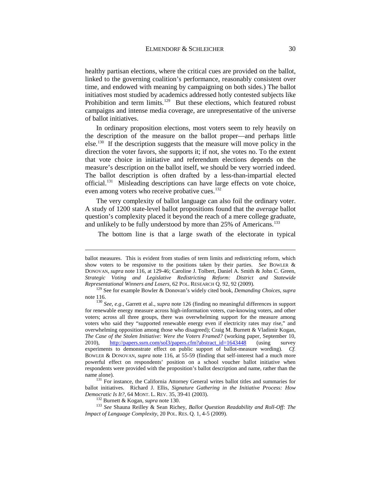healthy partisan elections, where the critical cues are provided on the ballot, linked to the governing coalition's performance, reasonably consistent over time, and endowed with meaning by campaigning on both sides.) The ballot initiatives most studied by academics addressed hotly contested subjects like Prohibition and term limits.<sup>129</sup> But these elections, which featured robust campaigns and intense media coverage, are unrepresentative of the universe of ballot initiatives.

<span id="page-31-0"></span>In ordinary proposition elections, most voters seem to rely heavily on the description of the measure on the ballot proper—and perhaps little else.<sup>130</sup> If the description suggests that the measure will move policy in the direction the voter favors, she supports it; if not, she votes no. To the extent that vote choice in initiative and referendum elections depends on the measure's description on the ballot itself, we should be very worried indeed. The ballot description is often drafted by a less-than-impartial elected official.[131](#page-31-3) Misleading descriptions can have large effects on vote choice, even among voters who receive probative cues.<sup>[132](#page-31-4)</sup>

The very complexity of ballot language can also foil the ordinary voter. A study of 1200 state-level ballot propositions found that the *average* ballot question's complexity placed it beyond the reach of a mere college graduate, and unlikely to be fully understood by more than 25% of Americans.<sup>[133](#page-31-5)</sup>

The bottom line is that a large swath of the electorate in typical

-

ballot measures. This is evident from studies of term limits and redistricting reform, which show voters to be responsive to the positions taken by their parties. *See* BOWLER & DONOVAN, *supra* note [116,](#page-29-1) at 129-46; Caroline J. Tolbert, Daniel A. Smith & John C. Green, *Strategic Voting and Legislative Redistricting Reform: District and Statewide* 

<span id="page-31-1"></span><sup>&</sup>lt;sup>129</sup> See for example Bowler & Donovan's widely cited book, *Demanding Choices*, *supra* not[e 116.](#page-29-1) <sup>130</sup> *See, e.g.*, Garrett et al., *supra* not[e 126](#page-30-8) (finding no meaningful differences in support

<span id="page-31-2"></span>for renewable energy measure across high-information voters, cue-knowing voters, and other voters; across all three groups, there was overwhelming support for the measure among voters who said they "supported renewable energy even if electricity rates may rise," and overwhelming opposition among those who disagreed); Craig M. Burnett & Vladimir Kogan, *The Case of the Stolen Initiative: Were the Voters Framed?* (working paper, September 10, 2010), [http://papers.ssrn.com/sol3/papers.cfm?abstract\\_id=1643448](http://papers.ssrn.com/sol3/papers.cfm?abstract_id=1643448) (using survey experiments to demonstrate effect on public support of ballot-measure wording). *Cf.*  BOWLER & DONOVAN, *supra* note [116,](#page-29-1) at 55-59 (finding that self-interest had a much more powerful effect on respondents' position on a school voucher ballot initiative when respondents were provided with the proposition's ballot description and name, rather than the name alone).<br><sup>131</sup> For instance, the California Attorney General writes ballot titles and summaries for

<span id="page-31-3"></span>ballot initiatives. Richard J. Ellis, *Signature Gathering in the Initiative Process: How* 

<span id="page-31-5"></span><span id="page-31-4"></span><sup>&</sup>lt;sup>132</sup> Burnett & Kogan, *supra* not[e 130.](#page-31-0)<br><sup>133</sup> *See* Shauna Reilley & Sean Richey, *Ballot Question Readability and Roll-Off: The Impact of Language Complexity*, 20 POL. RES. Q. 1, 4-5 (2009).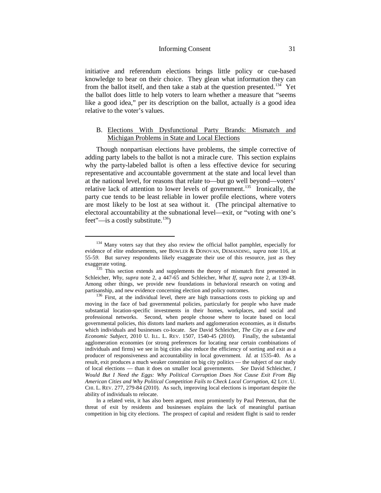initiative and referendum elections brings little policy or cue-based knowledge to bear on their choice. They glean what information they can from the ballot itself, and then take a stab at the question presented.<sup>[134](#page-32-1)</sup> Yet the ballot does little to help voters to learn whether a measure that "seems like a good idea," per its description on the ballot, actually *is* a good idea relative to the voter's values.

# <span id="page-32-0"></span>B. Elections With Dysfunctional Party Brands: Mismatch and Michigan Problems in State and Local Elections

Though nonpartisan elections have problems, the simple corrective of adding party labels to the ballot is not a miracle cure. This section explains why the party-labeled ballot is often a less effective device for securing representative and accountable government at the state and local level than at the national level, for reasons that relate to—but go well beyond—voters' relative lack of attention to lower levels of government.<sup>135</sup> Ironically, the party cue tends to be least reliable in lower profile elections, where voters are most likely to be lost at sea without it. (The principal alternative to electoral accountability at the subnational level—exit, or "voting with one's feet"—is a costly substitute.<sup>[136](#page-32-3)</sup>)

<span id="page-32-1"></span><sup>&</sup>lt;sup>134</sup> Many voters say that they also review the official ballot pamphlet, especially for evidence of elite endorsements, see BOWLER & DONOVAN, DEMANDING, *supra* note [116,](#page-29-1) at 55-5*9.* But survey respondents likely exaggerate their use of this resource, just as they

<span id="page-32-2"></span> $\frac{135}{135}$  This section extends and supplements the theory of mismatch first presented in Schleicher, *Why*, *supra* note [2,](#page-4-4) a 447-65 and Schleicher, *What If*, *supra* note [2,](#page-4-4) at 139-48. Among other things, we provide new foundations in behavioral research on voting and partisanship, and new evidence concerning election and policy outcomes.

<span id="page-32-3"></span> $136$  First, at the individual level, there are high transactions costs to picking up and moving in the face of bad governmental policies, particularly for people who have made substantial location-specific investments in their homes, workplaces, and social and professional networks. Second, when people choose where to locate based on local governmental policies, this distorts land markets and agglomeration economies, as it disturbs which individuals and businesses co-locate. *See* David Schleicher, *The City as a Law and Economic Subject*, 2010 U. ILL. L. REV. 1507, 1540-45 (2010). Finally, the substantial agglomeration economies (or strong preferences for locating near certain combinations of individuals and firms) we see in big cities also reduce the efficiency of sorting and exit as a producer of responsiveness and accountability in local government*. Id.* at 1535-40. As a result, exit produces a much weaker constraint on big city politics — the subject of our study of local elections — than it does on smaller local governments. *See* David Schleicher, *I Would But I Need the Eggs: Why Political Corruption Does Not Cause Exit From Big American Cities and Why Political Competition Fails to Check Local Corruption*, 42 LOY. U. CHI. L. REV. 277, 279-84 (2010). As such, improving local elections is important despite the ability of individuals to relocate.

In a related vein, it has also been argued, most prominently by Paul Peterson, that the threat of exit by residents and businesses explains the lack of meaningful partisan competition in big city elections. The prospect of capital and resident flight is said to render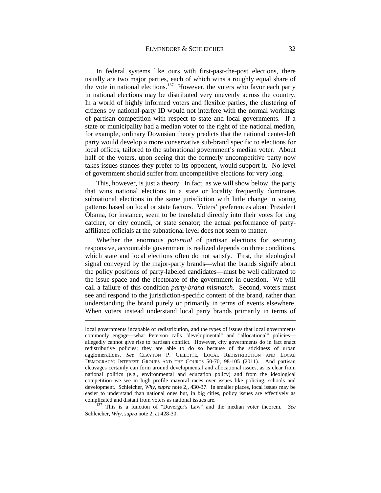In federal systems like ours with first-past-the-post elections, there usually are two major parties, each of which wins a roughly equal share of the vote in national elections.<sup>[137](#page-33-0)</sup> However, the voters who favor each party in national elections may be distributed very unevenly across the country. In a world of highly informed voters and flexible parties, the clustering of citizens by national-party ID would not interfere with the normal workings of partisan competition with respect to state and local governments. If a state or municipality had a median voter to the right of the national median, for example, ordinary Downsian theory predicts that the national center-left party would develop a more conservative sub-brand specific to elections for local offices, tailored to the subnational government's median voter. About half of the voters, upon seeing that the formerly uncompetitive party now takes issues stances they prefer to its opponent, would support it. No level of government should suffer from uncompetitive elections for very long.

This, however, is just a theory. In fact, as we will show below, the party that wins national elections in a state or locality frequently dominates subnational elections in the same jurisdiction with little change in voting patterns based on local or state factors. Voters' preferences about President Obama, for instance, seem to be translated directly into their votes for dog catcher, or city council, or state senator; the actual performance of partyaffiliated officials at the subnational level does not seem to matter.

Whether the enormous *potential* of partisan elections for securing responsive, accountable government is realized depends on three conditions, which state and local elections often do not satisfy. First, the ideological signal conveyed by the major-party brands—what the brands signify about the policy positions of party-labeled candidates—must be well calibrated to the issue-space and the electorate of the government in question. We will call a failure of this condition *party-brand mismatch*. Second, voters must see and respond to the jurisdiction-specific content of the brand, rather than understanding the brand purely or primarily in terms of events elsewhere. When voters instead understand local party brands primarily in terms of

<u>.</u>

local governments incapable of redistribution, and the types of issues that local governments commonly engage—what Peterson calls "developmental" and "allocational" policies allegedly cannot give rise to partisan conflict. However, city governments do in fact enact redistributive policies; they are able to do so because of the stickiness of urban agglomerations. *See* CLAYTON P. GILLETTE, LOCAL REDISTRIBUTION AND LOCAL DEMOCRACY: INTEREST GROUPS AND THE COURTS 50-70, 98-105 (2011). And partisan cleavages certainly can form around developmental and allocational issues, as is clear from national politics (e.g., environmental and education policy) and from the ideological competition we see in high profile mayoral races over issues like policing, schools and development. Schleicher, *Why*, *supra* not[e 2,](#page-4-4)*,* 430-37. In smaller places, local issues may be easier to understand than national ones but, in big cities, policy issues are effectively as complicated and distant from voters as national issues are. 137 This is a function of "Duverger's Law" and the median voter theorem. *See*

<span id="page-33-0"></span>Schleicher, *Why*, *supra* not[e 2,](#page-4-4) at 428-30.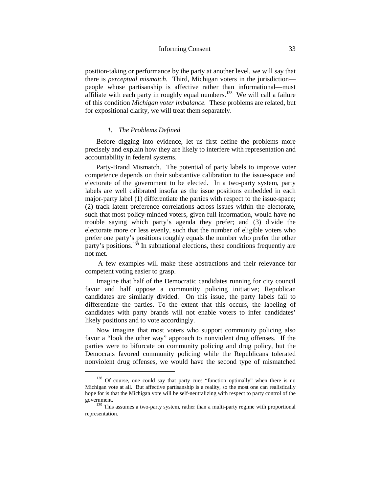#### Informing Consent 33

position-taking or performance by the party at another level, we will say that there is *perceptual mismatch*. Third, Michigan voters in the jurisdiction people whose partisanship is affective rather than informational—must affiliate with each party in roughly equal numbers.<sup>138</sup> We will call a failure of this condition *Michigan voter imbalance.* These problems are related, but for expositional clarity, we will treat them separately.

#### *1. The Problems Defined*

<span id="page-34-0"></span>Before digging into evidence, let us first define the problems more precisely and explain how they are likely to interfere with representation and accountability in federal systems.

Party-Brand Mismatch. The potential of party labels to improve voter competence depends on their substantive calibration to the issue-space and electorate of the government to be elected. In a two-party system, party labels are well calibrated insofar as the issue positions embedded in each major-party label (1) differentiate the parties with respect to the issue-space; (2) track latent preference correlations across issues within the electorate, such that most policy-minded voters, given full information, would have no trouble saying which party's agenda they prefer; and (3) divide the electorate more or less evenly, such that the number of eligible voters who prefer one party's positions roughly equals the number who prefer the other party's positions.[139](#page-34-2) In subnational elections, these conditions frequently are not met.

A few examples will make these abstractions and their relevance for competent voting easier to grasp.

Imagine that half of the Democratic candidates running for city council favor and half oppose a community policing initiative; Republican candidates are similarly divided. On this issue, the party labels fail to differentiate the parties. To the extent that this occurs, the labeling of candidates with party brands will not enable voters to infer candidates' likely positions and to vote accordingly.

Now imagine that most voters who support community policing also favor a "look the other way" approach to nonviolent drug offenses. If the parties were to bifurcate on community policing and drug policy, but the Democrats favored community policing while the Republicans tolerated nonviolent drug offenses, we would have the second type of mismatched

<span id="page-34-1"></span><sup>&</sup>lt;sup>138</sup> Of course, one could say that party cues "function optimally" when there is no Michigan vote at all. But affective partisanship is a reality, so the most one can realistically hope for is that the Michigan vote will be self-neutralizing with respect to party control of the government.

<span id="page-34-2"></span><sup>&</sup>lt;sup>139</sup> This assumes a two-party system, rather than a multi-party regime with proportional representation.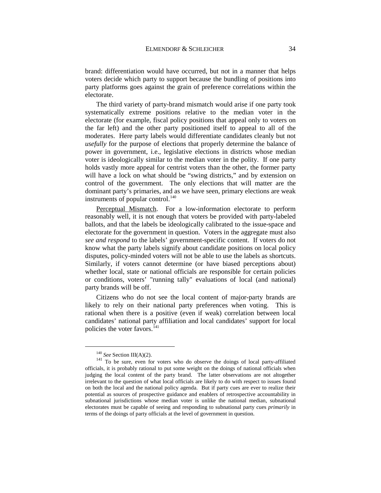brand: differentiation would have occurred, but not in a manner that helps voters decide which party to support because the bundling of positions into party platforms goes against the grain of preference correlations within the electorate.

The third variety of party-brand mismatch would arise if one party took systematically extreme positions relative to the median voter in the electorate (for example, fiscal policy positions that appeal only to voters on the far left) and the other party positioned itself to appeal to all of the moderates. Here party labels would differentiate candidates cleanly but not *usefully* for the purpose of elections that properly determine the balance of power in government, i.e., legislative elections in districts whose median voter is ideologically similar to the median voter in the polity. If one party holds vastly more appeal for centrist voters than the other, the former party will have a lock on what should be "swing districts," and by extension on control of the government. The only elections that will matter are the dominant party's primaries, and as we have seen, primary elections are weak instruments of popular control. $^{140}$  $^{140}$  $^{140}$ 

Perceptual Mismatch. For a low-information electorate to perform reasonably well, it is not enough that voters be provided with party-labeled ballots, and that the labels be ideologically calibrated to the issue-space and electorate for the government in question. Voters in the aggregate must also *see and respond* to the labels' government-specific content. If voters do not know what the party labels signify about candidate positions on local policy disputes, policy-minded voters will not be able to use the labels as shortcuts. Similarly, if voters cannot determine (or have biased perceptions about) whether local, state or national officials are responsible for certain policies or conditions, voters' "running tally" evaluations of local (and national) party brands will be off.

Citizens who do not see the local content of major-party brands are likely to rely on their national party preferences when voting. This is rational when there is a positive (even if weak) correlation between local candidates' national party affiliation and local candidates' support for local policies the voter favors.<sup>141</sup>

<span id="page-35-1"></span><span id="page-35-0"></span><sup>&</sup>lt;sup>140</sup> *See* Section III(A)(2).  $141$  To be sure, even for voters who do observe the doings of local party-affiliated officials, it is probably rational to put some weight on the doings of national officials when judging the local content of the party brand. The latter observations are not altogether irrelevant to the question of what local officials are likely to do with respect to issues found on both the local and the national policy agenda. But if party cues are ever to realize their potential as sources of prospective guidance and enablers of retrospective accountability in subnational jurisdictions whose median voter is unlike the national median, subnational electorates must be capable of seeing and responding to subnational party cues *primarily* in terms of the doings of party officials at the level of government in question.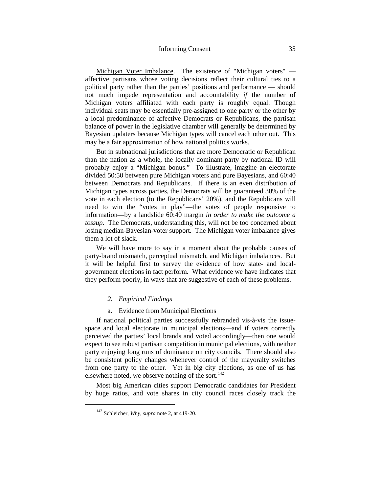### Informing Consent 35

Michigan Voter Imbalance. The existence of "Michigan voters" affective partisans whose voting decisions reflect their cultural ties to a political party rather than the parties' positions and performance — should not much impede representation and accountability *if* the number of Michigan voters affiliated with each party is roughly equal. Though individual seats may be essentially pre-assigned to one party or the other by a local predominance of affective Democrats or Republicans, the partisan balance of power in the legislative chamber will generally be determined by Bayesian updaters because Michigan types will cancel each other out. This may be a fair approximation of how national politics works.

But in subnational jurisdictions that are more Democratic or Republican than the nation as a whole, the locally dominant party by national ID will probably enjoy a "Michigan bonus." To illustrate, imagine an electorate divided 50:50 between pure Michigan voters and pure Bayesians, and 60:40 between Democrats and Republicans. If there is an even distribution of Michigan types across parties, the Democrats will be guaranteed 30% of the vote in each election (to the Republicans' 20%), and the Republicans will need to win the "votes in play"—the votes of people responsive to information—by a landslide 60:40 margin *in order to make the outcome a tossup*. The Democrats, understanding this, will not be too concerned about losing median-Bayesian-voter support. The Michigan voter imbalance gives them a lot of slack.

We will have more to say in a moment about the probable causes of party-brand mismatch, perceptual mismatch, and Michigan imbalances. But it will be helpful first to survey the evidence of how state- and localgovernment elections in fact perform. What evidence we have indicates that they perform poorly, in ways that are suggestive of each of these problems.

### *2. Empirical Findings*

a. Evidence from Municipal Elections

If national political parties successfully rebranded vis-à-vis the issuespace and local electorate in municipal elections—and if voters correctly perceived the parties' local brands and voted accordingly—then one would expect to see robust partisan competition in municipal elections, with neither party enjoying long runs of dominance on city councils. There should also be consistent policy changes whenever control of the mayoralty switches from one party to the other. Yet in big city elections, as one of us has elsewhere noted, we observe nothing of the sort. $142$ 

<span id="page-36-0"></span>Most big American cities support Democratic candidates for President by huge ratios, and vote shares in city council races closely track the

 <sup>142</sup> Schleicher, *Why*, *supra* not[e 2,](#page-4-0) at 419-20.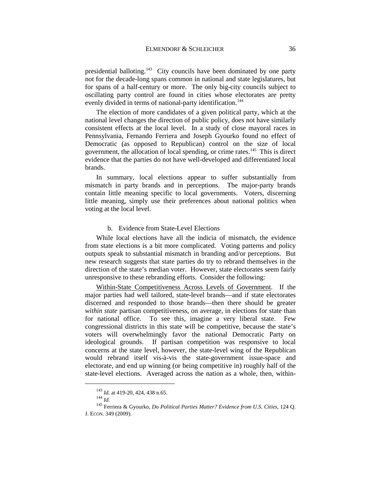presidential balloting.<sup>[143](#page-37-0)</sup> City councils have been dominated by one party not for the decade-long spans common in national and state legislatures, but for spans of a half-century or more. The only big-city councils subject to oscillating party control are found in cities whose electorates are pretty evenly divided in terms of national-party identification.<sup>[144](#page-37-1)</sup>

The election of more candidates of a given political party, which at the national level changes the direction of public policy, does not have similarly consistent effects at the local level. In a study of close mayoral races in Pennsylvania, Fernando Ferriera and Joseph Gyourko found no effect of Democratic (as opposed to Republican) control on the size of local government, the allocation of local spending, or crime rates[.145](#page-37-2) This is direct evidence that the parties do not have well-developed and differentiated local brands.

In summary, local elections appear to suffer substantially from mismatch in party brands and in perceptions. The major-party brands contain little meaning specific to local governments. Voters, discerning little meaning, simply use their preferences about national politics when voting at the local level.

#### b. Evidence from State-Level Elections

While local elections have all the indicia of mismatch, the evidence from state elections is a bit more complicated. Voting patterns and policy outputs speak to substantial mismatch in branding and/or perceptions. But new research suggests that state parties do try to rebrand themselves in the direction of the state's median voter. However, state electorates seem fairly unresponsive to these rebranding efforts. Consider the following:

Within-State Competitiveness Across Levels of Government. If the major parties had well tailored, state-level brands—and if state electorates discerned and responded to those brands—then there should be greater *within state* partisan competitiveness, on average, in elections for state than for national office. To see this, imagine a very liberal state. Few congressional districts in this state will be competitive, because the state's voters will overwhelmingly favor the national Democratic Party on ideological grounds. If partisan competition was responsive to local concerns at the state level, however, the state-level wing of the Republican would rebrand itself vis-à-vis the state-government issue-space and electorate, and end up winning (or being competitive in) roughly half of the state-level elections. Averaged across the nation as a whole, then, within-

<span id="page-37-2"></span><span id="page-37-1"></span><span id="page-37-0"></span><sup>&</sup>lt;sup>143</sup> *Id.* at 419-20, 424, 438 n.65.<br><sup>144</sup> *Id.* 145 Ferriera & Gyourko, *Do Political Parties Matter? Evidence from U.S. Cities*, 124 Q. J. ECON. 349 (2009).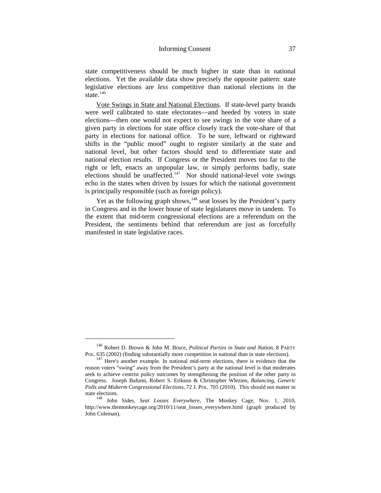state competitiveness should be much higher in state than in national elections. Yet the available data show precisely the opposite pattern: state legislative elections are *less* competitive than national elections in the state. $146$ 

Vote Swings in State and National Elections. If state-level party brands were well calibrated to state electorates—and heeded by voters in state elections—then one would not expect to see swings in the vote share of a given party in elections for state office closely track the vote-share of that party in elections for national office. To be sure, leftward or rightward shifts in the "public mood" ought to register similarly at the state and national level, but other factors should tend to differentiate state and national election results. If Congress or the President moves too far to the right or left, enacts an unpopular law, or simply performs badly, state elections should be unaffected.<sup>[147](#page-38-1)</sup> Nor should national-level vote swings echo in the states when driven by issues for which the national government is principally responsible (such as foreign policy).

Yet as the following graph shows,<sup>148</sup> seat losses by the President's party in Congress and in the lower house of state legislatures move in tandem. To the extent that mid-term congressional elections are a referendum on the President, the sentiments behind that referendum are just as forcefully manifested in state legislative races.

<span id="page-38-0"></span><sup>&</sup>lt;sup>146</sup> Robert D. Brown & John M. Bruce, *Political Parties in State and Nation*, 8 PARTY POL. 635 (2002) (finding substantially more competition in national than in state elections).

<span id="page-38-1"></span> $147$  Here's another example. In national mid-term elections, there is evidence that the reason voters "swing" away from the President's party at the national level is that moderates seek to achieve centrist policy outcomes by strengthening the position of the other party in Congress. Joseph Bafumi, Robert S. Erikson & Christopher Wlezien, *Balancing, Generic Polls and Midterm Congressional Elections*, 72 J. POL. 705 (2010). This should not matter in state elections. 148 John Sides, *Seat Losses Everywhere*, The Monkey Cage, Nov. 1, 2010,

<span id="page-38-2"></span>http://www.themonkeycage.org/2010/11/seat\_losses\_everywhere.html (graph produced by John Coleman).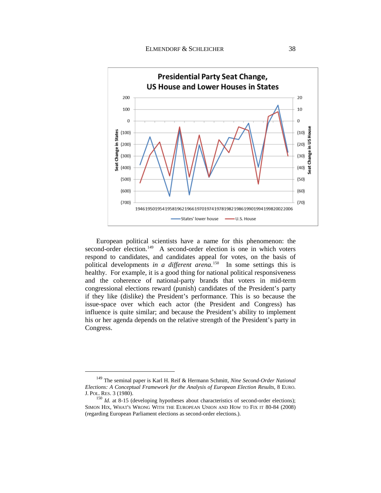

European political scientists have a name for this phenomenon: the second-order election.<sup>149</sup> A second-order election is one in which voters respond to candidates, and candidates appeal for votes, on the basis of political developments *in a different arena*.<sup>[150](#page-39-1)</sup> In some settings this is healthy. For example, it is a good thing for national political responsiveness and the coherence of national-party brands that voters in mid-term congressional elections reward (punish) candidates of the President's party if they like (dislike) the President's performance. This is so because the issue-space over which each actor (the President and Congress) has influence is quite similar; and because the President's ability to implement his or her agenda depends on the relative strength of the President's party in Congress.

<span id="page-39-0"></span> <sup>149</sup> The seminal paper is Karl H. Reif & Hermann Schmitt, *Nine Second-Order National Elections: A Conceptual Framework for the Analysis of European Election Results*, 8 EURO.<br>J. POL. RES. 3 (1980).

<span id="page-39-1"></span><sup>&</sup>lt;sup>150</sup> *Id.* at 8-15 (developing hypotheses about characteristics of second-order elections); SIMON HIX, WHAT'S WRONG WITH THE EUROPEAN UNION AND HOW TO FIX IT 80-84 (2008) (regarding European Parliament elections as second-order elections.).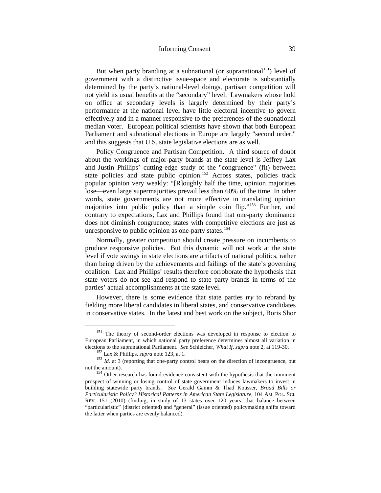### Informing Consent 39

But when party branding at a subnational (or supranational<sup>151</sup>) level of government with a distinctive issue-space and electorate is substantially determined by the party's national-level doings, partisan competition will not yield its usual benefits at the "secondary" level. Lawmakers whose hold on office at secondary levels is largely determined by their party's performance at the national level have little electoral incentive to govern effectively and in a manner responsive to the preferences of the subnational median voter. European political scientists have shown that both European Parliament and subnational elections in Europe are largely "second order," and this suggests that U.S. state legislative elections are as well.

Policy Congruence and Partisan Competition. A third source of doubt about the workings of major-party brands at the state level is Jeffrey Lax and Justin Phillips' cutting-edge study of the "congruence" (fit) between state policies and state public opinion.<sup>[152](#page-40-1)</sup> Across states, policies track popular opinion very weakly: "[R]oughly half the time, opinion majorities lose—even large supermajorities prevail less than 60% of the time. In other words, state governments are not more effective in translating opinion majorities into public policy than a simple coin flip."[153](#page-40-2) Further, and contrary to expectations, Lax and Phillips found that one-party dominance does not diminish congruence; states with competitive elections are just as unresponsive to public opinion as one-party states.<sup>154</sup>

<span id="page-40-4"></span>Normally, greater competition should create pressure on incumbents to produce responsive policies. But this dynamic will not work at the state level if vote swings in state elections are artifacts of national politics, rather than being driven by the achievements and failings of the state's governing coalition. Lax and Phillips' results therefore corroborate the hypothesis that state voters do not see and respond to state party brands in terms of the parties' actual accomplishments at the state level.

However, there is some evidence that state parties *try* to rebrand by fielding more liberal candidates in liberal states, and conservative candidates in conservative states. In the latest and best work on the subject, Boris Shor

<span id="page-40-0"></span><sup>&</sup>lt;sup>151</sup> The theory of second-order elections was developed in response to election to European Parliament, in which national party preference determines almost all variation in elections to the supranational Parliament. *See* Schleicher, *What If, supra* note 2, at 119-30.

<span id="page-40-2"></span><span id="page-40-1"></span><sup>&</sup>lt;sup>152</sup> Lax & Phillips, *supra* note [123,](#page-30-0) at 1.<br><sup>153</sup> *Id.* at 3 (reporting that one-party control bears on the direction of incongruence, but not the amount).

<span id="page-40-3"></span><sup>&</sup>lt;sup>154</sup> Other research has found evidence consistent with the hypothesis that the imminent prospect of winning or losing control of state government induces lawmakers to invest in building statewide party brands. *See* Gerald Gamm & Thad Kousser, *Broad Bills or Particularistic Policy? Historical Patterns in American State Legislature*, 104 AM. POL. SCI. REV. 151 (2010) (finding, in study of 13 states over 120 years, that balance between "particularistic" (district oriented) and "general" (issue oriented) policymaking shifts toward the latter when parties are evenly balanced).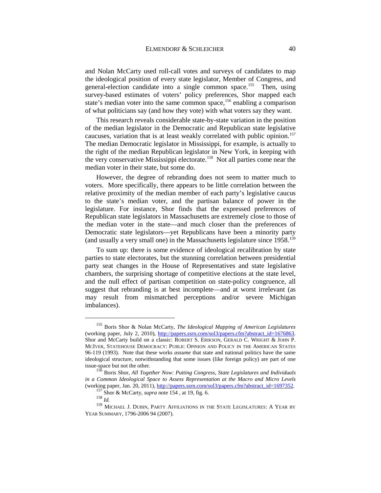and Nolan McCarty used roll-call votes and surveys of candidates to map the ideological position of every state legislator, Member of Congress, and general-election candidate into a single common space.<sup>155</sup> Then, using survey-based estimates of voters' policy preferences, Shor mapped each state's median voter into the same common space,<sup>[156](#page-41-1)</sup> enabling a comparison of what politicians say (and how they vote) with what voters say they want.

<span id="page-41-5"></span>This research reveals considerable state-by-state variation in the position of the median legislator in the Democratic and Republican state legislative caucuses, variation that is at least weakly correlated with public opinion.<sup>157</sup> The median Democratic legislator in Mississippi, for example, is actually to the right of the median Republican legislator in New York, in keeping with the very conservative Mississippi electorate.<sup>[158](#page-41-3)</sup> Not all parties come near the median voter in their state, but some do.

However, the degree of rebranding does not seem to matter much to voters. More specifically, there appears to be little correlation between the relative proximity of the median member of each party's legislative caucus to the state's median voter, and the partisan balance of power in the legislature. For instance, Shor finds that the expressed preferences of Republican state legislators in Massachusetts are extremely close to those of the median voter in the state—and much closer than the preferences of Democratic state legislators—yet Republicans have been a minority party (and usually a very small one) in the Massachusetts legislature since 1958[.159](#page-41-4)

To sum up: there is some evidence of ideological recalibration by state parties to state electorates, but the stunning correlation between presidential party seat changes in the House of Representatives and state legislative chambers, the surprising shortage of competitive elections at the state level, and the null effect of partisan competition on state-policy congruence, all suggest that rebranding is at best incomplete—and at worst irrelevant (as may result from mismatched perceptions and/or severe Michigan imbalances).

<span id="page-41-0"></span> <sup>155</sup> Boris Shor & Nolan McCarty, *The Ideological Mapping of American Legislatures* (working paper, July 2, 2010), [http://papers.ssrn.com/sol3/papers.cfm?abstract\\_id=1676863.](http://papers.ssrn.com/sol3/papers.cfm?abstract_id=1676863) Shor and McCarty build on a classic: ROBERT S. ERIKSON, GERALD C. WRIGHT & JOHN P. MCIVER, STATEHOUSE DEMOCRACY: PUBLIC OPINION AND POLICY IN THE AMERICAN STATES 96-119 (1993). Note that these works *assume* that state and national politics have the same ideological structure, notwithstanding that some issues (like foreign policy) are part of one issue-space but not the other.

<span id="page-41-1"></span><sup>156</sup> Boris Shor, *All Together Now: Putting Congress, State Legislatures and Individuals in a Common Ideological Space to Assess Representation at the Macro and Micro Levels* (working paper, Jan. 20, 2011), <u>http://papers.ssrn.com/sol3/papers.cfm?abstract\_id=1697352</u>. <sup>157</sup> Shor & McCarty, *supra* not[e 154](#page-40-4), at 19, fig. 6. <sup>158</sup> *Id.* 

<span id="page-41-4"></span><span id="page-41-3"></span><span id="page-41-2"></span> $^{159}$  MICHAEL J. DUBIN, PARTY AFFILIATIONS IN THE STATE LEGISLATURES: A YEAR BY YEAR SUMMARY, 1796-2006 94 (2007).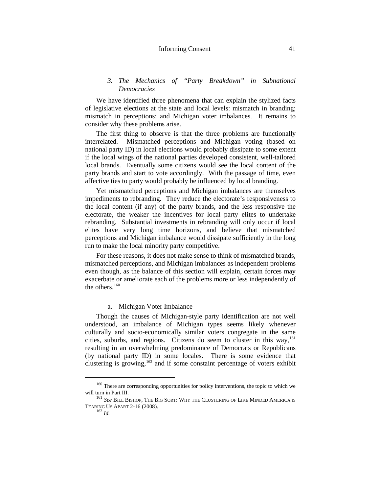### Informing Consent 41

## *3. The Mechanics of "Party Breakdown" in Subnational Democracies*

We have identified three phenomena that can explain the stylized facts of legislative elections at the state and local levels: mismatch in branding; mismatch in perceptions; and Michigan voter imbalances. It remains to consider why these problems arise.

The first thing to observe is that the three problems are functionally interrelated. Mismatched perceptions and Michigan voting (based on national party ID) in local elections would probably dissipate to some extent if the local wings of the national parties developed consistent, well-tailored local brands. Eventually some citizens would see the local content of the party brands and start to vote accordingly. With the passage of time, even affective ties to party would probably be influenced by local branding.

Yet mismatched perceptions and Michigan imbalances are themselves impediments to rebranding. They reduce the electorate's responsiveness to the local content (if any) of the party brands, and the less responsive the electorate, the weaker the incentives for local party elites to undertake rebranding. Substantial investments in rebranding will only occur if local elites have very long time horizons, and believe that mismatched perceptions and Michigan imbalance would dissipate sufficiently in the long run to make the local minority party competitive.

For these reasons, it does not make sense to think of mismatched brands, mismatched perceptions, and Michigan imbalances as independent problems even though, as the balance of this section will explain, certain forces may exacerbate or ameliorate each of the problems more or less independently of the others. $160$ 

## a. Michigan Voter Imbalance

Though the causes of Michigan-style party identification are not well understood, an imbalance of Michigan types seems likely whenever culturally and socio-economically similar voters congregate in the same cities, suburbs, and regions. Citizens do seem to cluster in this way,  $^{161}$  $^{161}$  $^{161}$ resulting in an overwhelming predominance of Democrats or Republicans (by national party ID) in some locales. There is some evidence that clustering is growing,<sup>[162](#page-42-2)</sup> and if some constaint percentage of voters exhibit

<sup>&</sup>lt;sup>160</sup> There are corresponding opportunities for policy interventions, the topic to which we

<span id="page-42-2"></span><span id="page-42-1"></span><span id="page-42-0"></span>will turn in Part III. <sup>161</sup> *See* BILL BISHOP, THE BIG SORT: WHY THE CLUSTERING OF LIKE MINDED AMERICA IS TEARING US APART 2-16 (2008). <sup>162</sup> *Id.*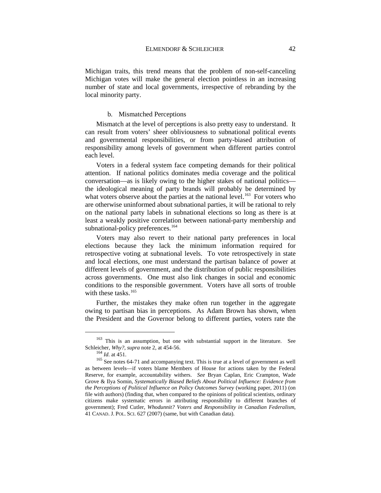Michigan traits, this trend means that the problem of non-self-canceling Michigan votes will make the general election pointless in an increasing number of state and local governments, irrespective of rebranding by the local minority party.

## b. Mismatched Perceptions

Mismatch at the level of perceptions is also pretty easy to understand. It can result from voters' sheer obliviousness to subnational political events and governmental responsibilities, or from party-biased attribution of responsibility among levels of government when different parties control each level.

Voters in a federal system face competing demands for their political attention. If national politics dominates media coverage and the political conversation—as is likely owing to the higher stakes of national politics the ideological meaning of party brands will probably be determined by what voters observe about the parties at the national level.<sup>163</sup> For voters who are otherwise uninformed about subnational parties, it will be rational to rely on the national party labels in subnational elections so long as there is at least a weakly positive correlation between national-party membership and subnational-policy preferences.<sup>164</sup>

Voters may also revert to their national party preferences in local elections because they lack the minimum information required for retrospective voting at subnational levels. To vote retrospectively in state and local elections, one must understand the partisan balance of power at different levels of government, and the distribution of public responsibilities across governments. One must also link changes in social and economic conditions to the responsible government. Voters have all sorts of trouble with these tasks.<sup>[165](#page-43-2)</sup>

Further, the mistakes they make often run together in the aggregate owing to partisan bias in perceptions. As Adam Brown has shown, when the President and the Governor belong to different parties, voters rate the

<span id="page-43-0"></span><sup>&</sup>lt;sup>163</sup> This is an assumption, but one with substantial support in the literature. See Schleicher, *Why?*, *supra* note 2, at 454-56.

<span id="page-43-2"></span><span id="page-43-1"></span><sup>&</sup>lt;sup>164</sup> *Id.* at 451. <sup>165</sup> See notes [64-](#page-19-0)[71](#page-20-0) and accompanying text. This is true at a level of government as well as between levels—if voters blame Members of House for actions taken by the Federal Reserve, for example, accountability withers. *See* Bryan Caplan, Eric Crampton, Wade Grove & Ilya Somin, *Systematically Biased Beliefs About Political Influence: Evidence from the Perceptions of Political Influence on Policy Outcomes Survey* (working paper, 2011) (on file with authors) (finding that, when compared to the opinions of political scientists, ordinary citizens make systematic errors in attributing responsibility to different branches of government); Fred Cutler, *Whodunnit? Voters and Responsibility in Canadian Federalism*, 41 CANAD. J. POL. SCI. 627 (2007) (same, but with Canadian data).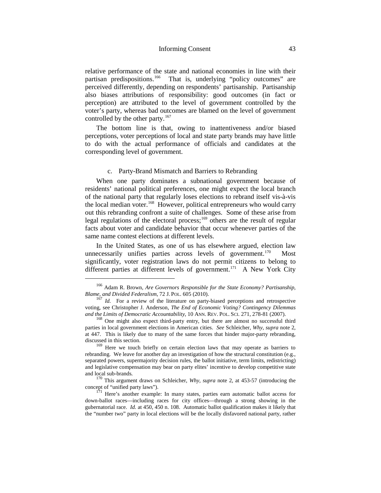relative performance of the state and national economies in line with their partisan predispositions.<sup>166</sup> That is, underlying "policy outcomes" are perceived differently, depending on respondents' partisanship. Partisanship also biases attributions of responsibility: good outcomes (in fact or perception) are attributed to the level of government controlled by the voter's party, whereas bad outcomes are blamed on the level of government controlled by the other party.<sup>[167](#page-44-1)</sup>

The bottom line is that, owing to inattentiveness and/or biased perceptions, voter perceptions of local and state party brands may have little to do with the actual performance of officials and candidates at the corresponding level of government.

## <span id="page-44-6"></span>c. Party-Brand Mismatch and Barriers to Rebranding

When one party dominates a subnational government because of residents' national political preferences, one might expect the local branch of the national party that regularly loses elections to rebrand itself vis-à-vis the local median voter.<sup>168</sup> However, political entrepreneurs who would carry out this rebranding confront a suite of challenges. Some of these arise from legal regulations of the electoral process;<sup>[169](#page-44-3)</sup> others are the result of regular facts about voter and candidate behavior that occur whenever parties of the same name contest elections at different levels.

In the United States, as one of us has elsewhere argued, election law unnecessarily unifies parties across levels of government.<sup>[170](#page-44-4)</sup> Most significantly, voter registration laws do not permit citizens to belong to different parties at different levels of government.<sup>[171](#page-44-5)</sup> A New York City

<span id="page-44-0"></span><sup>&</sup>lt;sup>166</sup> Adam R. Brown, *Are Governors Responsible for the State Economy? Partisanship, Blame, and Divided Federalism, 72 J. POL. 605 (2010).* 

<span id="page-44-1"></span><sup>&</sup>lt;sup>167</sup> *Id.* For a review of the literature on party-biased perceptions and retrospective voting, see Christopher J. Anderson, *The End of Economic Voting? Contingency Dilemmas and the Limits of Democratic Accountability*, 10 ANN. REV. POL. SCI. 271, 278-81 (2007).<br><sup>168</sup> One might also expect third-party entry, but there are almost no successful third

<span id="page-44-2"></span>parties in local government elections in American cities. *See* Schleicher, *Why*, *supra* not[e 2,](#page-4-0) at 447. This is likely due to many of the same forces that hinder major-party rebranding, discussed in this section.

<span id="page-44-3"></span><sup>&</sup>lt;sup>169</sup> Here we touch briefly on certain election laws that may operate as barriers to rebranding. We leave for another day an investigation of how the structural constitution (e.g., separated powers, supermajority decision rules, the ballot initiative, term limits, redistricting) and legislative compensation may bear on party elites' incentive to develop competitive state

<span id="page-44-4"></span><sup>&</sup>lt;sup>170</sup> This argument draws on Schleicher, *Why*, *supra* note [2,](#page-4-0) at 453-57 (introducing the concept of "unified party laws").

<span id="page-44-5"></span> $1^{71}$  Here's another example: In many states, parties earn automatic ballot access for down-ballot races—including races for city offices—through a strong showing in the gubernatorial race. *Id.* at 450, 450 n. 108. Automatic ballot qualification makes it likely that the "number two" party in local elections will be the locally disfavored national party, rather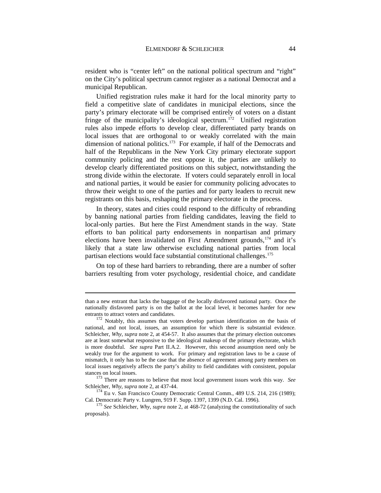resident who is "center left" on the national political spectrum and "right" on the City's political spectrum cannot register as a national Democrat and a municipal Republican.

Unified registration rules make it hard for the local minority party to field a competitive slate of candidates in municipal elections, since the party's primary electorate will be comprised entirely of voters on a distant fringe of the municipality's ideological spectrum.<sup>[172](#page-45-0)</sup> Unified registration rules also impede efforts to develop clear, differentiated party brands on local issues that are orthogonal to or weakly correlated with the main dimension of national politics.<sup>173</sup> For example, if half of the Democrats and half of the Republicans in the New York City primary electorate support community policing and the rest oppose it, the parties are unlikely to develop clearly differentiated positions on this subject, notwithstanding the strong divide within the electorate. If voters could separately enroll in local and national parties, it would be easier for community policing advocates to throw their weight to one of the parties and for party leaders to recruit new registrants on this basis, reshaping the primary electorate in the process.

In theory, states and cities could respond to the difficulty of rebranding by banning national parties from fielding candidates, leaving the field to local-only parties. But here the First Amendment stands in the way. State efforts to ban political party endorsements in nonpartisan and primary elections have been invalidated on First Amendment grounds,<sup>[174](#page-45-2)</sup> and it's likely that a state law otherwise excluding national parties from local partisan elections would face substantial constitutional challenges.<sup>[175](#page-45-3)</sup>

On top of these hard barriers to rebranding, there are a number of softer barriers resulting from voter psychology, residential choice, and candidate

-

stances on local issues. <sup>173</sup> There are reasons to believe that most local government issues work this way. *See*

<span id="page-45-2"></span><span id="page-45-1"></span>Schleicher, *Why, supra* not[e 2,](#page-4-0) at 437-44.<br><sup>174</sup> Eu v. San Francisco County Democratic Central Comm., 489 U.S. 214, 216 (1989);<br>Cal. Democratic Party v. Lungren, 919 F. Supp. 1397, 1399 (N.D. Cal. 1996).

than a new entrant that lacks the baggage of the locally disfavored national party. Once the nationally disfavored party is on the ballot at the local level, it becomes harder for new entrants to attract voters and candidates.<br><sup>172</sup> Notably, this assumes that voters develop partisan identification on the basis of

<span id="page-45-0"></span>national, and not local, issues, an assumption for which there is substantial evidence. Schleicher, *Why*, *supra* note [2,](#page-4-0) at 454-57. It also assumes that the primary election outcomes are at least somewhat responsive to the ideological makeup of the primary electorate, which is more doubtful. *See supra* Part II.A.2. However, this second assumption need only be weakly true for the argument to work. For primary and registration laws to be a cause of mismatch, it only has to be the case that the absence of agreement among party members on local issues negatively affects the party's ability to field candidates with consistent, popular

<span id="page-45-3"></span><sup>&</sup>lt;sup>175</sup> See Schleicher, *Why, supra* note [2,](#page-4-0) at 468-72 (analyzing the constitutionality of such proposals).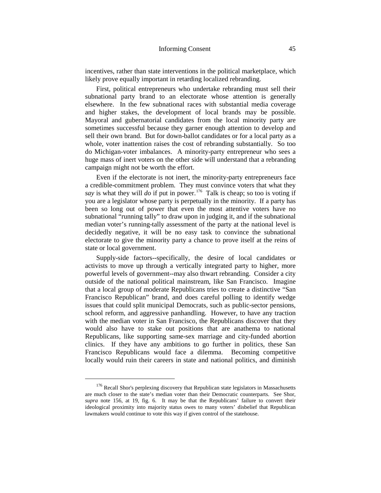incentives, rather than state interventions in the political marketplace, which likely prove equally important in retarding localized rebranding.

First, political entrepreneurs who undertake rebranding must sell their subnational party brand to an electorate whose attention is generally elsewhere. In the few subnational races with substantial media coverage and higher stakes, the development of local brands may be possible. Mayoral and gubernatorial candidates from the local minority party are sometimes successful because they garner enough attention to develop and sell their own brand. But for down-ballot candidates or for a local party as a whole, voter inattention raises the cost of rebranding substantially. So too do Michigan-voter imbalances. A minority-party entrepreneur who sees a huge mass of inert voters on the other side will understand that a rebranding campaign might not be worth the effort.

Even if the electorate is not inert, the minority-party entrepreneurs face a credible-commitment problem. They must convince voters that what they *say* is what they will *do* if put in power.<sup>[176](#page-46-0)</sup> Talk is cheap; so too is voting if you are a legislator whose party is perpetually in the minority. If a party has been so long out of power that even the most attentive voters have no subnational "running tally" to draw upon in judging it, and if the subnational median voter's running-tally assessment of the party at the national level is decidedly negative, it will be no easy task to convince the subnational electorate to give the minority party a chance to prove itself at the reins of state or local government.

Supply-side factors--specifically, the desire of local candidates or activists to move up through a vertically integrated party to higher, more powerful levels of government--may also thwart rebranding. Consider a city outside of the national political mainstream, like San Francisco. Imagine that a local group of moderate Republicans tries to create a distinctive "San Francisco Republican" brand, and does careful polling to identify wedge issues that could split municipal Democrats, such as public-sector pensions, school reform, and aggressive panhandling. However, to have any traction with the median voter in San Francisco, the Republicans discover that they would also have to stake out positions that are anathema to national Republicans, like supporting same-sex marriage and city-funded abortion clinics. If they have any ambitions to go further in politics, these San Francisco Republicans would face a dilemma. Becoming competitive locally would ruin their careers in state and national politics, and diminish

<span id="page-46-0"></span> $176$  Recall Shor's perplexing discovery that Republican state legislators in Massachusetts are much closer to the state's median voter than their Democratic counterparts. See Shor, *supra* note [156,](#page-41-5) at 19, fig. 6. It may be that the Republicans' failure to convert their ideological proximity into majority status owes to many voters' disbelief that Republican lawmakers would continue to vote this way if given control of the statehouse.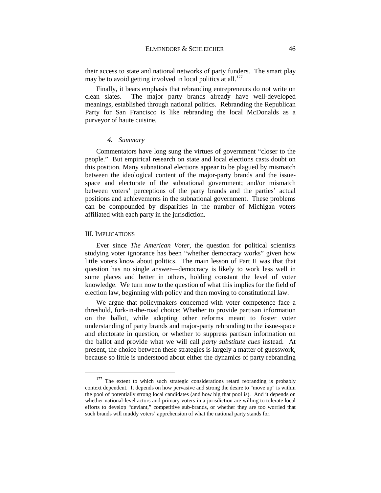their access to state and national networks of party funders. The smart play may be to avoid getting involved in local politics at all.<sup>[177](#page-47-0)</sup>

Finally, it bears emphasis that rebranding entrepreneurs do not write on clean slates. The major party brands already have well-developed meanings, established through national politics. Rebranding the Republican Party for San Francisco is like rebranding the local McDonalds as a purveyor of haute cuisine.

### *4. Summary*

Commentators have long sung the virtues of government "closer to the people." But empirical research on state and local elections casts doubt on this position. Many subnational elections appear to be plagued by mismatch between the ideological content of the major-party brands and the issuespace and electorate of the subnational government; and/or mismatch between voters' perceptions of the party brands and the parties' actual positions and achievements in the subnational government. These problems can be compounded by disparities in the number of Michigan voters affiliated with each party in the jurisdiction.

### III. IMPLICATIONS

Ever since *The American Voter*, the question for political scientists studying voter ignorance has been "whether democracy works" given how little voters know about politics. The main lesson of Part II was that that question has no single answer—democracy is likely to work less well in some places and better in others, holding constant the level of voter knowledge. We turn now to the question of what this implies for the field of election law, beginning with policy and then moving to constitutional law.

We argue that policymakers concerned with voter competence face a threshold, fork-in-the-road choice: Whether to provide partisan information on the ballot, while adopting other reforms meant to foster voter understanding of party brands and major-party rebranding to the issue-space and electorate in question, or whether to suppress partisan information on the ballot and provide what we will call *party substitute cues* instead. At present, the choice between these strategies is largely a matter of guesswork, because so little is understood about either the dynamics of party rebranding

<span id="page-47-0"></span><sup>&</sup>lt;sup>177</sup> The extent to which such strategic considerations retard rebranding is probably context dependent. It depends on how pervasive and strong the desire to "move up" is within the pool of potentially strong local candidates (and how big that pool is). And it depends on whether national-level actors and primary voters in a jurisdiction are willing to tolerate local efforts to develop "deviant," competitive sub-brands, or whether they are too worried that such brands will muddy voters' apprehension of what the national party stands for.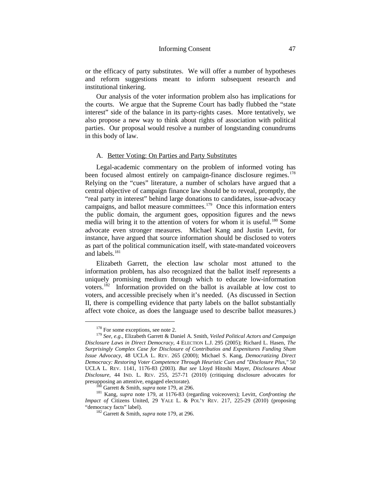or the efficacy of party substitutes. We will offer a number of hypotheses and reform suggestions meant to inform subsequent research and institutional tinkering.

Our analysis of the voter information problem also has implications for the courts. We argue that the Supreme Court has badly flubbed the "state interest" side of the balance in its party-rights cases. More tentatively, we also propose a new way to think about rights of association with political parties. Our proposal would resolve a number of longstanding conundrums in this body of law.

## <span id="page-48-0"></span>A. Better Voting: On Parties and Party Substitutes

Legal-academic commentary on the problem of informed voting has been focused almost entirely on campaign-finance disclosure regimes.<sup>[178](#page-48-1)</sup> Relying on the "cues" literature, a number of scholars have argued that a central objective of campaign finance law should be to reveal, promptly, the "real party in interest" behind large donations to candidates, issue-advocacy campaigns, and ballot measure committees.<sup>179</sup> Once this information enters the public domain, the argument goes, opposition figures and the news media will bring it to the attention of voters for whom it is useful.<sup>[180](#page-48-3)</sup> Some advocate even stronger measures. Michael Kang and Justin Levitt, for instance, have argued that source information should be disclosed to voters as part of the political communication itself, with state-mandated voiceovers and labels. $181$ 

Elizabeth Garrett, the election law scholar most attuned to the information problem, has also recognized that the ballot itself represents a uniquely promising medium through which to educate low-information voters.[182](#page-48-5) Information provided on the ballot is available at low cost to voters, and accessible precisely when it's needed. (As discussed in Section II, there is compelling evidence that party labels on the ballot substantially affect vote choice, as does the language used to describe ballot measures.)

<span id="page-48-2"></span><span id="page-48-1"></span><sup>&</sup>lt;sup>178</sup> For some exceptions, see not[e 2.](#page-4-0)<br><sup>179</sup> *See*, *e.g.*, Elizabeth Garrett & Daniel A. Smith, *Veiled Political Actors and Campaign Disclosure Laws in Direct Democracy*, 4 ELECTION L.J. 295 (2005); Richard L. Hasen, *The Surprisingly Complex Case for Disclosure of Contributios and Expenitures Funding Sham Issue Advocacy*, 48 UCLA L. REV. 265 (2000); Michael S. Kang, *Democratizing Direct Democracy: Restoring Voter Competence Through Heuristic Cues and "Disclosure Plus,"* 50 UCLA L. REV. 1141, 1176-83 (2003). *But see* Lloyd Hitoshi Mayer, *Disclosures About Disclosure*, 44 IND. L. REV. 255, 257-71 (2010) (critiquing disclosure advocates for

<span id="page-48-5"></span><span id="page-48-4"></span><span id="page-48-3"></span><sup>&</sup>lt;sup>180</sup> Garrett & Smith, *supra* not[e 179,](#page-48-0) at 296. <sup>181</sup> Kang, *supra* note [179,](#page-48-0) at 1176-83 (regarding voiceovers); Levitt, *Confronting the Impact of Citizens United, 29 YALE L. & POL'Y REV. 217, 225-29 (2010) (proposing "democracy facts" label).* 

<sup>&</sup>lt;sup>182</sup> Garrett & Smith, *supra* not[e 179,](#page-48-0) at 296.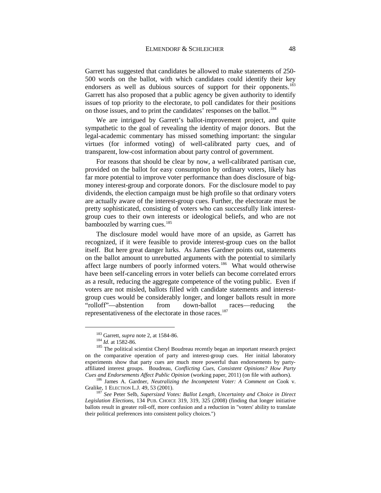Garrett has suggested that candidates be allowed to make statements of 250- 500 words on the ballot, with which candidates could identify their key endorsers as well as dubious sources of support for their opponents.<sup>183</sup> Garrett has also proposed that a public agency be given authority to identify issues of top priority to the electorate, to poll candidates for their positions on those issues, and to print the candidates' responses on the ballot.<sup>[184](#page-49-1)</sup>

We are intrigued by Garrett's ballot-improvement project, and quite sympathetic to the goal of revealing the identity of major donors. But the legal-academic commentary has missed something important: the singular virtues (for informed voting) of well-calibrated party cues, and of transparent, low-cost information about party control of government.

For reasons that should be clear by now, a well-calibrated partisan cue, provided on the ballot for easy consumption by ordinary voters, likely has far more potential to improve voter performance than does disclosure of bigmoney interest-group and corporate donors. For the disclosure model to pay dividends, the election campaign must be high profile so that ordinary voters are actually aware of the interest-group cues. Further, the electorate must be pretty sophisticated, consisting of voters who can successfully link interestgroup cues to their own interests or ideological beliefs, and who are not bamboozled by warring cues.<sup>[185](#page-49-2)</sup>

The disclosure model would have more of an upside, as Garrett has recognized, if it were feasible to provide interest-group cues on the ballot itself. But here great danger lurks. As James Gardner points out, statements on the ballot amount to unrebutted arguments with the potential to similarly affect large numbers of poorly informed voters.<sup>186</sup> What would otherwise have been self-canceling errors in voter beliefs can become correlated errors as a result, reducing the aggregate competence of the voting public. Even if voters are not misled, ballots filled with candidate statements and interestgroup cues would be considerably longer, and longer ballots result in more "rolloff"—abstention from down-ballot races—reducing the representativeness of the electorate in those races.<sup>187</sup>

<span id="page-49-2"></span><span id="page-49-1"></span><span id="page-49-0"></span><sup>&</sup>lt;sup>183</sup> Garrett, *supra* not[e 2,](#page-4-0) at 1584-86.<br><sup>184</sup> *Id.* at 1582-86.<br><sup>185</sup> The political scientist Cheryl Boudreau recently began an important research project on the comparative operation of party and interest-group cues. Her initial laboratory experiments show that party cues are much more powerful than endorsements by partyaffiliated interest groups. Boudreau, *Conflicting Cues, Consistent Opinions? How Party Cues and Endorsements Affect Public Opinion* (working paper, 2011) (on file with authors). 186 James A. Gardner, *Neutralizing the Incompetent Voter: A Comment on* Cook v.

<span id="page-49-3"></span>Gralike, 1 ELECTION L.J. 49, 53 (2001).<br><sup>187</sup> *See* Peter Selb, *Supersized Votes: Ballot Length, Uncertainty and Choice in Direct* 

<span id="page-49-4"></span>*Legislation Elections*, 134 PUB. CHOICE 319, 319, 325 (2008) (finding that longer initiative ballots result in greater roll-off, more confusion and a reduction in "voters' ability to translate their political preferences into consistent policy choices.")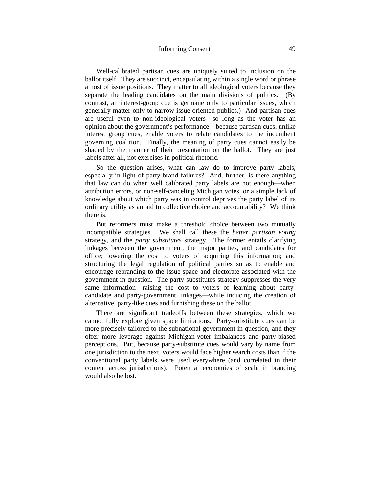## Informing Consent 49

Well-calibrated partisan cues are uniquely suited to inclusion on the ballot itself. They are succinct, encapsulating within a single word or phrase a host of issue positions. They matter to all ideological voters because they separate the leading candidates on the main divisions of politics. (By contrast, an interest-group cue is germane only to particular issues, which generally matter only to narrow issue-oriented publics.) And partisan cues are useful even to non-ideological voters—so long as the voter has an opinion about the government's performance—because partisan cues, unlike interest group cues, enable voters to relate candidates to the incumbent governing coalition. Finally, the meaning of party cues cannot easily be shaded by the manner of their presentation on the ballot. They are just labels after all, not exercises in political rhetoric.

So the question arises, what can law do to improve party labels, especially in light of party-brand failures? And, further, is there anything that law can do when well calibrated party labels are not enough—when attribution errors, or non-self-canceling Michigan votes, or a simple lack of knowledge about which party was in control deprives the party label of its ordinary utility as an aid to collective choice and accountability? We think there is.

But reformers must make a threshold choice between two mutually incompatible strategies. We shall call these the *better partisan voting* strategy, and the *party substitutes* strategy. The former entails clarifying linkages between the government, the major parties, and candidates for office; lowering the cost to voters of acquiring this information; and structuring the legal regulation of political parties so as to enable and encourage rebranding to the issue-space and electorate associated with the government in question. The party-substitutes strategy suppresses the very same information—raising the cost to voters of learning about partycandidate and party-government linkages—while inducing the creation of alternative, party-like cues and furnishing these on the ballot.

There are significant tradeoffs between these strategies, which we cannot fully explore given space limitations. Party-substitute cues can be more precisely tailored to the subnational government in question, and they offer more leverage against Michigan-voter imbalances and party-biased perceptions. But, because party-substitute cues would vary by name from one jurisdiction to the next, voters would face higher search costs than if the conventional party labels were used everywhere (and correlated in their content across jurisdictions). Potential economies of scale in branding would also be lost.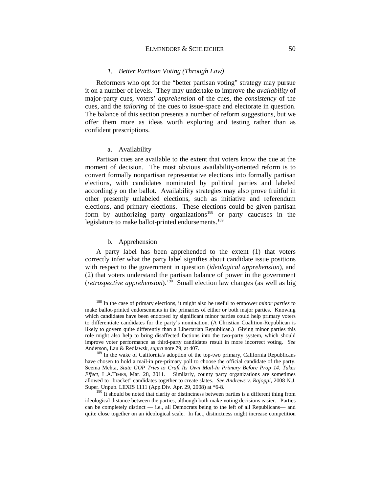### ELMENDORF & SCHLEICHER 50

#### *1. Better Partisan Voting (Through Law)*

Reformers who opt for the "better partisan voting" strategy may pursue it on a number of levels. They may undertake to improve the *availability* of major-party cues, voters' *apprehension* of the cues, the *consistency* of the cues, and the *tailoring* of the cues to issue-space and electorate in question. The balance of this section presents a number of reform suggestions, but we offer them more as ideas worth exploring and testing rather than as confident prescriptions.

#### a. Availability

Partisan cues are available to the extent that voters know the cue at the moment of decision. The most obvious availability-oriented reform is to convert formally nonpartisan representative elections into formally partisan elections, with candidates nominated by political parties and labeled accordingly on the ballot. Availability strategies may also prove fruitful in other presently unlabeled elections, such as initiative and referendum elections, and primary elections. These elections could be given partisan form by authorizing party organizations<sup>[188](#page-51-0)</sup> or party caucuses in the legislature to make ballot-printed endorsements.<sup>[189](#page-51-1)</sup>

### b. Apprehension

A party label has been apprehended to the extent (1) that voters correctly infer what the party label signifies about candidate issue positions with respect to the government in question (*ideological apprehension*), and (2) that voters understand the partisan balance of power in the government (*retrospective apprehension*).[190](#page-51-2) Small election law changes (as well as big

<span id="page-51-0"></span> <sup>188</sup> In the case of primary elections, it might also be useful to empower *minor parties* to make ballot-printed endorsements in the primaries of either or both major parties. Knowing which candidates have been endorsed by significant minor parties could help primary voters to differentiate candidates for the party's nomination. (A Christian Coalition-Republican is likely to govern quite differently than a Libertarian Republican.) Giving minor parties this role might also help to bring disaffected factions into the two-party system, which should improve voter performance as third-party candidates result in more incorrect voting. *See*

<span id="page-51-1"></span><sup>&</sup>lt;sup>189</sup> In the wake of California's adoption of the top-two primary, California Republicans have chosen to hold a mail-in pre-primary poll to choose the official candidate of the party. Seema Mehta, *State GOP Tries to Craft Its Own Mail-In Primary Before Prop 14. Takes Effect*, L.A.TIMES, Mar. 28, 2011. Similarly, county party organizations are sometimes allowed to "bracket" candidates together to create slates. *See Andrews v. Rajoppi*, 2008 N.J. Super. Unpub. LEXIS 1111 (App.Div. Apr. 29, 2008) at \*6-8.

<span id="page-51-2"></span><sup>&</sup>lt;sup>190</sup> It should be noted that clarity or distinctness between parties is a different thing from ideological distance between the parties, although both make voting decisions easier. Parties can be completely distinct — i.e., all Democrats being to the left of all Republicans— and quite close together on an ideological scale. In fact, distinctness might increase competition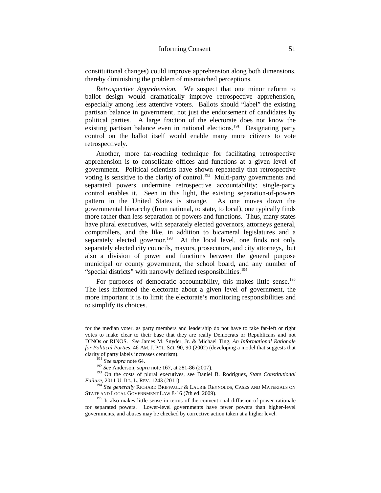constitutional changes) could improve apprehension along both dimensions, thereby diminishing the problem of mismatched perceptions.

*Retrospective Apprehension.* We suspect that one minor reform to ballot design would dramatically improve retrospective apprehension, especially among less attentive voters. Ballots should "label" the existing partisan balance in government, not just the endorsement of candidates by political parties. A large fraction of the electorate does not know the existing partisan balance even in national elections.<sup>191</sup> Designating party control on the ballot itself would enable many more citizens to vote retrospectively.

Another, more far-reaching technique for facilitating retrospective apprehension is to consolidate offices and functions at a given level of government. Political scientists have shown repeatedly that retrospective voting is sensitive to the clarity of control.<sup>[192](#page-52-1)</sup> Multi-party governments and separated powers undermine retrospective accountability; single-party control enables it. Seen in this light, the existing separation-of-powers pattern in the United States is strange. As one moves down the governmental hierarchy (from national, to state, to local), one typically finds more rather than less separation of powers and functions. Thus, many states have plural executives, with separately elected governors, attorneys general, comptrollers, and the like, in addition to bicameral legislatures and a separately elected governor.<sup>193</sup> At the local level, one finds not only separately elected city councils, mayors, prosecutors, and city attorneys, but also a division of power and functions between the general purpose municipal or county government, the school board, and any number of "special districts" with narrowly defined responsibilities.<sup>194</sup>

For purposes of democratic accountability, this makes little sense.<sup>195</sup> The less informed the electorate about a given level of government, the more important it is to limit the electorate's monitoring responsibilities and to simplify its choices.

<u>.</u>

for the median voter, as party members and leadership do not have to take far-left or right votes to make clear to their base that they are really Democrats or Republicans and not DINOs or RINOS. *See* James M. Snyder, Jr. & Michael Ting, *An Informational Rationale for Political Parties*, 46 AM. J. POL. SCI. 90, 90 (2002) (developing a model that suggests that clarity of party labels increases centrism).<br> $^{191}$  See supra note 64.

<span id="page-52-2"></span><span id="page-52-1"></span><span id="page-52-0"></span><sup>&</sup>lt;sup>192</sup> *See* Anderson, *supra* note [167,](#page-44-6) at 281-86 (2007).<br><sup>193</sup> On the costs of plural executives, see Daniel B. Rodriguez, *State Constitutional Failure*, 2011 U. ILL. L. REV. 1243 (2011)

<span id="page-52-3"></span><sup>&</sup>lt;sup>194</sup> *See generally* RICHARD BRIFFAULT & LAURIE REYNOLDS, CASES AND MATERIALS ON STATE AND LOCAL GOVERNMENT LAW 8-16 (7th ed. 2009).

<span id="page-52-4"></span> $195$  It also makes little sense in terms of the conventional diffusion-of-power rationale for separated powers. Lower-level governments have fewer powers than higher-level governments, and abuses may be checked by corrective action taken at a higher level.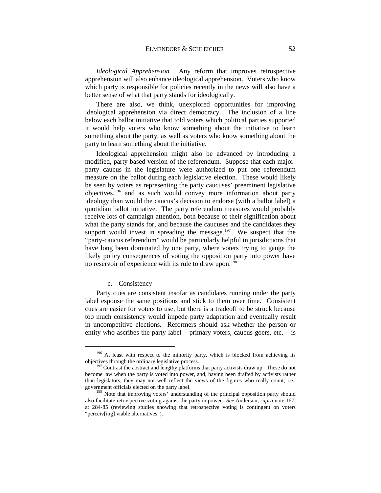*Ideological Apprehension.* Any reform that improves retrospective apprehension will also enhance ideological apprehension. Voters who know which party is responsible for policies recently in the news will also have a better sense of what that party stands for ideologically.

There are also, we think, unexplored opportunities for improving ideological apprehension via direct democracy. The inclusion of a line below each ballot initiative that told voters which political parties supported it would help voters who know something about the initiative to learn something about the party, as well as voters who know something about the party to learn something about the initiative.

Ideological apprehension might also be advanced by introducing a modified, party-based version of the referendum. Suppose that each majorparty caucus in the legislature were authorized to put one referendum measure on the ballot during each legislative election. These would likely be seen by voters as representing the party caucuses' preeminent legislative objectives,[196](#page-53-0) and as such would convey more information about party ideology than would the caucus's decision to endorse (with a ballot label) a quotidian ballot initiative. The party referendum measures would probably receive lots of campaign attention, both because of their signification about what the party stands for, and because the caucuses and the candidates they support would invest in spreading the message.<sup>197</sup> We suspect that the "party-caucus referendum" would be particularly helpful in jurisdictions that have long been dominated by one party, where voters trying to gauge the likely policy consequences of voting the opposition party into power have no reservoir of experience with its rule to draw upon.<sup>[198](#page-53-2)</sup>

## c. Consistency

Party cues are consistent insofar as candidates running under the party label espouse the same positions and stick to them over time. Consistent cues are easier for voters to use, but there is a tradeoff to be struck because too much consistency would impede party adaptation and eventually result in uncompetitive elections. Reformers should ask whether the person or entity who ascribes the party label – primary voters, caucus goers, etc. – is

<span id="page-53-0"></span><sup>&</sup>lt;sup>196</sup> At least with respect to the minority party, which is blocked from achieving its objectives through the ordinary legislative process.<br><sup>197</sup> Contrast the abstract and lengthy platforms that party activists draw up. These do not

<span id="page-53-1"></span>become law when the party is voted into power, and, having been drafted by activists rather than legislators, they may not well reflect the views of the figures who really count, i.e., government officials elected on the party label.

<span id="page-53-2"></span><sup>&</sup>lt;sup>198</sup> Note that improving voters' understanding of the principal opposition party should also facilitate retrospective voting against the party in power. *See* Anderson, *supra* not[e 167,](#page-44-6) at 284-85 (reviewing studies showing that retrospective voting is contingent on voters "perceiv[ing] viable alternatives").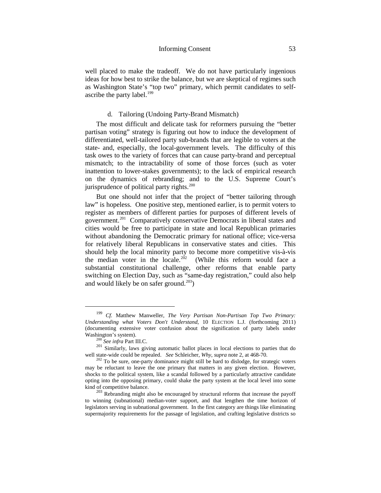well placed to make the tradeoff. We do not have particularly ingenious ideas for how best to strike the balance, but we are skeptical of regimes such as Washington State's "top two" primary, which permit candidates to selfascribe the party label. $199$ 

# d. Tailoring (Undoing Party-Brand Mismatch)

The most difficult and delicate task for reformers pursuing the "better partisan voting" strategy is figuring out how to induce the development of differentiated, well-tailored party sub-brands that are legible to voters at the state- and, especially, the local-government levels. The difficulty of this task owes to the variety of forces that can cause party-brand and perceptual mismatch; to the intractability of some of those forces (such as voter inattention to lower-stakes governments); to the lack of empirical research on the dynamics of rebranding; and to the U.S. Supreme Court's jurisprudence of political party rights. $200$ 

But one should not infer that the project of "better tailoring through law" is hopeless. One positive step, mentioned earlier, is to permit voters to register as members of different parties for purposes of different levels of government.[201](#page-54-2) Comparatively conservative Democrats in liberal states and cities would be free to participate in state and local Republican primaries without abandoning the Democratic primary for national office; vice-versa for relatively liberal Republicans in conservative states and cities. This should help the local minority party to become more competitive vis-à-vis the median voter in the locale.<sup>[202](#page-54-3)</sup> (While this reform would face a substantial constitutional challenge, other reforms that enable party switching on Election Day, such as "same-day registration," could also help and would likely be on safer ground. $^{203}$ )

<span id="page-54-0"></span> <sup>199</sup> *Cf.* Matthew Manweller, *The Very Partisan Non-Partisan Top Two Primary: Understanding what Voters Don't Understand*, 10 ELECTION L.J. (forthcoming 2011) (documenting extensive voter confusion about the signification of party labels under

<span id="page-54-2"></span><span id="page-54-1"></span>Washington's system). 200 *See infra* Part III.C. <sup>201</sup> Similarly, laws giving automatic ballot places in local elections to parties that do well state-wide could be repealed. *See* Schleicher, *Why*, *supra* not[e 2,](#page-4-0) at 468-70. <sup>202</sup> To be sure, one-party dominance might still be hard to dislodge, for strategic voters

<span id="page-54-3"></span>may be reluctant to leave the one primary that matters in any given election. However, shocks to the political system, like a scandal followed by a particularly attractive candidate opting into the opposing primary, could shake the party system at the local level into some kind of competitive balance.<br><sup>203</sup> Rebranding might also be encouraged by structural reforms that increase the payoff

<span id="page-54-4"></span>to winning (subnational) median-voter support, and that lengthen the time horizon of legislators serving in subnational government. In the first category are things like eliminating supermajority requirements for the passage of legislation, and crafting legislative districts so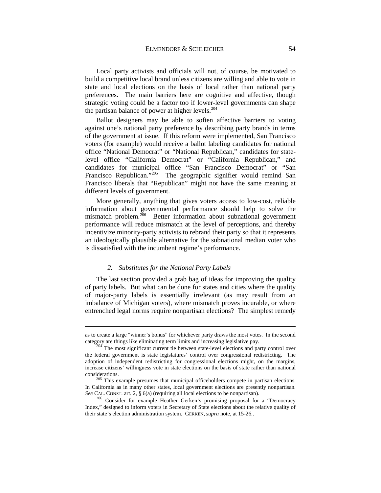Local party activists and officials will not, of course, be motivated to build a competitive local brand unless citizens are willing and able to vote in state and local elections on the basis of local rather than national party preferences. The main barriers here are cognitive and affective, though strategic voting could be a factor too if lower-level governments can shape the partisan balance of power at higher levels. $204$ 

Ballot designers may be able to soften affective barriers to voting against one's national party preference by describing party brands in terms of the government at issue. If this reform were implemented, San Francisco voters (for example) would receive a ballot labeling candidates for national office "National Democrat" or "National Republican," candidates for statelevel office "California Democrat" or "California Republican," and candidates for municipal office "San Francisco Democrat" or "San Francisco Republican."<sup>205</sup> The geographic signifier would remind San Francisco liberals that "Republican" might not have the same meaning at different levels of government.

More generally, anything that gives voters access to low-cost, reliable information about governmental performance should help to solve the mismatch problem.<sup>206</sup> Better information about subnational government performance will reduce mismatch at the level of perceptions, and thereby incentivize minority-party activists to rebrand their party so that it represents an ideologically plausible alternative for the subnational median voter who is dissatisfied with the incumbent regime's performance.

### *2. Substitutes for the National Party Labels*

-

The last section provided a grab bag of ideas for improving the quality of party labels. But what can be done for states and cities where the quality of major-party labels is essentially irrelevant (as may result from an imbalance of Michigan voters), where mismatch proves incurable, or where entrenched legal norms require nonpartisan elections? The simplest remedy

as to create a large "winner's bonus" for whichever party draws the most votes. In the second category are things like eliminating term limits and increasing legislative pay. 204 The most significant current tie between state-level elections and party control over

<span id="page-55-0"></span>the federal government is state legislatures' control over congressional redistricting. The adoption of independent redistricting for congressional elections might, on the margins, increase citizens' willingness vote in state elections on the basis of state rather than national considerations. 205 This example presumes that municipal officeholders compete in partisan elections.

<span id="page-55-1"></span>In California as in many other states, local government elections are presently nonpartisan. See CAL. CONST. art. 2,  $\S$  6(a) (requiring all local elections to be nonpartisan).

<span id="page-55-2"></span><sup>&</sup>lt;sup>206</sup> Consider for example Heather Gerken's promising proposal for a "Democracy Index," designed to inform voters in Secretary of State elections about the relative quality of their state's election administration system. GERKEN, *supra* note, at 15-26..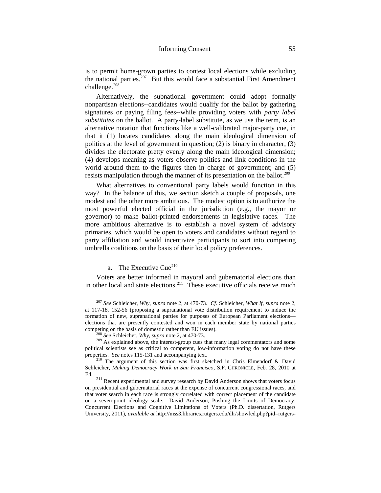is to permit home-grown parties to contest local elections while excluding the national parties.<sup>207</sup> But this would face a substantial First Amendment challenge.<sup>[208](#page-56-1)</sup>

Alternatively, the subnational government could adopt formally nonpartisan elections--candidates would qualify for the ballot by gathering signatures or paying filing fees--while providing voters with *party label substitutes* on the ballot. A party-label substitute, as we use the term, is an alternative notation that functions like a well-calibrated major-party cue, in that it (1) locates candidates along the main ideological dimension of politics at the level of government in question; (2) is binary in character, (3) divides the electorate pretty evenly along the main ideological dimension; (4) develops meaning as voters observe politics and link conditions in the world around them to the figures then in charge of government; and (5) resists manipulation through the manner of its presentation on the ballot.<sup>[209](#page-56-2)</sup>

What alternatives to conventional party labels would function in this way? In the balance of this, we section sketch a couple of proposals, one modest and the other more ambitious. The modest option is to authorize the most powerful elected official in the jurisdiction (e.g., the mayor or governor) to make ballot-printed endorsements in legislative races. The more ambitious alternative is to establish a novel system of advisory primaries, which would be open to voters and candidates without regard to party affiliation and would incentivize participants to sort into competing umbrella coalitions on the basis of their local policy preferences.

## a. The Executive Cue $^{210}$  $^{210}$  $^{210}$

Voters are better informed in mayoral and gubernatorial elections than in other local and state elections.<sup>[211](#page-56-4)</sup> These executive officials receive much

<span id="page-56-0"></span> <sup>207</sup> *See* Schleicher, *Why*, *supra* note [2,](#page-4-0) at 470-73. *Cf.* Schleicher, *What If*, *supra* note [2,](#page-4-0) at 117-18, 152-56 (proposing a supranational vote distribution requirement to induce the formation of new, supranational parties for purposes of European Parliament elections elections that are presently contested and won in each member state by national parties competing on the basis of domestic rather than EU issues).

<span id="page-56-2"></span><span id="page-56-1"></span><sup>&</sup>lt;sup>208</sup> *See* Schleicher, *Why*, *supra* not[e 2,](#page-4-0) at 470-73. <sup>209</sup> As explained above, the interest-group cues that many legal commentators and some <sup>209</sup> As explained above, the interest-group cues that many legal commentato political scientists see as critical to competent, low-information voting do not have these properties. See notes 115-131 and accompanying text.

<span id="page-56-3"></span><sup>&</sup>lt;sup>210</sup> The argument of this section was first sketched in Chris Elmendorf & David Schleicher, *Making Democracy Work in San Francisco*, S.F. CHRONICLE, Feb. 28, 2010 at

<span id="page-56-4"></span>E4. <sup>211</sup> Recent experimental and survey research by David Anderson shows that voters focus on presidential and gubernatorial races at the expense of concurrent congressional races, and that voter search in each race is strongly correlated with correct placement of the candidate on a seven-point ideology scale. David Anderson, Pushing the Limits of Democracy: Concurrent Elections and Cognitive Limitations of Voters (Ph.D. dissertation, Rutgers University, 2011), *available at* http://mss3.libraries.rutgers.edu/dlr/showfed.php?pid=rutgers-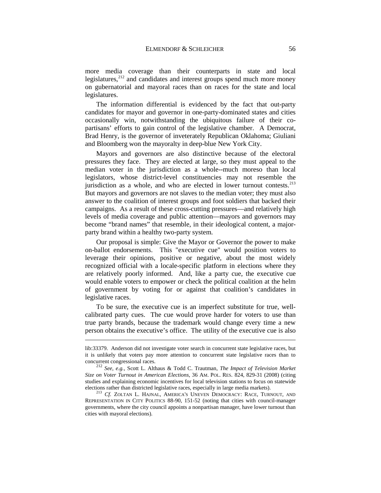more media coverage than their counterparts in state and local legislatures, $212$  and candidates and interest groups spend much more money on gubernatorial and mayoral races than on races for the state and local legislatures.

The information differential is evidenced by the fact that out-party candidates for mayor and governor in one-party-dominated states and cities occasionally win, notwithstanding the ubiquitous failure of their copartisans' efforts to gain control of the legislative chamber. A Democrat, Brad Henry, is the governor of inveterately Republican Oklahoma; Giuliani and Bloomberg won the mayoralty in deep-blue New York City.

Mayors and governors are also distinctive because of the electoral pressures they face. They are elected at large, so they must appeal to the median voter in the jurisdiction as a whole--much moreso than local legislators, whose district-level constituencies may not resemble the jurisdiction as a whole, and who are elected in lower turnout contests.<sup>213</sup> But mayors and governors are not slaves to the median voter; they must also answer to the coalition of interest groups and foot soldiers that backed their campaigns. As a result of these cross-cutting pressures—and relatively high levels of media coverage and public attention—mayors and governors may become "brand names" that resemble, in their ideological content, a majorparty brand within a healthy two-party system.

Our proposal is simple: Give the Mayor or Governor the power to make on-ballot endorsements. This "executive cue" would position voters to leverage their opinions, positive or negative, about the most widely recognized official with a locale-specific platform in elections where they are relatively poorly informed. And, like a party cue, the executive cue would enable voters to empower or check the political coalition at the helm of government by voting for or against that coalition's candidates in legislative races.

To be sure, the executive cue is an imperfect substitute for true, wellcalibrated party cues. The cue would prove harder for voters to use than true party brands, because the trademark would change every time a new person obtains the executive's office. The utility of the executive cue is also

<u>.</u>

lib:33379. Anderson did not investigate voter search in concurrent state legislative races, but it is unlikely that voters pay more attention to concurrent state legislative races than to concurrent congressional races. 212 *See*, *e.g.*, Scott L. Althaus & Todd C. Trautman, *The Impact of Television Market* 

<span id="page-57-0"></span>*Size on Voter Turnout in American Elections*, 36 AM. POL. RES. 824, 829-31 (2008) (citing studies and explaining economic incentives for local television stations to focus on statewide elections rather than districted legislative races, especially in large media markets).

<span id="page-57-1"></span><sup>&</sup>lt;sup>213</sup> Cf. ZOLTAN L. HAJNAL, AMERICA'S UNEVEN DEMOCRACY: RACE, TURNOUT, AND REPRESENTATION IN CITY POLITICS 88-90, 151-52 (noting that cities with council-manager governments, where the city council appoints a nonpartisan manager, have lower turnout than cities with mayoral elections).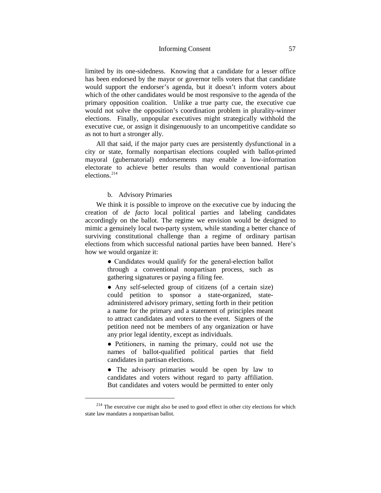limited by its one-sidedness. Knowing that a candidate for a lesser office has been endorsed by the mayor or governor tells voters that that candidate would support the endorser's agenda, but it doesn't inform voters about which of the other candidates would be most responsive to the agenda of the primary opposition coalition. Unlike a true party cue, the executive cue would not solve the opposition's coordination problem in plurality-winner elections. Finally, unpopular executives might strategically withhold the executive cue, or assign it disingenuously to an uncompetitive candidate so as not to hurt a stronger ally.

All that said, if the major party cues are persistently dysfunctional in a city or state, formally nonpartisan elections coupled with ballot-printed mayoral (gubernatorial) endorsements may enable a low-information electorate to achieve better results than would conventional partisan elections.<sup>[214](#page-58-0)</sup>

# b. Advisory Primaries

We think it is possible to improve on the executive cue by inducing the creation of *de facto* local political parties and labeling candidates accordingly on the ballot. The regime we envision would be designed to mimic a genuinely local two-party system, while standing a better chance of surviving constitutional challenge than a regime of ordinary partisan elections from which successful national parties have been banned. Here's how we would organize it:

> • Candidates would qualify for the general-election ballot through a conventional nonpartisan process, such as gathering signatures or paying a filing fee.

> ● Any self-selected group of citizens (of a certain size) could petition to sponsor a state-organized, stateadministered advisory primary, setting forth in their petition a name for the primary and a statement of principles meant to attract candidates and voters to the event. Signers of the petition need not be members of any organization or have any prior legal identity, except as individuals.

> ● Petitioners, in naming the primary, could not use the names of ballot-qualified political parties that field candidates in partisan elections.

> • The advisory primaries would be open by law to candidates and voters without regard to party affiliation. But candidates and voters would be permitted to enter only

<span id="page-58-0"></span><sup>&</sup>lt;sup>214</sup> The executive cue might also be used to good effect in other city elections for which state law mandates a nonpartisan ballot.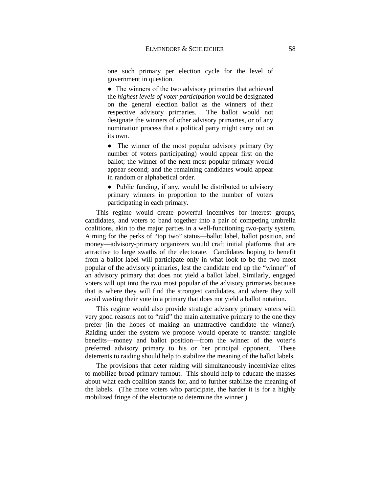one such primary per election cycle for the level of government in question.

● The winners of the two advisory primaries that achieved the *highest levels of voter participation* would be designated on the general election ballot as the winners of their respective advisory primaries. The ballot would not designate the winners of other advisory primaries, or of any nomination process that a political party might carry out on its own.

• The winner of the most popular advisory primary (by number of voters participating) would appear first on the ballot; the winner of the next most popular primary would appear second; and the remaining candidates would appear in random or alphabetical order.

• Public funding, if any, would be distributed to advisory primary winners in proportion to the number of voters participating in each primary.

This regime would create powerful incentives for interest groups, candidates, and voters to band together into a pair of competing umbrella coalitions, akin to the major parties in a well-functioning two-party system. Aiming for the perks of "top two" status—ballot label, ballot position, and money—advisory-primary organizers would craft initial platforms that are attractive to large swaths of the electorate. Candidates hoping to benefit from a ballot label will participate only in what look to be the two most popular of the advisory primaries, lest the candidate end up the "winner" of an advisory primary that does not yield a ballot label. Similarly, engaged voters will opt into the two most popular of the advisory primaries because that is where they will find the strongest candidates, and where they will avoid wasting their vote in a primary that does not yield a ballot notation.

This regime would also provide strategic advisory primary voters with very good reasons not to "raid" the main alternative primary to the one they prefer (in the hopes of making an unattractive candidate the winner). Raiding under the system we propose would operate to transfer tangible benefits—money and ballot position—from the winner of the voter's preferred advisory primary to his or her principal opponent. These deterrents to raiding should help to stabilize the meaning of the ballot labels.

The provisions that deter raiding will simultaneously incentivize elites to mobilize broad primary turnout. This should help to educate the masses about what each coalition stands for, and to further stabilize the meaning of the labels. (The more voters who participate, the harder it is for a highly mobilized fringe of the electorate to determine the winner.)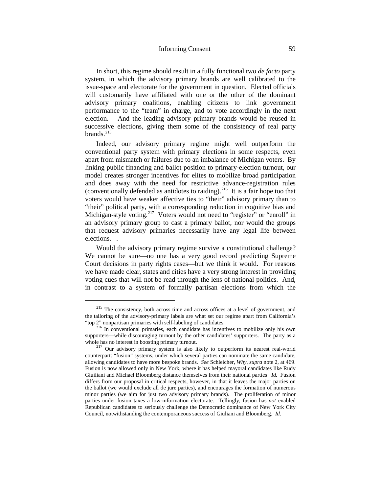In short, this regime should result in a fully functional two *de facto* party system, in which the advisory primary brands are well calibrated to the issue-space and electorate for the government in question. Elected officials will customarily have affiliated with one or the other of the dominant advisory primary coalitions, enabling citizens to link government performance to the "team" in charge, and to vote accordingly in the next election. And the leading advisory primary brands would be reused in successive elections, giving them some of the consistency of real party brands. $^{215}$  $^{215}$  $^{215}$ 

Indeed, our advisory primary regime might well outperform the conventional party system with primary elections in some respects, even apart from mismatch or failures due to an imbalance of Michigan voters. By linking public financing and ballot position to primary-election turnout, our model creates stronger incentives for elites to mobilize broad participation and does away with the need for restrictive advance-registration rules (conventionally defended as antidotes to raiding). [216](#page-60-1) It is a fair hope too that voters would have weaker affective ties to "their" advisory primary than to "their" political party, with a corresponding reduction in cognitive bias and Michigan-style voting.<sup>217</sup> Voters would not need to "register" or "enroll" in an advisory primary group to cast a primary ballot, nor would the groups that request advisory primaries necessarily have any legal life between elections. .

Would the advisory primary regime survive a constitutional challenge? We cannot be sure—no one has a very good record predicting Supreme Court decisions in party rights cases—but we think it would. For reasons we have made clear, states and cities have a very strong interest in providing voting cues that will not be read through the lens of national politics. And, in contrast to a system of formally partisan elections from which the

<span id="page-60-0"></span><sup>&</sup>lt;sup>215</sup> The consistency, both across time and across offices at a level of government, and the tailoring of the advisory-primary labels are what set our regime apart from California's "top 2" nonpartisan primaries with self-labeling of candidates.

<span id="page-60-1"></span><sup>&</sup>lt;sup>216</sup> In conventional primaries, each candidate has incentives to mobilize only his own supporters—while discouraging turnout by the other candidates' supporters. The party as a whole has no interest in boosting primary turnout.

<span id="page-60-2"></span> $2^{217}$  Our advisory primary system is also likely to outperform its nearest real-world counterpart: "fusion" systems, under which several parties can nominate the same candidate, allowing candidates to have more bespoke brands. *See* Schleicher, *Why*, *supra* not[e 2,](#page-4-0) at 469. Fusion is now allowed only in New York, where it has helped mayoral candidates like Rudy Giuiliani and Michael Bloomberg distance themselves from their national parties *Id.* Fusion differs from our proposal in critical respects, however, in that it leaves the major parties on the ballot (we would exclude all de jure parties), and encourages the formation of numerous minor parties (we aim for just two advisory primary brands). The proliferation of minor parties under fusion taxes a low-information electorate. Tellingly, fusion has *not* enabled Republican candidates to seriously challenge the Democratic dominance of New York City Council, notwithstanding the contemporaneous success of Giuliani and Bloomberg. *Id.*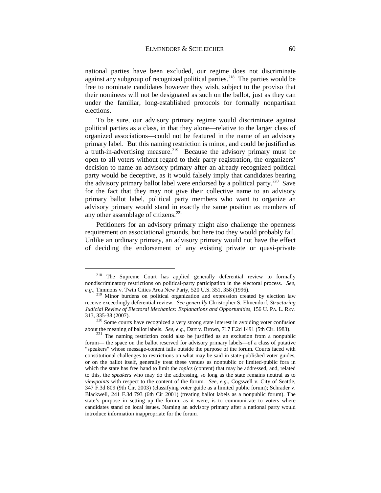national parties have been excluded, our regime does not discriminate against any subgroup of recognized political parties.<sup>218</sup> The parties would be free to nominate candidates however they wish, subject to the proviso that their nominees will not be designated as such on the ballot, just as they can under the familiar, long-established protocols for formally nonpartisan elections.

To be sure, our advisory primary regime would discriminate against political parties as a class, in that they alone—relative to the larger class of organized associations—could not be featured in the name of an advisory primary label. But this naming restriction is minor, and could be justified as a truth-in-advertising measure.<sup>219</sup> Because the advisory primary must be open to all voters without regard to their party registration, the organizers' decision to name an advisory primary after an already recognized political party would be deceptive, as it would falsely imply that candidates bearing the advisory primary ballot label were endorsed by a political party.<sup>220</sup> Save for the fact that they may not give their collective name to an advisory primary ballot label, political party members who want to organize an advisory primary would stand in exactly the same position as members of any other assemblage of citizens. $221$ 

Petitioners for an advisory primary might also challenge the openness requirement on associational grounds, but here too they would probably fail. Unlike an ordinary primary, an advisory primary would not have the effect of deciding the endorsement of any existing private or quasi-private

<span id="page-61-0"></span><sup>&</sup>lt;sup>218</sup> The Supreme Court has applied generally deferential review to formally nondiscriminatory restrictions on political-party participation in the electoral process. *See*, *e.g.*, Timmons v. Twin Cities Area New Party, 520 U.S. 351, 358 (1996).

<span id="page-61-1"></span><sup>&</sup>lt;sup>219</sup> Minor burdens on political organization and expression created by election law receive exceedingly deferential review. *See generally* Christopher S. Elmendorf, *Structuring Judicial Review of Electoral Mechanics: Explanations and Opportunities*, 156 U. PA. L. REV.

<span id="page-61-2"></span><sup>313, 335-38 (2007).&</sup>lt;br><sup>220</sup> Some courts have recognized a very strong state interest in avoiding voter confusion<br>about the meaning of ballot labels. *See*, *e.g.*, Dart v. Brown, 717 F.2d 1491 (5th Cir. 1983).

<span id="page-61-3"></span><sup>&</sup>lt;sup>221</sup> The naming restriction could also be justified as an exclusion from a nonpublic forum— the space on the ballot reserved for advisory primary labels—of a class of putative "speakers" whose message-content falls outside the purpose of the forum. Courts faced with constitutional challenges to restrictions on what may be said in state-published voter guides, or on the ballot itself, generally treat these venues as nonpublic or limited-public fora in which the state has free hand to limit the *topics* (content) that may be addressed, and, related to this, the *speakers* who may do the addressing, so long as the state remains neutral as to *viewpoints* with respect to the content of the forum. *See*, *e.g.*, Cogswell v. City of Seattle, 347 F.3d 809 (9th Cir. 2003) (classifying voter guide as a limited public forum); Schrader v. Blackwell, 241 F.3d 793 (6th Cir 2001) (treating ballot labels as a nonpublic forum). The state's purpose in setting up the forum, as it were, is to communicate to voters where candidates stand on local issues. Naming an advisory primary after a national party would introduce information inappropriate for the forum.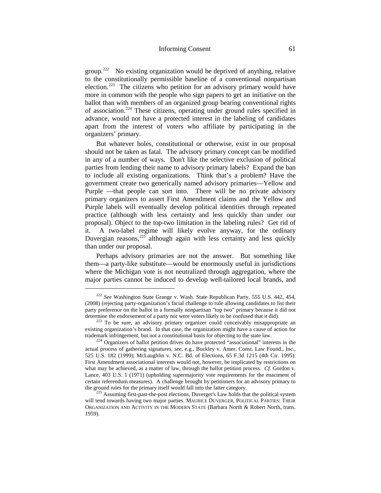group.<sup>[222](#page-62-0)</sup> No existing organization would be deprived of anything, relative to the constitutionally permissible baseline of a conventional nonpartisan election.[223](#page-62-1) The citizens who petition for an advisory primary would have more in common with the people who sign papers to get an initiative on the ballot than with members of an organized group bearing conventional rights of association.[224](#page-62-2) These citizens, operating under ground rules specified in advance, would not have a protected interest in the labeling of candidates apart from the interest of voters who affiliate by participating in the organizers' primary.

But whatever holes, constitutional or otherwise, exist in our proposal should not be taken as fatal. The advisory primary concept can be modified in any of a number of ways. Don't like the selective exclusion of political parties from lending their name to advisory primary labels? Expand the ban to include all existing organizations. Think that's a problem? Have the government create two generically named advisory primaries—Yellow and Purple —that people can sort into. There will be no private advisory primary organizers to assert First Amendment claims and the Yellow and Purple labels will eventually develop political identities through repeated practice (although with less certainty and less quickly than under our proposal). Object to the top-two limitation in the labeling rules? Get rid of it. A two-label regime will likely evolve anyway, for the ordinary Duvergian reasons,  $225$  although again with less certainty and less quickly than under our proposal.

Perhaps advisory primaries are not the answer. But something like them—a party-like substitute—would be enormously useful in jurisdictions where the Michigan vote is not neutralized through aggregation, where the major parties cannot be induced to develop well-tailored local brands, and

<span id="page-62-0"></span> <sup>222</sup> *See* Washington State Grange v. Wash. State Republican Party, 555 U.S. 442, 454, (2008) (rejecting party-organization's facial challenge to rule allowing candidates to list their party preference on the ballot in a formally nonpartisan "top two" primary because it did not determine the endorsement of a party nor were voters likely to be confused that it did).

<span id="page-62-1"></span><sup>&</sup>lt;sup>223</sup> To be sure, an advisory primary organizer could conceivably misappropriate an existing organization's brand. In that case, the organization might have a cause of action for trademark infringement, but not a constitutional basis for objecting to the state law.

<span id="page-62-2"></span> $t<sup>224</sup>$  Organizers of ballot petition drives do have protected "associational" interests in the actual process of gathering signatures, see, e.g., Buckley v. Amer. Const. Law Found., Inc., 525 U.S. 182 (1999); McLaughlin v. N.C. Bd. of Elections, 65 F.3d 1215 (4th Cir. 1995). First Amendment associational interests would not, however, be implicated by restrictions on what may be achieved, as a matter of law, through the ballot petition process. *Cf*. Gordon v. Lance, 403 U.S. 1 (1971) (upholding supermajority vote requirements for the enactment of certain referendum measures). A challenge brought by petitioners for an advisory primary to the ground rules for the primary itself would fall into the latter category.<br><sup>225</sup> Assuming first-past-the-post elections, Duverger's Law holds that the political system

<span id="page-62-3"></span>will tend towards having two major parties. MAURICE DUVERGER, POLITICAL PARTIES: THEIR ORGANIZATION AND ACTIVITY IN THE MODERN STATE (Barbara North & Robert North, trans. 1959).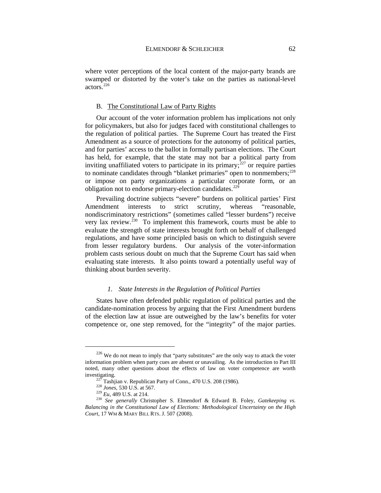where voter perceptions of the local content of the major-party brands are swamped or distorted by the voter's take on the parties as national-level actors.<sup>[226](#page-63-0)</sup>

## B. The Constitutional Law of Party Rights

Our account of the voter information problem has implications not only for policymakers, but also for judges faced with constitutional challenges to the regulation of political parties. The Supreme Court has treated the First Amendment as a source of protections for the autonomy of political parties, and for parties' access to the ballot in formally partisan elections. The Court has held, for example, that the state may not bar a political party from inviting unaffiliated voters to participate in its primary; $^{227}$  $^{227}$  $^{227}$  or require parties to nominate candidates through "blanket primaries" open to nonmembers; $^{228}$ or impose on party organizations a particular corporate form, or an obligation not to endorse primary-election candidates.<sup>229</sup>

Prevailing doctrine subjects "severe" burdens on political parties' First Amendment interests to strict scrutiny, whereas "reasonable, nondiscriminatory restrictions" (sometimes called "lesser burdens") receive very lax review.<sup>[230](#page-63-4)</sup> To implement this framework, courts must be able to evaluate the strength of state interests brought forth on behalf of challenged regulations, and have some principled basis on which to distinguish severe from lesser regulatory burdens. Our analysis of the voter-information problem casts serious doubt on much that the Supreme Court has said when evaluating state interests. It also points toward a potentially useful way of thinking about burden severity.

## *1. State Interests in the Regulation of Political Parties*

States have often defended public regulation of political parties and the candidate-nomination process by arguing that the First Amendment burdens of the election law at issue are outweighed by the law's benefits for voter competence or, one step removed, for the "integrity" of the major parties.

<span id="page-63-0"></span> $226$  We do not mean to imply that "party substitutes" are the only way to attack the voter information problem when party cues are absent or unavailing. As the introduction to Part III noted, many other questions about the effects of law on voter competence are worth investigating.<br>
<sup>227</sup> Tashjian v. Republican Party of Conn., 470 U.S. 208 (1986).<br>
<sup>228</sup> *Jones*, 530 U.S. at 567.<br>
<sup>229</sup> *Eu*, 489 U.S. at 214.<br>
<sup>230</sup> *See generally* Christopher S. Elmendorf & Edward B. Foley, *Gatekeep* 

<span id="page-63-4"></span><span id="page-63-3"></span><span id="page-63-2"></span><span id="page-63-1"></span>*Balancing in the Constitutional Law of Elections: Methodological Uncertainty on the High Court*, 17 WM & MARY BILL RTS. J. 507 (2008).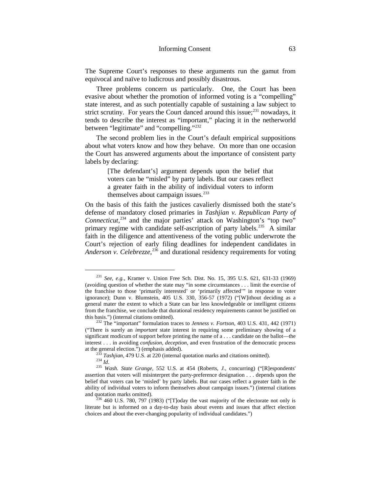The Supreme Court's responses to these arguments run the gamut from equivocal and naïve to ludicrous and possibly disastrous.

Three problems concern us particularly. One, the Court has been evasive about whether the promotion of informed voting is a "compelling" state interest, and as such potentially capable of sustaining a law subject to strict scrutiny. For years the Court danced around this issue; $^{231}$  $^{231}$  $^{231}$  nowadays, it tends to describe the interest as "important," placing it in the netherworld between "legitimate" and "compelling."<sup>232</sup>

The second problem lies in the Court's default empirical suppositions about what voters know and how they behave. On more than one occasion the Court has answered arguments about the importance of consistent party labels by declaring:

> [The defendant's] argument depends upon the belief that voters can be "misled" by party labels. But our cases reflect a greater faith in the ability of individual voters to inform themselves about campaign issues. $233$

On the basis of this faith the justices cavalierly dismissed both the state's defense of mandatory closed primaries in *Tashjian v. Republican Party of Connecticut*, [234](#page-64-3) and the major parties' attack on Washington's "top two" primary regime with candidate self-ascription of party labels.<sup>235</sup> A similar faith in the diligence and attentiveness of the voting public underwrote the Court's rejection of early filing deadlines for independent candidates in Anderson v. Celebrezze,<sup>[236](#page-64-5)</sup> and durational residency requirements for voting

<span id="page-64-0"></span> <sup>231</sup> *See*, *e.g.*, Kramer v. Union Free Sch. Dist. No. 15, 395 U.S. 621, 631-33 (1969) (avoiding question of whether the state may "in some circumstances . . . limit the exercise of the franchise to those 'primarily interested' or 'primarily affected'" in response to voter ignorance); Dunn v. Blumstein, 405 U.S. 330, 356-57 (1972) ("[W]ithout deciding as a general mater the extent to which a State can bar less knowledgeable or intelligent citizens from the franchise, we conclude that durational residency requirements cannot be justified on

<span id="page-64-1"></span>this basis.") (internal citations omitted). <sup>232</sup> The "important" formulation traces to *Jenness v. Fortson*, 403 U.S. 431, 442 (1971) ("There is surely an *important* state interest in requiring some preliminary showing of a significant modicum of support before printing the name of a . . . candidate on the ballot—the interest . . . in avoiding *confusion*, *deception*, and even frustration of the democratic process

<span id="page-64-2"></span>at the general election.") (emphasis added).<br>
<sup>233</sup> Tashjian, 479 U.S. at 220 (internal quotation marks and citations omitted).<br>
<sup>234</sup> Id.<br>
<sup>235</sup> Wash. State Grange, 552 U.S. at 454 (Roberts, J., concurring) ("[R]esponden

<span id="page-64-4"></span><span id="page-64-3"></span>assertion that voters will misinterpret the party-preference designation . . . depends upon the belief that voters can be 'misled' by party labels. But our cases reflect a greater faith in the ability of individual voters to inform themselves about campaign issues.") (internal citations and quotation marks omitted). <sup>236</sup> 460 U.S. 780, 797 (1983) ("[T]oday the vast majority of the electorate not only is

<span id="page-64-5"></span>literate but is informed on a day-to-day basis about events and issues that affect election choices and about the ever-changing popularity of individual candidates.")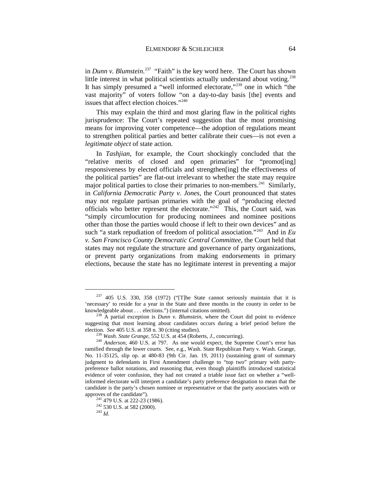in *Dunn v. Blumstein*. [237](#page-65-0) "Faith" is the key word here. The Court has shown little interest in what political scientists actually understand about voting.<sup>[238](#page-65-1)</sup> It has simply presumed a "well informed electorate,["239](#page-65-2) one in which "the vast majority" of voters follow "on a day-to-day basis [the] events and issues that affect election choices."[240](#page-65-3)

This may explain the third and most glaring flaw in the political rights jurisprudence: The Court's repeated suggestion that the most promising means for improving voter competence—the adoption of regulations meant to strengthen political parties and better calibrate their cues—is not even a *legitimate object* of state action.

In *Tashjian*, for example, the Court shockingly concluded that the "relative merits of closed and open primaries" for "promot[ing] responsiveness by elected officials and strengthen[ing] the effectiveness of the political parties" are flat-out irrelevant to whether the state may require major political parties to close their primaries to non-members.<sup>241</sup> Similarly, in *California Democratic Party v. Jones*, the Court pronounced that states may not regulate partisan primaries with the goal of "producing elected officials who better represent the electorate."<sup>242</sup> This, the Court said, was "simply circumlocution for producing nominees and nominee positions other than those the parties would choose if left to their own devices" and as such "a stark repudiation of freedom of political association."[243](#page-65-6) And in *Eu v. San Francisco County Democratic Central Committee*, the Court held that states may not regulate the structure and governance of party organizations, or prevent party organizations from making endorsements in primary elections, because the state has no legitimate interest in preventing a major

<span id="page-65-0"></span> $237$  405 U.S. 330, 358 (1972) ("The State cannot seriously maintain that it is 'necessary' to reside for a year in the State and three months in the county in order to be knowledgeable about . . . elections.") (internal citations omitted). <sup>238</sup> A partial exception is *Dunn v. Blumstein*, where the Court did point to evidence

<span id="page-65-1"></span>suggesting that most learning about candidates occurs during a brief period before the election. See 405 U.S. at 358 n. 30 (citing studies).<br><sup>239</sup> Wash. State Grange, 552 U.S. at 454 (Roberts, J., concurring).<br><sup>240</sup> Anderson, 460 U.S. at 797. As one would expect, the Supreme Court's error has

<span id="page-65-3"></span><span id="page-65-2"></span>ramified through the lower courts. See, e.g., Wash. State Republican Party v. Wash. Grange, No. 11-35125, slip op. at 480-83 (9th Cir. Jan. 19, 2011) (sustaining grant of summary judgment to defendants in First Amendment challenge to "top two" primary with partypreference ballot notations, and reasoning that, even though plaintiffs introduced statistical evidence of voter confusion, they had not created a triable issue fact on whether a "wellinformed electorate will interpret a candidate's party preference designation to mean that the candidate is the party's chosen nominee or representative or that the party associates with or approves of the candidate"). 241 479 U.S. at 222-23 (1986). <sup>242</sup> 530 U.S. at 582 (2000). <sup>243</sup> *Id*.

<span id="page-65-6"></span><span id="page-65-5"></span><span id="page-65-4"></span>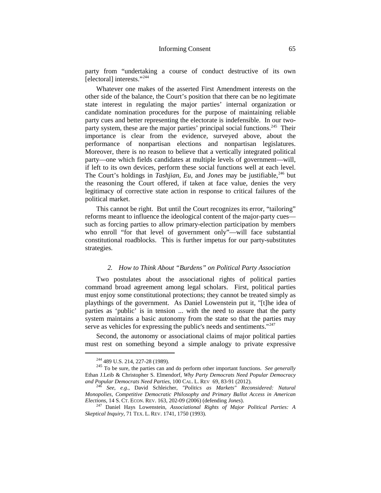party from "undertaking a course of conduct destructive of its own [electoral] interests."<sup>[244](#page-66-0)</sup>

Whatever one makes of the asserted First Amendment interests on the other side of the balance, the Court's position that there can be no legitimate state interest in regulating the major parties' internal organization or candidate nomination procedures for the purpose of maintaining reliable party cues and better representing the electorate is indefensible. In our twoparty system, these are the major parties' principal social functions.<sup>245</sup> Their importance is clear from the evidence, surveyed above, about the performance of nonpartisan elections and nonpartisan legislatures. Moreover, there is no reason to believe that a vertically integrated political party—one which fields candidates at multiple levels of government—will, if left to its own devices, perform these social functions well at each level. The Court's holdings in *Tashiian*, *Eu*, and *Jones* may be justifiable, <sup>246</sup> but the reasoning the Court offered, if taken at face value, denies the very legitimacy of corrective state action in response to critical failures of the political market.

This cannot be right. But until the Court recognizes its error, "tailoring" reforms meant to influence the ideological content of the major-party cues such as forcing parties to allow primary-election participation by members who enroll "for that level of government only"—will face substantial constitutional roadblocks. This is further impetus for our party-substitutes strategies.

## <span id="page-66-5"></span><span id="page-66-4"></span>*2. How to Think About "Burdens" on Political Party Association*

Two postulates about the associational rights of political parties command broad agreement among legal scholars. First, political parties must enjoy some constitutional protections; they cannot be treated simply as playthings of the government. As Daniel Lowenstein put it, "[t]he idea of parties as 'public' is in tension ... with the need to assure that the party system maintains a basic autonomy from the state so that the parties may serve as vehicles for expressing the public's needs and sentiments."<sup>[247](#page-66-3)</sup>

Second, the autonomy or associational claims of major political parties must rest on something beyond a simple analogy to private expressive

<span id="page-66-1"></span><span id="page-66-0"></span><sup>244</sup> 489 U.S. 214, 227-28 (1989). <sup>245</sup> To be sure, the parties can and do perform other important functions. *See generally* Ethan J.Leib & Christopher S. Elmendorf, *Why Party Democrats Need Popular Democracy and Popular Democrats Need Parties*, 100 CAL. L. REV 69, 83-91 (2012). <sup>246</sup> *See*, *e.g.*, David Schleicher, *"Politics as Markets" Reconsidered: Natural* 

<span id="page-66-2"></span>*Monopolies, Competitive Democratic Philosophy and Primary Ballot Access in American Elections*, 14 S. CT. ECON. REV. 163, 202-09 (2006) (defending *Jones*). 247 Daniel Hays Lowenstein, *Associational Rights of Major Political Parties: A* 

<span id="page-66-3"></span>*Skeptical Inquiry*, 71 TEX. L. REV. 1741, 1750 (1993).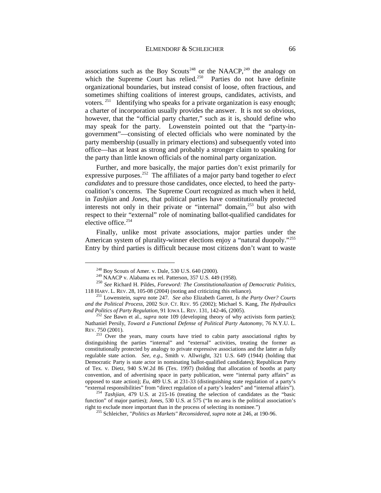<span id="page-67-9"></span>associations such as the Boy Scouts<sup>[248](#page-67-0)</sup> or the NAACP,<sup>[249](#page-67-1)</sup> the analogy on which the Supreme Court has relied.<sup>250</sup> Parties do not have definite which the Supreme Court has relied. $250$ organizational boundaries, but instead consist of loose, often fractious, and sometimes shifting coalitions of interest groups, candidates, activists, and voters.<sup>[251](#page-67-3)</sup> Identifying who speaks for a private organization is easy enough; a charter of incorporation usually provides the answer. It is not so obvious, however, that the "official party charter," such as it is, should define who may speak for the party. Lowenstein pointed out that the "party-ingovernment"—consisting of elected officials who were nominated by the party membership (usually in primary elections) and subsequently voted into office—has at least as strong and probably a stronger claim to speaking for the party than little known officials of the nominal party organization.

<span id="page-67-8"></span>Further, and more basically, the major parties don't exist primarily for expressive purposes[.252](#page-67-4) The affiliates of a major party band together *to elect candidates* and to pressure those candidates, once elected, to heed the partycoalition's concerns. The Supreme Court recognized as much when it held, in *Tashjian* and *Jones*, that political parties have constitutionally protected interests not only in their private or "internal" domain,<sup>[253](#page-67-5)</sup> but also with respect to their "external" role of nominating ballot-qualified candidates for elective office.<sup>[254](#page-67-6)</sup>

Finally, unlike most private associations, major parties under the American system of plurality-winner elections enjoy a "natural duopoly."<sup>255</sup> Entry by third parties is difficult because most citizens don't want to waste

<span id="page-67-2"></span><span id="page-67-1"></span><span id="page-67-0"></span><sup>&</sup>lt;sup>248</sup> Boy Scouts of Amer. v. Dale, 530 U.S. 640 (2000).<br><sup>249</sup> NAACP v. Alabama ex rel. Patterson, 357 U.S. 449 (1958).<br><sup>250</sup> *See* Richard H. Pildes, *Foreword: The Constitutionalization of Democratic Politics*, 118 HARV. L. REV. 28, 105-08 (2004) (noting and criticizing this reliance). <sup>251</sup> Lowenstein, *supra* note [247](#page-66-4)*. See also* Elizabeth Garrett, *Is the Party Over? Courts* 

<span id="page-67-3"></span>*and the Political Process*, 2002 SUP. CT. REV. 95 (2002); Michael S. Kang, *The Hydraulics and Politics of Party Regulation*, 91 IOWA L. REV. 131, 142-46, (2005). <sup>252</sup> *See* Bawn et al., *supra* note [109](#page-27-0) (developing theory of why activists form parties);

<span id="page-67-4"></span>Nathaniel Persily, *Toward a Functional Defense of Political Party Autonomy*, 76 N.Y.U. L. REV. 750 (2001).

<span id="page-67-5"></span> $253$  Over the years, many courts have tried to cabin party associational rights by distinguishing the parties "internal" and "external" activities, treating the former as constitutionally protected by analogy to private expressive associations and the latter as fully regulable state action. *See*, *e.g*., Smith v. Allwright, 321 U.S. 649 (1944) (holding that Democratic Party is state actor in nominating ballot-qualified candidates); Republican Party of Tex. v. Dietz, 940 S.W.2d 86 (Tex. 1997) (holding that allocation of booths at party convention, and of advertising space in party publication, were "internal party affairs" as opposed to state action); *Eu*, 489 U.S. at 231-33 (distinguishing state regulation of a party's

<span id="page-67-7"></span><span id="page-67-6"></span><sup>&</sup>quot;external responsibilities" from "direct regulation of a party's leaders" and "internal affairs"). 254 *Tashjian*, 479 U.S. at 215-16 (treating the selection of candidates as the "basic function" of major parties); *Jones*, 530 U.S. at 575 ("In no area is the political association's right to exclude more important than in the process of selecting its nominee.")

<sup>&</sup>lt;sup>255</sup> Schleicher, "Politics as Markets" Reconsidered, *supra* note a[t 246,](#page-66-5) at 190-96.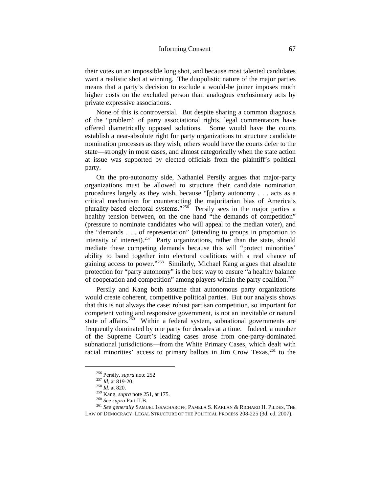their votes on an impossible long shot, and because most talented candidates want a realistic shot at winning. The duopolistic nature of the major parties means that a party's decision to exclude a would-be joiner imposes much higher costs on the excluded person than analogous exclusionary acts by private expressive associations.

None of this is controversial. But despite sharing a common diagnosis of the "problem" of party associational rights, legal commentators have offered diametrically opposed solutions. Some would have the courts establish a near-absolute right for party organizations to structure candidate nomination processes as they wish; others would have the courts defer to the state—strongly in most cases, and almost categorically when the state action at issue was supported by elected officials from the plaintiff's political party.

On the pro-autonomy side, Nathaniel Persily argues that major-party organizations must be allowed to structure their candidate nomination procedures largely as they wish, because "[p]arty autonomy . . . acts as a critical mechanism for counteracting the majoritarian bias of America's plurality-based electoral systems."[256](#page-68-0) Persily sees in the major parties a healthy tension between, on the one hand "the demands of competition" (pressure to nominate candidates who will appeal to the median voter), and the "demands . . . of representation" (attending to groups in proportion to intensity of interest).<sup>[257](#page-68-1)</sup> Party organizations, rather than the state, should mediate these competing demands because this will "protect minorities' ability to band together into electoral coalitions with a real chance of gaining access to power."<sup>258</sup> Similarly, Michael Kang argues that absolute protection for "party autonomy" is the best way to ensure "a healthy balance of cooperation and competition" among players within the party coalition.<sup>[259](#page-68-3)</sup>

Persily and Kang both assume that autonomous party organizations would create coherent, competitive political parties. But our analysis shows that this is not always the case: robust partisan competition, so important for competent voting and responsive government, is not an inevitable or natural state of affairs.<sup>260</sup> Within a federal system, subnational governments are frequently dominated by one party for decades at a time. Indeed, a number of the Supreme Court's leading cases arose from one-party-dominated subnational jurisdictions—from the White Primary Cases, which dealt with racial minorities' access to primary ballots in Jim Crow Texas,<sup>[261](#page-68-5)</sup> to the

<span id="page-68-5"></span><span id="page-68-4"></span><span id="page-68-3"></span><span id="page-68-2"></span><span id="page-68-1"></span><span id="page-68-0"></span><sup>&</sup>lt;sup>256</sup> Persily, *supra* note [252](#page-67-8)<br><sup>257</sup> *Id*, at 819-20.<br><sup>258</sup> *Id*. at 820.<br><sup>259</sup> Kang, *supra* not[e 251,](#page-67-9) at 175.<br><sup>260</sup> See supra Part II.B.<br><sup>260</sup> See generally SAMUEL ISSACHAROFF, PAMELA S. KARLAN & RICHARD H. PILDES, THE LAW OF DEMOCRACY: LEGAL STRUCTURE OF THE POLITICAL PROCESS 208-225 (3d. ed, 2007).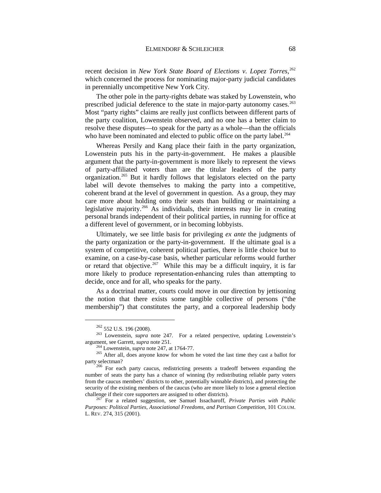recent decision in *New York State Board of Elections v. Lopez Torres*, [262](#page-69-0) which concerned the process for nominating major-party judicial candidates in perennially uncompetitive New York City.

The other pole in the party-rights debate was staked by Lowenstein, who prescribed judicial deference to the state in major-party autonomy cases.<sup>263</sup> Most "party rights" claims are really just conflicts between different parts of the party coalition, Lowenstein observed, and no one has a better claim to resolve these disputes—to speak for the party as a whole—than the officials who have been nominated and elected to public office on the party label.<sup>264</sup>

Whereas Persily and Kang place their faith in the party organization, Lowenstein puts his in the party-in-government. He makes a plausible argument that the party-in-government is more likely to represent the views of party-affiliated voters than are the titular leaders of the party organization.[265](#page-69-3) But it hardly follows that legislators elected on the party label will devote themselves to making the party into a competitive, coherent brand at the level of government in question. As a group, they may care more about holding onto their seats than building or maintaining a legislative majority.[266](#page-69-4) As individuals, their interests may lie in creating personal brands independent of their political parties, in running for office at a different level of government, or in becoming lobbyists.

Ultimately, we see little basis for privileging *ex ante* the judgments of the party organization or the party-in-government. If the ultimate goal is a system of competitive, coherent political parties, there is little choice but to examine, on a case-by-case basis, whether particular reforms would further or retard that objective.<sup>267</sup> While this may be a difficult inquiry, it is far more likely to produce representation-enhancing rules than attempting to decide, once and for all, who speaks for the party.

As a doctrinal matter, courts could move in our direction by jettisoning the notion that there exists some tangible collective of persons ("the membership") that constitutes the party, and a corporeal leadership body

 <sup>262</sup> 552 U.S. 196 (2008).

<span id="page-69-1"></span><span id="page-69-0"></span><sup>&</sup>lt;sup>263</sup> Lowenstein, *supra* note [247.](#page-66-4) For a related perspective, updating Lowenstein's argument, see Garrett, *supra* note 251.<br><sup>264</sup> Lowenstein, *supra* note 247, at 1764-77.

<span id="page-69-3"></span><span id="page-69-2"></span><sup>&</sup>lt;sup>265</sup> After all, does anyone know for whom he voted the last time they cast a ballot for party selectman?<br><sup>266</sup> For each party caucus, redistricting presents a tradeoff between expanding the

<span id="page-69-4"></span>number of seats the party has a chance of winning (by redistributing reliable party voters from the caucus members' districts to other, potentially winnable districts), and protecting the security of the existing members of the caucus (who are more likely to lose a general election challenge if their core supporters are assigned to other districts).

<span id="page-69-5"></span><sup>&</sup>lt;sup>267</sup> For a related suggestion, see Samuel Issacharoff, *Private Parties with Public Purposes: Political Parties, Associational Freedoms, and Partisan Competition*, 101 COLUM. L. REV. 274, 315 (2001).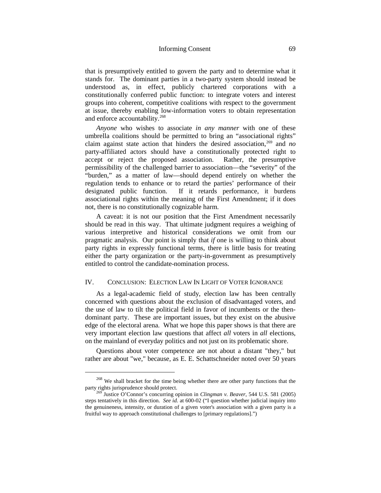that is presumptively entitled to govern the party and to determine what it stands for. The dominant parties in a two-party system should instead be understood as, in effect, publicly chartered corporations with a constitutionally conferred public function: to integrate voters and interest groups into coherent, competitive coalitions with respect to the government at issue, thereby enabling low-information voters to obtain representation and enforce accountability.<sup>[268](#page-70-0)</sup>

*Anyone* who wishes to associate *in any manner* with one of these umbrella coalitions should be permitted to bring an "associational rights" claim against state action that hinders the desired association,<sup>[269](#page-70-1)</sup> and *no* party-affiliated actors should have a constitutionally protected right to accept or reject the proposed association. Rather, the presumptive accept or reject the proposed association. permissibility of the challenged barrier to association—the "severity" of the "burden," as a matter of law—should depend entirely on whether the regulation tends to enhance or to retard the parties' performance of their designated public function. If it retards performance, it burdens associational rights within the meaning of the First Amendment; if it does not, there is no constitutionally cognizable harm.

A caveat: it is not our position that the First Amendment necessarily should be read in this way. That ultimate judgment requires a weighing of various interpretive and historical considerations we omit from our pragmatic analysis. Our point is simply that *if* one is willing to think about party rights in expressly functional terms, there is little basis for treating either the party organization or the party-in-government as presumptively entitled to control the candidate-nomination process.

## IV. CONCLUSION: ELECTION LAW IN LIGHT OF VOTER IGNORANCE

As a legal-academic field of study, election law has been centrally concerned with questions about the exclusion of disadvantaged voters, and the use of law to tilt the political field in favor of incumbents or the thendominant party. These are important issues, but they exist on the abusive edge of the electoral arena. What we hope this paper shows is that there are very important election law questions that affect *all* voters in *all* elections, on the mainland of everyday politics and not just on its problematic shore.

Questions about voter competence are not about a distant "they," but rather are about "we," because, as E. E. Schattschneider noted over 50 years

<span id="page-70-0"></span> $^{268}$  We shall bracket for the time being whether there are other party functions that the party rights jurisprudence should protect.

<span id="page-70-1"></span>Justice O'Connor's concurring opinion in *Clingman v. Beaver*, 544 U.S. 581 (2005) steps tentatively in this direction. *See id.* at 600-02 ("I question whether judicial inquiry into the genuineness, intensity, or duration of a given voter's association with a given party is a fruitful way to approach constitutional challenges to [primary regulations].")